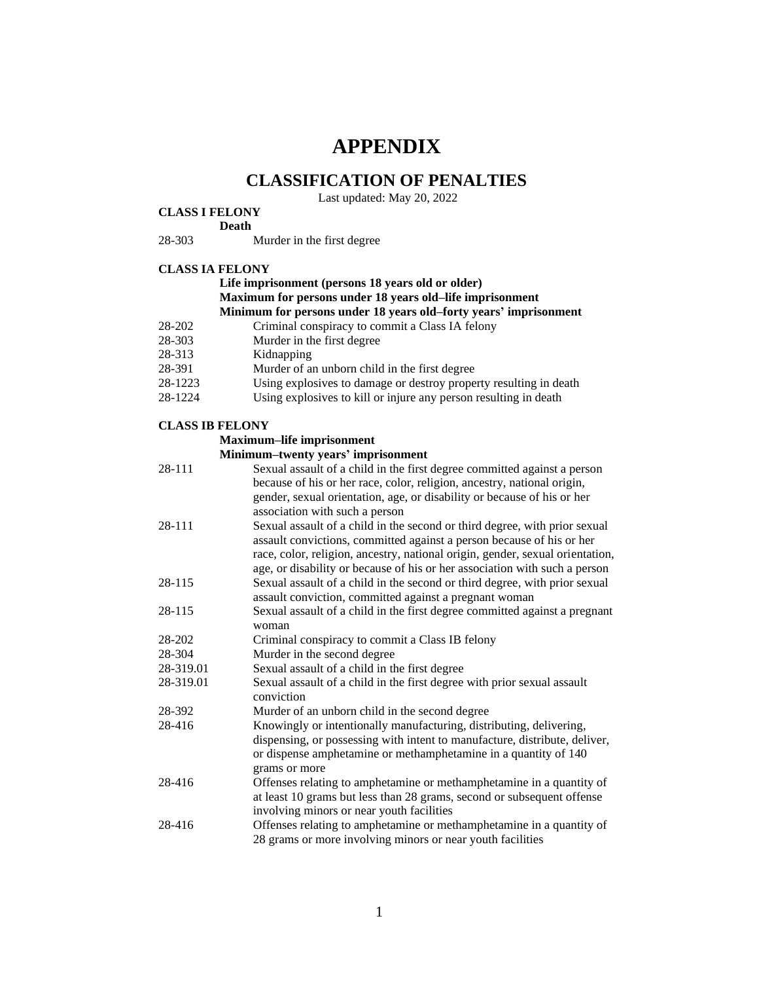# **APPENDIX**

# **CLASSIFICATION OF PENALTIES**

Last updated: May 20, 2022

#### **CLASS I FELONY**

#### **Death**

28-303 Murder in the first degree

#### **CLASS IA FELONY**

#### **Life imprisonment (persons 18 years old or older) Maximum for persons under 18 years old–life imprisonment Minimum for persons under 18 years old–forty years' imprisonment**

- 28-202 Criminal conspiracy to commit a Class IA felony
- 28-303 Murder in the first degree<br>28-313 Kidnapping
- Kidnapping
- 28-391 Murder of an unborn child in the first degree
- 28-1223 Using explosives to damage or destroy property resulting in death
- 28-1224 Using explosives to kill or injure any person resulting in death

#### **CLASS IB FELONY**

#### **Maximum–life imprisonment**

#### **Minimum–twenty years' imprisonment**

| 28-111    | Sexual assault of a child in the first degree committed against a person<br>because of his or her race, color, religion, ancestry, national origin,<br>gender, sexual orientation, age, or disability or because of his or her<br>association with such a person                                                   |
|-----------|--------------------------------------------------------------------------------------------------------------------------------------------------------------------------------------------------------------------------------------------------------------------------------------------------------------------|
| 28-111    | Sexual assault of a child in the second or third degree, with prior sexual<br>assault convictions, committed against a person because of his or her<br>race, color, religion, ancestry, national origin, gender, sexual orientation,<br>age, or disability or because of his or her association with such a person |
| 28-115    | Sexual assault of a child in the second or third degree, with prior sexual                                                                                                                                                                                                                                         |
| 28-115    | assault conviction, committed against a pregnant woman<br>Sexual assault of a child in the first degree committed against a pregnant<br>woman                                                                                                                                                                      |
| 28-202    | Criminal conspiracy to commit a Class IB felony                                                                                                                                                                                                                                                                    |
| 28-304    | Murder in the second degree                                                                                                                                                                                                                                                                                        |
| 28-319.01 | Sexual assault of a child in the first degree                                                                                                                                                                                                                                                                      |
| 28-319.01 | Sexual assault of a child in the first degree with prior sexual assault<br>conviction                                                                                                                                                                                                                              |
| 28-392    | Murder of an unborn child in the second degree                                                                                                                                                                                                                                                                     |
| 28-416    | Knowingly or intentionally manufacturing, distributing, delivering,<br>dispensing, or possessing with intent to manufacture, distribute, deliver,<br>or dispense amphetamine or methamphetamine in a quantity of 140<br>grams or more                                                                              |
| 28-416    | Offenses relating to amphetamine or methamphetamine in a quantity of<br>at least 10 grams but less than 28 grams, second or subsequent offense<br>involving minors or near youth facilities                                                                                                                        |
| 28-416    | Offenses relating to amphetamine or methamphetamine in a quantity of<br>28 grams or more involving minors or near youth facilities                                                                                                                                                                                 |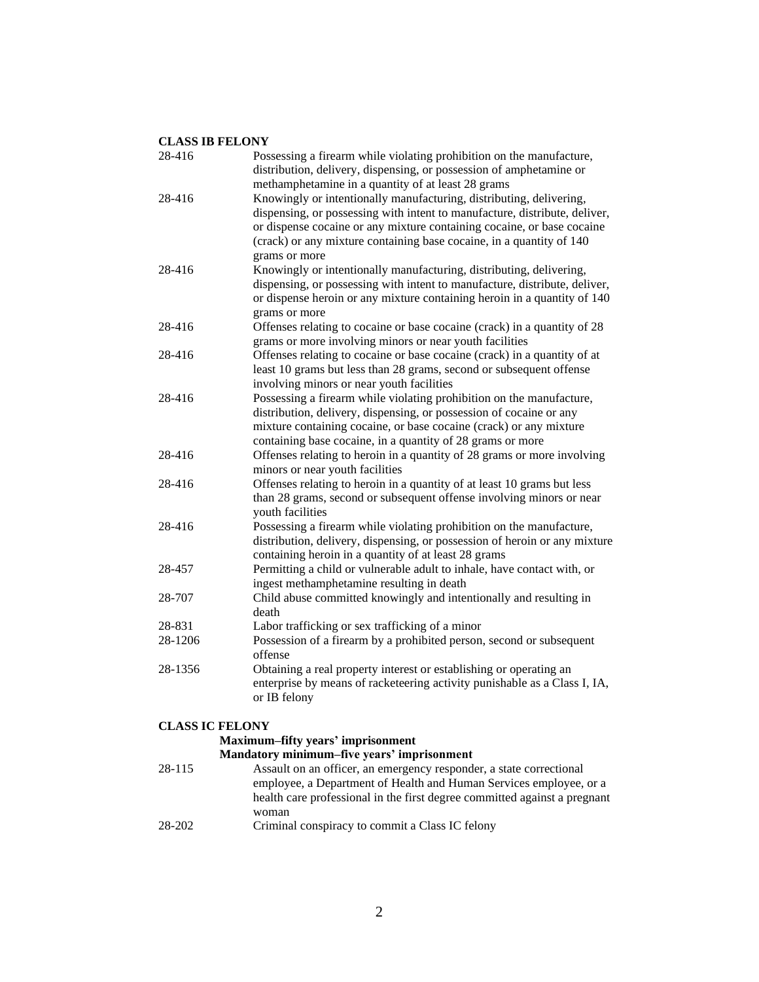| 28-416                   | Possessing a firearm while violating prohibition on the manufacture,<br>distribution, delivery, dispensing, or possession of amphetamine or |
|--------------------------|---------------------------------------------------------------------------------------------------------------------------------------------|
|                          | methamphetamine in a quantity of at least 28 grams                                                                                          |
| 28-416                   | Knowingly or intentionally manufacturing, distributing, delivering,                                                                         |
|                          | dispensing, or possessing with intent to manufacture, distribute, deliver,                                                                  |
|                          | or dispense cocaine or any mixture containing cocaine, or base cocaine                                                                      |
|                          | (crack) or any mixture containing base cocaine, in a quantity of 140                                                                        |
|                          | grams or more                                                                                                                               |
| 28-416                   | Knowingly or intentionally manufacturing, distributing, delivering,                                                                         |
|                          | dispensing, or possessing with intent to manufacture, distribute, deliver,                                                                  |
|                          | or dispense heroin or any mixture containing heroin in a quantity of 140                                                                    |
|                          | grams or more                                                                                                                               |
| 28-416                   | Offenses relating to cocaine or base cocaine (crack) in a quantity of 28                                                                    |
|                          | grams or more involving minors or near youth facilities                                                                                     |
| 28-416                   | Offenses relating to cocaine or base cocaine (crack) in a quantity of at                                                                    |
|                          | least 10 grams but less than 28 grams, second or subsequent offense                                                                         |
|                          | involving minors or near youth facilities                                                                                                   |
| 28-416                   | Possessing a firearm while violating prohibition on the manufacture,                                                                        |
|                          | distribution, delivery, dispensing, or possession of cocaine or any                                                                         |
|                          | mixture containing cocaine, or base cocaine (crack) or any mixture                                                                          |
|                          | containing base cocaine, in a quantity of 28 grams or more                                                                                  |
| 28-416                   | Offenses relating to heroin in a quantity of 28 grams or more involving                                                                     |
|                          | minors or near youth facilities                                                                                                             |
| 28-416                   | Offenses relating to heroin in a quantity of at least 10 grams but less                                                                     |
|                          | than 28 grams, second or subsequent offense involving minors or near                                                                        |
|                          | youth facilities                                                                                                                            |
| 28-416                   | Possessing a firearm while violating prohibition on the manufacture,                                                                        |
|                          | distribution, delivery, dispensing, or possession of heroin or any mixture                                                                  |
|                          | containing heroin in a quantity of at least 28 grams                                                                                        |
| 28-457                   | Permitting a child or vulnerable adult to inhale, have contact with, or                                                                     |
|                          | ingest methamphetamine resulting in death                                                                                                   |
| 28-707                   | Child abuse committed knowingly and intentionally and resulting in                                                                          |
|                          | death                                                                                                                                       |
| 28-831                   | Labor trafficking or sex trafficking of a minor                                                                                             |
| 28-1206                  | Possession of a firearm by a prohibited person, second or subsequent                                                                        |
|                          | offense                                                                                                                                     |
| 28-1356                  | Obtaining a real property interest or establishing or operating an                                                                          |
|                          | enterprise by means of racketeering activity punishable as a Class I, IA,                                                                   |
|                          | or IB felony                                                                                                                                |
| $\alpha$ LOC LO THE ALIL |                                                                                                                                             |
|                          |                                                                                                                                             |

| Maximum-fifty years' imprisonment |  |
|-----------------------------------|--|
|-----------------------------------|--|

|        | Mandatory minimum-five years' imprisonment                                |
|--------|---------------------------------------------------------------------------|
| 28-115 | Assault on an officer, an emergency responder, a state correctional       |
|        | employee, a Department of Health and Human Services employee, or a        |
|        | health care professional in the first degree committed against a pregnant |
|        | woman                                                                     |
| 28-202 | Criminal conspiracy to commit a Class IC felony                           |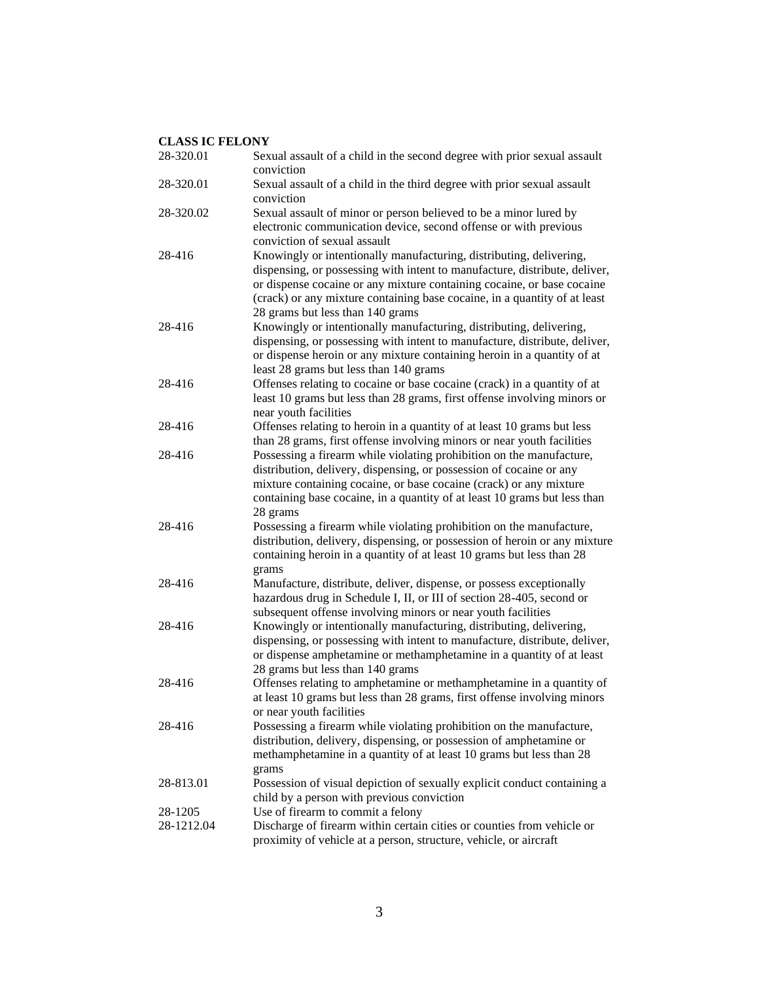| 28-320.01  | Sexual assault of a child in the second degree with prior sexual assault<br>conviction                                                                                                                                                                                                                                                       |
|------------|----------------------------------------------------------------------------------------------------------------------------------------------------------------------------------------------------------------------------------------------------------------------------------------------------------------------------------------------|
| 28-320.01  | Sexual assault of a child in the third degree with prior sexual assault<br>conviction                                                                                                                                                                                                                                                        |
| 28-320.02  | Sexual assault of minor or person believed to be a minor lured by<br>electronic communication device, second offense or with previous<br>conviction of sexual assault                                                                                                                                                                        |
| 28-416     | Knowingly or intentionally manufacturing, distributing, delivering,<br>dispensing, or possessing with intent to manufacture, distribute, deliver,<br>or dispense cocaine or any mixture containing cocaine, or base cocaine<br>(crack) or any mixture containing base cocaine, in a quantity of at least<br>28 grams but less than 140 grams |
| 28-416     | Knowingly or intentionally manufacturing, distributing, delivering,<br>dispensing, or possessing with intent to manufacture, distribute, deliver,<br>or dispense heroin or any mixture containing heroin in a quantity of at<br>least 28 grams but less than 140 grams                                                                       |
| 28-416     | Offenses relating to cocaine or base cocaine (crack) in a quantity of at<br>least 10 grams but less than 28 grams, first offense involving minors or<br>near youth facilities                                                                                                                                                                |
| 28-416     | Offenses relating to heroin in a quantity of at least 10 grams but less<br>than 28 grams, first offense involving minors or near youth facilities                                                                                                                                                                                            |
| 28-416     | Possessing a firearm while violating prohibition on the manufacture,<br>distribution, delivery, dispensing, or possession of cocaine or any<br>mixture containing cocaine, or base cocaine (crack) or any mixture<br>containing base cocaine, in a quantity of at least 10 grams but less than<br>28 grams                                   |
| 28-416     | Possessing a firearm while violating prohibition on the manufacture,<br>distribution, delivery, dispensing, or possession of heroin or any mixture<br>containing heroin in a quantity of at least 10 grams but less than 28<br>grams                                                                                                         |
| 28-416     | Manufacture, distribute, deliver, dispense, or possess exceptionally<br>hazardous drug in Schedule I, II, or III of section 28-405, second or<br>subsequent offense involving minors or near youth facilities                                                                                                                                |
| 28-416     | Knowingly or intentionally manufacturing, distributing, delivering,<br>dispensing, or possessing with intent to manufacture, distribute, deliver,<br>or dispense amphetamine or methamphetamine in a quantity of at least<br>28 grams but less than 140 grams                                                                                |
| 28-416     | Offenses relating to amphetamine or methamphetamine in a quantity of<br>at least 10 grams but less than 28 grams, first offense involving minors<br>or near youth facilities                                                                                                                                                                 |
| 28-416     | Possessing a firearm while violating prohibition on the manufacture,<br>distribution, delivery, dispensing, or possession of amphetamine or<br>methamphetamine in a quantity of at least 10 grams but less than 28<br>grams                                                                                                                  |
| 28-813.01  | Possession of visual depiction of sexually explicit conduct containing a<br>child by a person with previous conviction                                                                                                                                                                                                                       |
| 28-1205    | Use of firearm to commit a felony                                                                                                                                                                                                                                                                                                            |
| 28-1212.04 | Discharge of firearm within certain cities or counties from vehicle or<br>proximity of vehicle at a person, structure, vehicle, or aircraft                                                                                                                                                                                                  |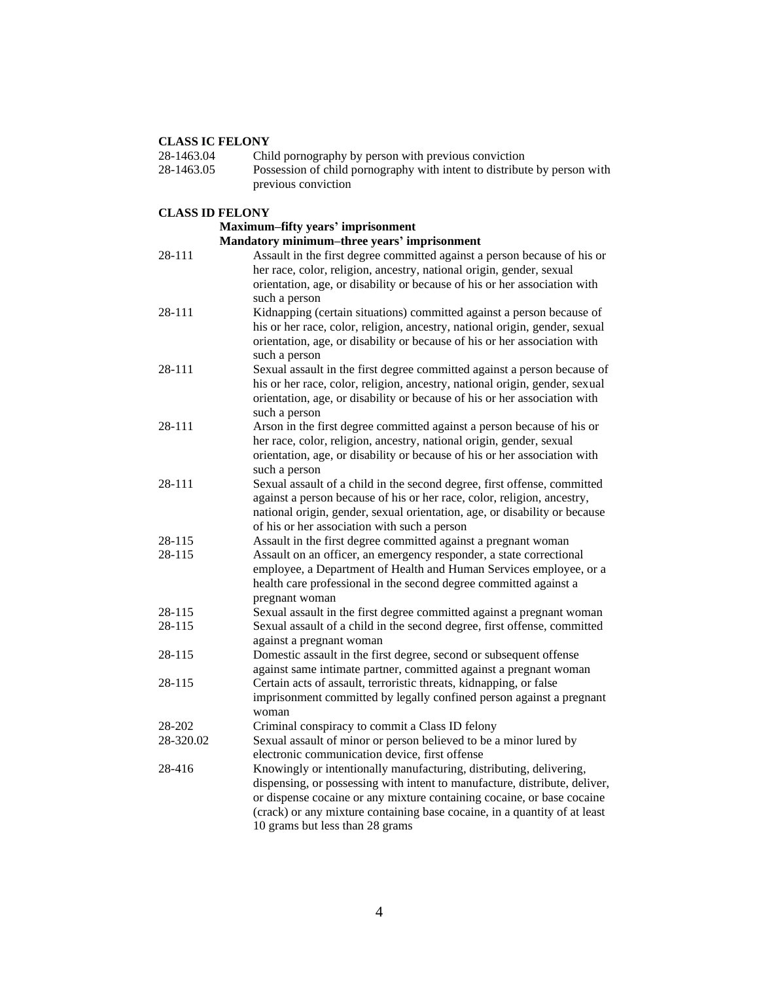| 28-1463.04             | Child pornography by person with previous conviction                                                                                              |
|------------------------|---------------------------------------------------------------------------------------------------------------------------------------------------|
| 28-1463.05             | Possession of child pornography with intent to distribute by person with                                                                          |
|                        | previous conviction                                                                                                                               |
| <b>CLASS ID FELONY</b> |                                                                                                                                                   |
|                        | <b>Maximum-fifty years' imprisonment</b>                                                                                                          |
|                        | Mandatory minimum-three years' imprisonment                                                                                                       |
| 28-111                 | Assault in the first degree committed against a person because of his or                                                                          |
|                        | her race, color, religion, ancestry, national origin, gender, sexual                                                                              |
|                        | orientation, age, or disability or because of his or her association with                                                                         |
|                        | such a person                                                                                                                                     |
| 28-111                 | Kidnapping (certain situations) committed against a person because of                                                                             |
|                        | his or her race, color, religion, ancestry, national origin, gender, sexual                                                                       |
|                        | orientation, age, or disability or because of his or her association with                                                                         |
|                        | such a person                                                                                                                                     |
| 28-111                 | Sexual assault in the first degree committed against a person because of                                                                          |
|                        | his or her race, color, religion, ancestry, national origin, gender, sexual                                                                       |
|                        | orientation, age, or disability or because of his or her association with                                                                         |
| 28-111                 | such a person                                                                                                                                     |
|                        | Arson in the first degree committed against a person because of his or                                                                            |
|                        | her race, color, religion, ancestry, national origin, gender, sexual<br>orientation, age, or disability or because of his or her association with |
|                        | such a person                                                                                                                                     |
| 28-111                 | Sexual assault of a child in the second degree, first offense, committed                                                                          |
|                        | against a person because of his or her race, color, religion, ancestry,                                                                           |
|                        | national origin, gender, sexual orientation, age, or disability or because                                                                        |
|                        | of his or her association with such a person                                                                                                      |
| 28-115                 | Assault in the first degree committed against a pregnant woman                                                                                    |
| 28-115                 | Assault on an officer, an emergency responder, a state correctional                                                                               |
|                        | employee, a Department of Health and Human Services employee, or a                                                                                |
|                        | health care professional in the second degree committed against a                                                                                 |
|                        | pregnant woman                                                                                                                                    |
| 28-115                 | Sexual assault in the first degree committed against a pregnant woman                                                                             |
| 28-115                 | Sexual assault of a child in the second degree, first offense, committed                                                                          |
|                        | against a pregnant woman                                                                                                                          |
| 28-115                 | Domestic assault in the first degree, second or subsequent offense                                                                                |
|                        | against same intimate partner, committed against a pregnant woman                                                                                 |
| 28-115                 | Certain acts of assault, terroristic threats, kidnapping, or false                                                                                |
|                        | imprisonment committed by legally confined person against a pregnant                                                                              |
| 28-202                 | woman<br>Criminal conspiracy to commit a Class ID felony                                                                                          |
| 28-320.02              | Sexual assault of minor or person believed to be a minor lured by                                                                                 |
|                        | electronic communication device, first offense                                                                                                    |
| 28-416                 | Knowingly or intentionally manufacturing, distributing, delivering,                                                                               |
|                        | dispensing, or possessing with intent to manufacture, distribute, deliver,                                                                        |
|                        | or dispense cocaine or any mixture containing cocaine, or base cocaine                                                                            |
|                        | (crack) or any mixture containing base cocaine, in a quantity of at least                                                                         |
|                        | 10 grams but less than 28 grams                                                                                                                   |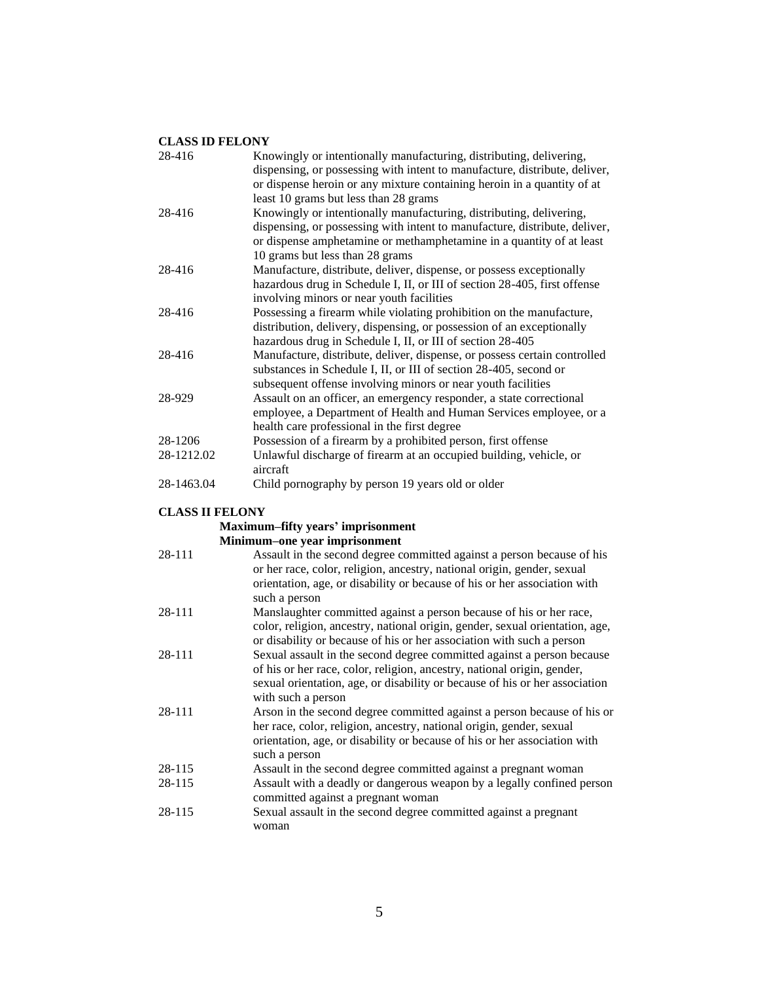| Knowingly or intentionally manufacturing, distributing, delivering,<br>dispensing, or possessing with intent to manufacture, distribute, deliver,<br>or dispense heroin or any mixture containing heroin in a quantity of at<br>least 10 grams but less than 28 grams |
|-----------------------------------------------------------------------------------------------------------------------------------------------------------------------------------------------------------------------------------------------------------------------|
| Knowingly or intentionally manufacturing, distributing, delivering,<br>dispensing, or possessing with intent to manufacture, distribute, deliver,<br>or dispense amphetamine or methamphetamine in a quantity of at least<br>10 grams but less than 28 grams          |
| Manufacture, distribute, deliver, dispense, or possess exceptionally<br>hazardous drug in Schedule I, II, or III of section 28-405, first offense<br>involving minors or near youth facilities                                                                        |
| Possessing a firearm while violating prohibition on the manufacture,<br>distribution, delivery, dispensing, or possession of an exceptionally<br>hazardous drug in Schedule I, II, or III of section 28-405                                                           |
| Manufacture, distribute, deliver, dispense, or possess certain controlled<br>substances in Schedule I, II, or III of section 28-405, second or<br>subsequent offense involving minors or near youth facilities                                                        |
| Assault on an officer, an emergency responder, a state correctional<br>employee, a Department of Health and Human Services employee, or a<br>health care professional in the first degree                                                                             |
| Possession of a firearm by a prohibited person, first offense                                                                                                                                                                                                         |
| Unlawful discharge of firearm at an occupied building, vehicle, or<br>aircraft                                                                                                                                                                                        |
| Child pornography by person 19 years old or older                                                                                                                                                                                                                     |
|                                                                                                                                                                                                                                                                       |

## **CLASS II FELONY**

# **Maximum–fifty years' imprisonment**

| Minimum-one year imprisonment |  |
|-------------------------------|--|
|-------------------------------|--|

| 28-111 | Assault in the second degree committed against a person because of his<br>or her race, color, religion, ancestry, national origin, gender, sexual<br>orientation, age, or disability or because of his or her association with<br>such a person        |
|--------|--------------------------------------------------------------------------------------------------------------------------------------------------------------------------------------------------------------------------------------------------------|
| 28-111 | Manslaughter committed against a person because of his or her race,<br>color, religion, ancestry, national origin, gender, sexual orientation, age,<br>or disability or because of his or her association with such a person                           |
| 28-111 | Sexual assault in the second degree committed against a person because<br>of his or her race, color, religion, ancestry, national origin, gender,<br>sexual orientation, age, or disability or because of his or her association<br>with such a person |
| 28-111 | Arson in the second degree committed against a person because of his or<br>her race, color, religion, ancestry, national origin, gender, sexual<br>orientation, age, or disability or because of his or her association with<br>such a person          |
| 28-115 | Assault in the second degree committed against a pregnant woman                                                                                                                                                                                        |
| 28-115 | Assault with a deadly or dangerous weapon by a legally confined person<br>committed against a pregnant woman                                                                                                                                           |
| 28-115 | Sexual assault in the second degree committed against a pregnant<br>woman                                                                                                                                                                              |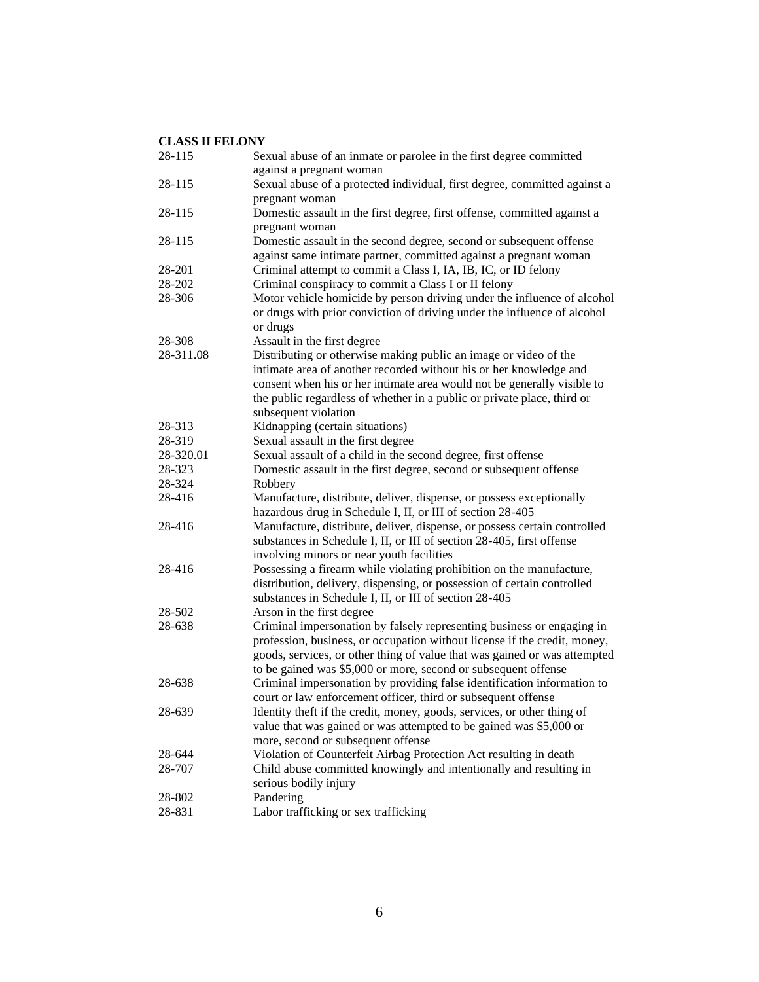| 28-115           | Sexual abuse of an inmate or parolee in the first degree committed                                                                      |
|------------------|-----------------------------------------------------------------------------------------------------------------------------------------|
|                  | against a pregnant woman                                                                                                                |
| 28-115           | Sexual abuse of a protected individual, first degree, committed against a                                                               |
|                  | pregnant woman                                                                                                                          |
| 28-115           | Domestic assault in the first degree, first offense, committed against a                                                                |
|                  | pregnant woman                                                                                                                          |
| 28-115           | Domestic assault in the second degree, second or subsequent offense                                                                     |
|                  | against same intimate partner, committed against a pregnant woman                                                                       |
| 28-201           | Criminal attempt to commit a Class I, IA, IB, IC, or ID felony                                                                          |
| 28-202           | Criminal conspiracy to commit a Class I or II felony                                                                                    |
| 28-306           | Motor vehicle homicide by person driving under the influence of alcohol                                                                 |
|                  | or drugs with prior conviction of driving under the influence of alcohol<br>or drugs                                                    |
| 28-308           | Assault in the first degree                                                                                                             |
| 28-311.08        | Distributing or otherwise making public an image or video of the                                                                        |
|                  | intimate area of another recorded without his or her knowledge and                                                                      |
|                  |                                                                                                                                         |
|                  | consent when his or her intimate area would not be generally visible to                                                                 |
|                  | the public regardless of whether in a public or private place, third or                                                                 |
| 28-313           | subsequent violation<br>Kidnapping (certain situations)                                                                                 |
| 28-319           | Sexual assault in the first degree                                                                                                      |
| 28-320.01        | Sexual assault of a child in the second degree, first offense                                                                           |
| 28-323           | Domestic assault in the first degree, second or subsequent offense                                                                      |
| 28-324           | Robbery                                                                                                                                 |
| 28-416           | Manufacture, distribute, deliver, dispense, or possess exceptionally                                                                    |
|                  | hazardous drug in Schedule I, II, or III of section 28-405                                                                              |
| 28-416           | Manufacture, distribute, deliver, dispense, or possess certain controlled                                                               |
|                  | substances in Schedule I, II, or III of section 28-405, first offense                                                                   |
|                  | involving minors or near youth facilities                                                                                               |
| 28-416           | Possessing a firearm while violating prohibition on the manufacture,                                                                    |
|                  | distribution, delivery, dispensing, or possession of certain controlled                                                                 |
|                  | substances in Schedule I, II, or III of section 28-405                                                                                  |
| 28-502           | Arson in the first degree                                                                                                               |
| 28-638           | Criminal impersonation by falsely representing business or engaging in                                                                  |
|                  | profession, business, or occupation without license if the credit, money,                                                               |
|                  | goods, services, or other thing of value that was gained or was attempted                                                               |
|                  | to be gained was \$5,000 or more, second or subsequent offense                                                                          |
| 28-638           | Criminal impersonation by providing false identification information to                                                                 |
|                  | court or law enforcement officer, third or subsequent offense                                                                           |
| 28-639           | Identity theft if the credit, money, goods, services, or other thing of                                                                 |
|                  | value that was gained or was attempted to be gained was \$5,000 or                                                                      |
|                  | more, second or subsequent offense                                                                                                      |
|                  |                                                                                                                                         |
| 28-644<br>28-707 | Violation of Counterfeit Airbag Protection Act resulting in death<br>Child abuse committed knowingly and intentionally and resulting in |
|                  | serious bodily injury                                                                                                                   |
|                  |                                                                                                                                         |
| 28-802<br>28-831 | Pandering<br>Labor trafficking or sex trafficking                                                                                       |
|                  |                                                                                                                                         |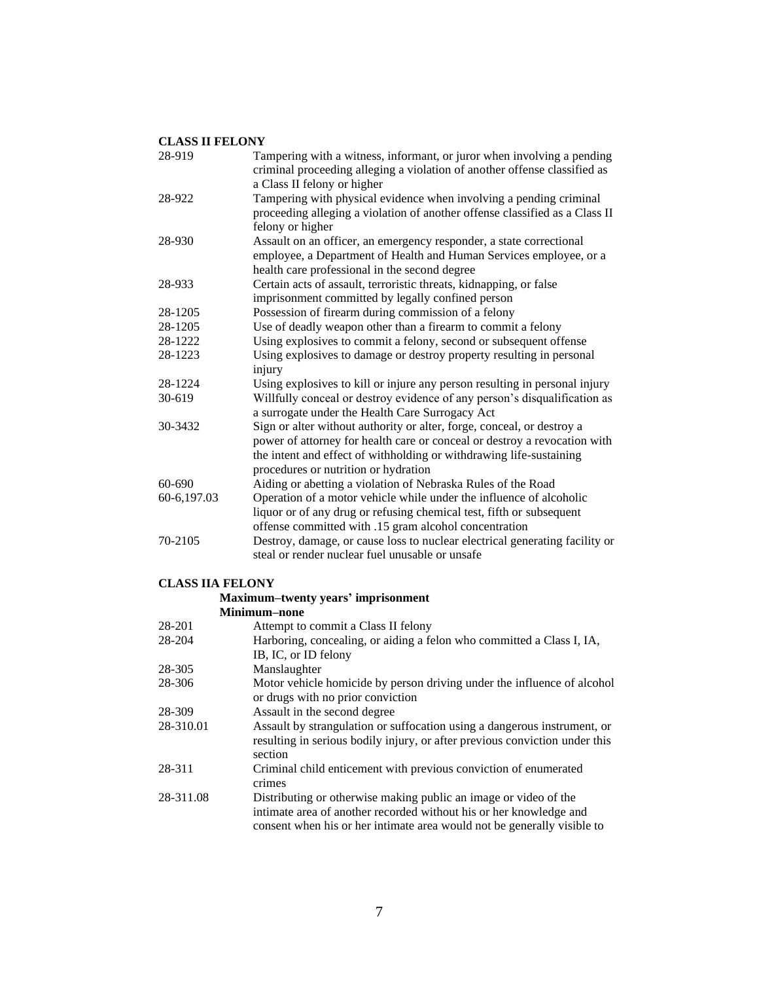| 28-919      | Tampering with a witness, informant, or juror when involving a pending<br>criminal proceeding alleging a violation of another offense classified as |
|-------------|-----------------------------------------------------------------------------------------------------------------------------------------------------|
|             | a Class II felony or higher                                                                                                                         |
| 28-922      | Tampering with physical evidence when involving a pending criminal                                                                                  |
|             | proceeding alleging a violation of another offense classified as a Class II<br>felony or higher                                                     |
| 28-930      |                                                                                                                                                     |
|             | Assault on an officer, an emergency responder, a state correctional<br>employee, a Department of Health and Human Services employee, or a           |
|             | health care professional in the second degree                                                                                                       |
| 28-933      | Certain acts of assault, terroristic threats, kidnapping, or false                                                                                  |
|             | imprisonment committed by legally confined person                                                                                                   |
| 28-1205     | Possession of firearm during commission of a felony                                                                                                 |
| 28-1205     | Use of deadly weapon other than a firearm to commit a felony                                                                                        |
| 28-1222     | Using explosives to commit a felony, second or subsequent offense                                                                                   |
| 28-1223     | Using explosives to damage or destroy property resulting in personal                                                                                |
|             | injury                                                                                                                                              |
| 28-1224     | Using explosives to kill or injure any person resulting in personal injury                                                                          |
| 30-619      | Willfully conceal or destroy evidence of any person's disqualification as                                                                           |
|             | a surrogate under the Health Care Surrogacy Act                                                                                                     |
| 30-3432     | Sign or alter without authority or alter, forge, conceal, or destroy a                                                                              |
|             | power of attorney for health care or conceal or destroy a revocation with                                                                           |
|             | the intent and effect of withholding or withdrawing life-sustaining                                                                                 |
|             | procedures or nutrition or hydration                                                                                                                |
| $60 - 690$  | Aiding or abetting a violation of Nebraska Rules of the Road                                                                                        |
| 60-6,197.03 | Operation of a motor vehicle while under the influence of alcoholic                                                                                 |
|             | liquor or of any drug or refusing chemical test, fifth or subsequent                                                                                |
|             | offense committed with .15 gram alcohol concentration                                                                                               |
| 70-2105     | Destroy, damage, or cause loss to nuclear electrical generating facility or<br>steal or render nuclear fuel unusable or unsafe                      |
|             |                                                                                                                                                     |

#### **CLASS IIA FELONY**

#### **Maximum–twenty years' imprisonment**

**Minimum–none**

| $1.111111111111 - 11.01110$                                                                                                                                                                                       |
|-------------------------------------------------------------------------------------------------------------------------------------------------------------------------------------------------------------------|
| Attempt to commit a Class II felony                                                                                                                                                                               |
| Harboring, concealing, or aiding a felon who committed a Class I, IA,                                                                                                                                             |
| IB, IC, or ID felony                                                                                                                                                                                              |
| Manslaughter                                                                                                                                                                                                      |
| Motor vehicle homicide by person driving under the influence of alcohol<br>or drugs with no prior conviction                                                                                                      |
| Assault in the second degree                                                                                                                                                                                      |
| Assault by strangulation or suffocation using a dangerous instrument, or<br>resulting in serious bodily injury, or after previous conviction under this<br>section                                                |
| Criminal child enticement with previous conviction of enumerated<br>crimes                                                                                                                                        |
| Distributing or otherwise making public an image or video of the<br>intimate area of another recorded without his or her knowledge and<br>consent when his or her intimate area would not be generally visible to |
|                                                                                                                                                                                                                   |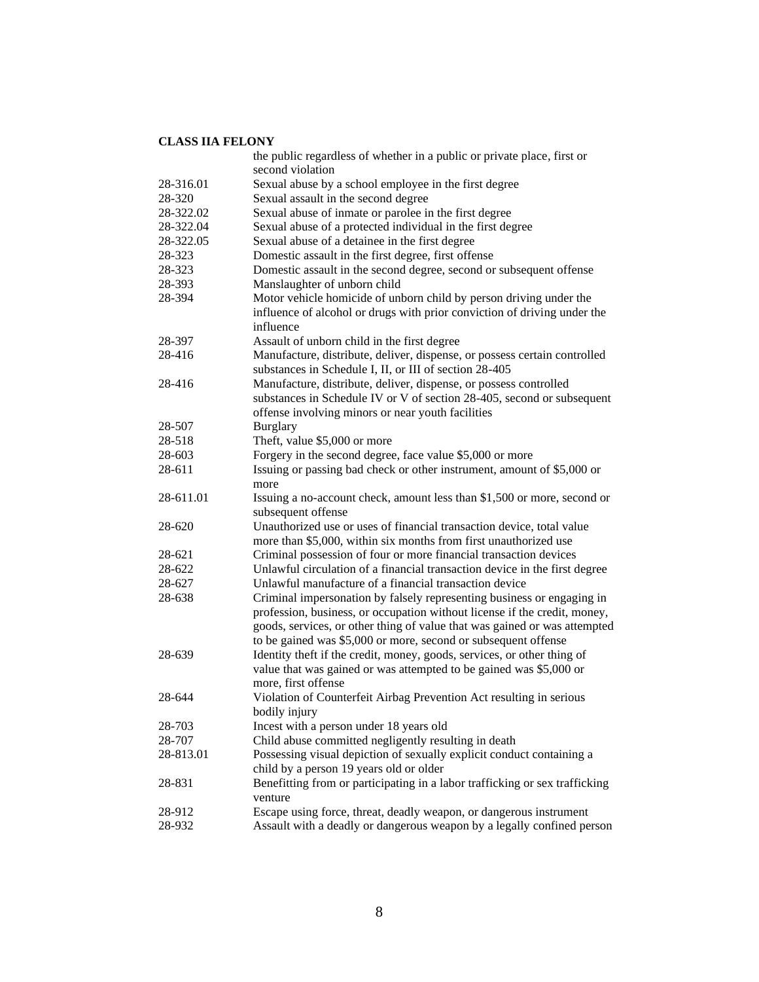|           | the public regardless of whether in a public or private place, first or                       |
|-----------|-----------------------------------------------------------------------------------------------|
|           | second violation                                                                              |
| 28-316.01 | Sexual abuse by a school employee in the first degree                                         |
| 28-320    | Sexual assault in the second degree                                                           |
| 28-322.02 | Sexual abuse of inmate or parolee in the first degree                                         |
| 28-322.04 | Sexual abuse of a protected individual in the first degree                                    |
| 28-322.05 | Sexual abuse of a detainee in the first degree                                                |
| 28-323    | Domestic assault in the first degree, first offense                                           |
| 28-323    | Domestic assault in the second degree, second or subsequent offense                           |
| 28-393    | Manslaughter of unborn child                                                                  |
| 28-394    | Motor vehicle homicide of unborn child by person driving under the                            |
|           | influence of alcohol or drugs with prior conviction of driving under the                      |
|           | influence                                                                                     |
| 28-397    | Assault of unborn child in the first degree                                                   |
| 28-416    | Manufacture, distribute, deliver, dispense, or possess certain controlled                     |
|           | substances in Schedule I, II, or III of section 28-405                                        |
| 28-416    | Manufacture, distribute, deliver, dispense, or possess controlled                             |
|           | substances in Schedule IV or V of section 28-405, second or subsequent                        |
|           | offense involving minors or near youth facilities                                             |
| 28-507    | <b>Burglary</b>                                                                               |
| 28-518    | Theft, value \$5,000 or more                                                                  |
| 28-603    | Forgery in the second degree, face value \$5,000 or more                                      |
| 28-611    | Issuing or passing bad check or other instrument, amount of \$5,000 or                        |
|           | more                                                                                          |
| 28-611.01 | Issuing a no-account check, amount less than \$1,500 or more, second or<br>subsequent offense |
| 28-620    | Unauthorized use or uses of financial transaction device, total value                         |
|           | more than \$5,000, within six months from first unauthorized use                              |
| 28-621    | Criminal possession of four or more financial transaction devices                             |
| 28-622    | Unlawful circulation of a financial transaction device in the first degree                    |
| 28-627    | Unlawful manufacture of a financial transaction device                                        |
| 28-638    | Criminal impersonation by falsely representing business or engaging in                        |
|           | profession, business, or occupation without license if the credit, money,                     |
|           | goods, services, or other thing of value that was gained or was attempted                     |
|           | to be gained was \$5,000 or more, second or subsequent offense                                |
| 28-639    | Identity theft if the credit, money, goods, services, or other thing of                       |
|           | value that was gained or was attempted to be gained was \$5,000 or                            |
|           | more, first offense                                                                           |
| 28-644    | Violation of Counterfeit Airbag Prevention Act resulting in serious                           |
|           | bodily injury                                                                                 |
| 28-703    | Incest with a person under 18 years old                                                       |
| 28-707    | Child abuse committed negligently resulting in death                                          |
| 28-813.01 | Possessing visual depiction of sexually explicit conduct containing a                         |
|           | child by a person 19 years old or older                                                       |
| 28-831    | Benefitting from or participating in a labor trafficking or sex trafficking                   |
|           | venture                                                                                       |
| 28-912    | Escape using force, threat, deadly weapon, or dangerous instrument                            |
| 28-932    | Assault with a deadly or dangerous weapon by a legally confined person                        |
|           |                                                                                               |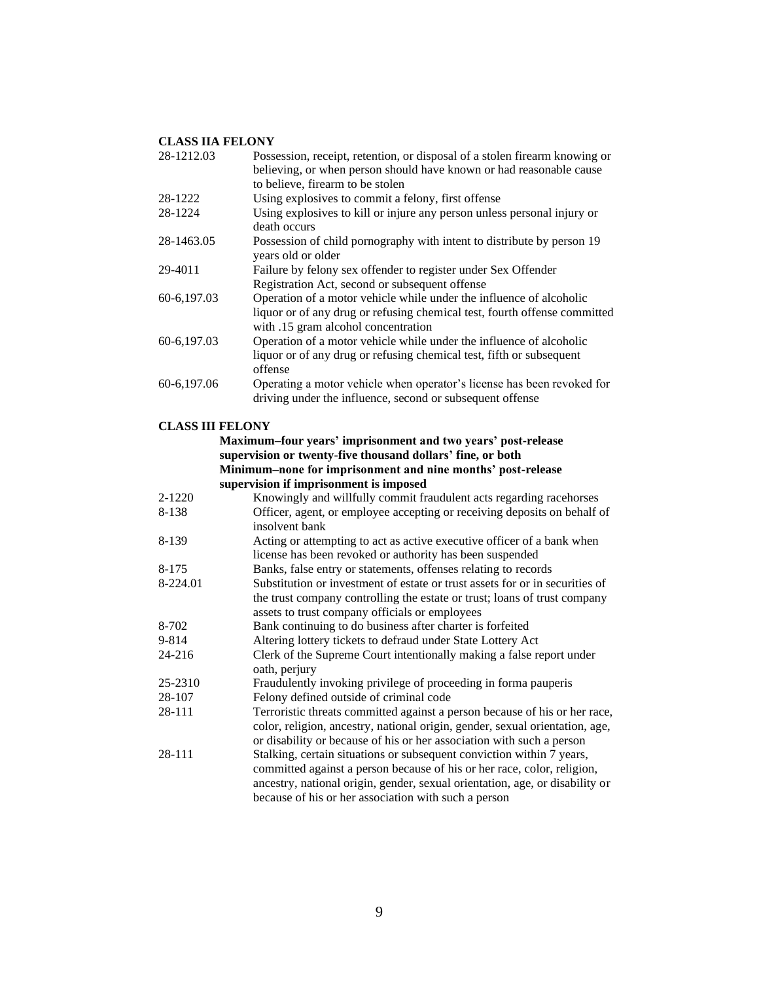| 28-1212.03              | Possession, receipt, retention, or disposal of a stolen firearm knowing or<br>believing, or when person should have known or had reasonable cause                                                                                                                                                                                                                 |
|-------------------------|-------------------------------------------------------------------------------------------------------------------------------------------------------------------------------------------------------------------------------------------------------------------------------------------------------------------------------------------------------------------|
|                         | to believe, firearm to be stolen                                                                                                                                                                                                                                                                                                                                  |
| 28-1222                 | Using explosives to commit a felony, first offense                                                                                                                                                                                                                                                                                                                |
| 28-1224                 | Using explosives to kill or injure any person unless personal injury or                                                                                                                                                                                                                                                                                           |
|                         | death occurs                                                                                                                                                                                                                                                                                                                                                      |
| 28-1463.05              | Possession of child pornography with intent to distribute by person 19<br>years old or older                                                                                                                                                                                                                                                                      |
| 29-4011                 | Failure by felony sex offender to register under Sex Offender<br>Registration Act, second or subsequent offense                                                                                                                                                                                                                                                   |
| 60-6,197.03             | Operation of a motor vehicle while under the influence of alcoholic<br>liquor or of any drug or refusing chemical test, fourth offense committed<br>with .15 gram alcohol concentration                                                                                                                                                                           |
| 60-6,197.03             | Operation of a motor vehicle while under the influence of alcoholic<br>liquor or of any drug or refusing chemical test, fifth or subsequent<br>offense                                                                                                                                                                                                            |
| 60-6,197.06             | Operating a motor vehicle when operator's license has been revoked for<br>driving under the influence, second or subsequent offense                                                                                                                                                                                                                               |
| <b>CLASS III FELONY</b> |                                                                                                                                                                                                                                                                                                                                                                   |
|                         | Maximum-four years' imprisonment and two years' post-release                                                                                                                                                                                                                                                                                                      |
|                         | supervision or twenty-five thousand dollars' fine, or both                                                                                                                                                                                                                                                                                                        |
|                         | Minimum-none for imprisonment and nine months' post-release                                                                                                                                                                                                                                                                                                       |
|                         | supervision if imprisonment is imposed                                                                                                                                                                                                                                                                                                                            |
| 2-1220                  | Knowingly and willfully commit fraudulent acts regarding racehorses                                                                                                                                                                                                                                                                                               |
| 8-138                   | Officer, agent, or employee accepting or receiving deposits on behalf of<br>insolvent bank                                                                                                                                                                                                                                                                        |
| 8-139                   | Acting or attempting to act as active executive officer of a bank when<br>license has been revoked or authority has been suspended                                                                                                                                                                                                                                |
| 8-175                   | Banks, false entry or statements, offenses relating to records                                                                                                                                                                                                                                                                                                    |
| 8-224.01                | Substitution or investment of estate or trust assets for or in securities of<br>the trust company controlling the estate or trust; loans of trust company<br>assets to trust company officials or employees                                                                                                                                                       |
| 8-702                   | Bank continuing to do business after charter is forfeited                                                                                                                                                                                                                                                                                                         |
| 9-814                   | Altering lottery tickets to defraud under State Lottery Act                                                                                                                                                                                                                                                                                                       |
| 24-216                  | Clerk of the Supreme Court intentionally making a false report under<br>oath, perjury                                                                                                                                                                                                                                                                             |
| 25-2310                 | Fraudulently invoking privilege of proceeding in forma pauperis                                                                                                                                                                                                                                                                                                   |
| 28-107                  | Felony defined outside of criminal code                                                                                                                                                                                                                                                                                                                           |
| 28-111                  | Terroristic threats committed against a person because of his or her race,<br>color, religion, ancestry, national origin, gender, sexual orientation, age,                                                                                                                                                                                                        |
| 28-111                  | or disability or because of his or her association with such a person<br>Stalking, certain situations or subsequent conviction within 7 years,<br>committed against a person because of his or her race, color, religion,<br>ancestry, national origin, gender, sexual orientation, age, or disability or<br>because of his or her association with such a person |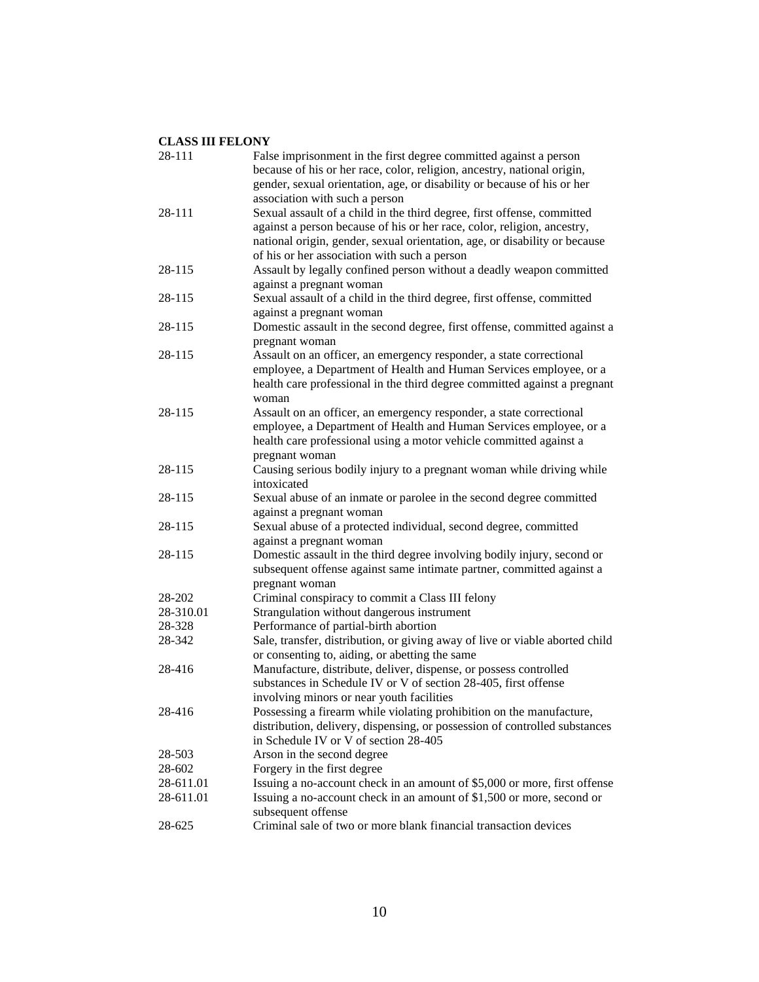| 28-111    | False imprisonment in the first degree committed against a person<br>because of his or her race, color, religion, ancestry, national origin, |
|-----------|----------------------------------------------------------------------------------------------------------------------------------------------|
|           | gender, sexual orientation, age, or disability or because of his or her                                                                      |
|           | association with such a person                                                                                                               |
| 28-111    | Sexual assault of a child in the third degree, first offense, committed                                                                      |
|           | against a person because of his or her race, color, religion, ancestry,                                                                      |
|           | national origin, gender, sexual orientation, age, or disability or because                                                                   |
|           | of his or her association with such a person                                                                                                 |
| 28-115    | Assault by legally confined person without a deadly weapon committed                                                                         |
|           | against a pregnant woman                                                                                                                     |
| 28-115    | Sexual assault of a child in the third degree, first offense, committed                                                                      |
|           | against a pregnant woman                                                                                                                     |
| 28-115    | Domestic assault in the second degree, first offense, committed against a<br>pregnant woman                                                  |
| 28-115    | Assault on an officer, an emergency responder, a state correctional                                                                          |
|           | employee, a Department of Health and Human Services employee, or a                                                                           |
|           | health care professional in the third degree committed against a pregnant                                                                    |
|           | woman                                                                                                                                        |
| 28-115    | Assault on an officer, an emergency responder, a state correctional                                                                          |
|           | employee, a Department of Health and Human Services employee, or a                                                                           |
|           | health care professional using a motor vehicle committed against a                                                                           |
|           | pregnant woman                                                                                                                               |
| 28-115    | Causing serious bodily injury to a pregnant woman while driving while                                                                        |
|           | intoxicated                                                                                                                                  |
| 28-115    | Sexual abuse of an inmate or parolee in the second degree committed                                                                          |
|           | against a pregnant woman                                                                                                                     |
| 28-115    | Sexual abuse of a protected individual, second degree, committed                                                                             |
| 28-115    | against a pregnant woman<br>Domestic assault in the third degree involving bodily injury, second or                                          |
|           | subsequent offense against same intimate partner, committed against a                                                                        |
|           | pregnant woman                                                                                                                               |
| 28-202    | Criminal conspiracy to commit a Class III felony                                                                                             |
| 28-310.01 | Strangulation without dangerous instrument                                                                                                   |
| 28-328    | Performance of partial-birth abortion                                                                                                        |
| 28-342    | Sale, transfer, distribution, or giving away of live or viable aborted child                                                                 |
|           | or consenting to, aiding, or abetting the same                                                                                               |
| 28-416    | Manufacture, distribute, deliver, dispense, or possess controlled                                                                            |
|           | substances in Schedule IV or V of section 28-405, first offense                                                                              |
|           | involving minors or near youth facilities                                                                                                    |
| 28-416    | Possessing a firearm while violating prohibition on the manufacture,                                                                         |
|           | distribution, delivery, dispensing, or possession of controlled substances                                                                   |
|           | in Schedule IV or V of section 28-405                                                                                                        |
| 28-503    | Arson in the second degree                                                                                                                   |
| 28-602    | Forgery in the first degree                                                                                                                  |
| 28-611.01 | Issuing a no-account check in an amount of \$5,000 or more, first offense                                                                    |
| 28-611.01 | Issuing a no-account check in an amount of \$1,500 or more, second or                                                                        |
|           | subsequent offense                                                                                                                           |
| 28-625    | Criminal sale of two or more blank financial transaction devices                                                                             |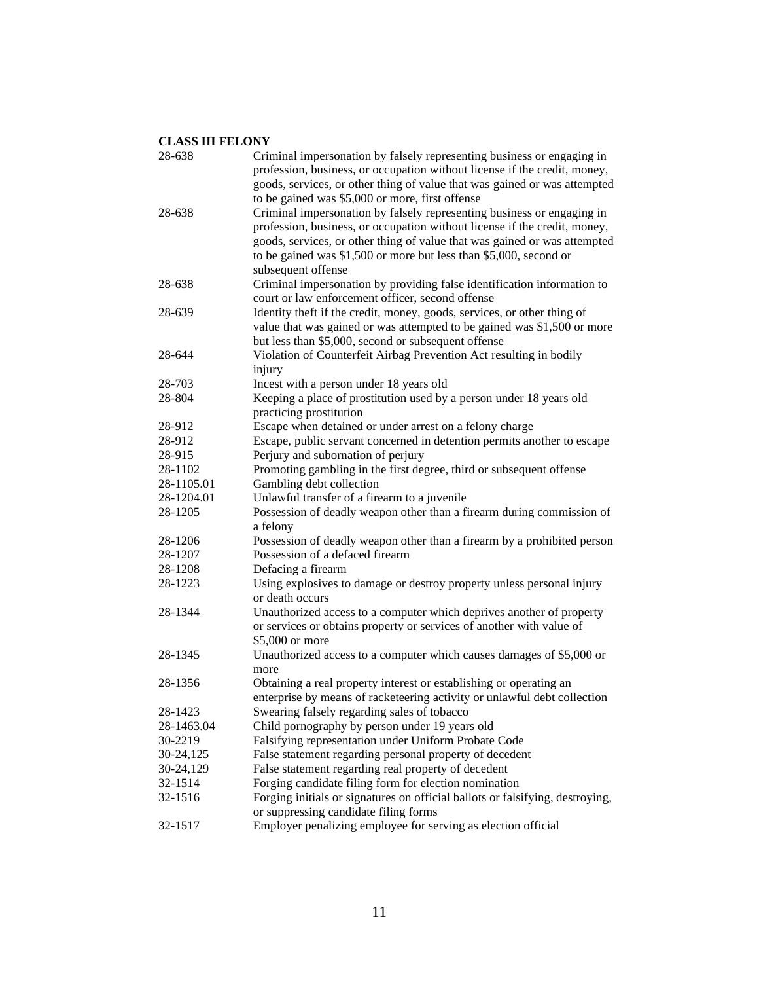| 28-638     | Criminal impersonation by falsely representing business or engaging in<br>profession, business, or occupation without license if the credit, money,                                                                                                                                                                                                      |
|------------|----------------------------------------------------------------------------------------------------------------------------------------------------------------------------------------------------------------------------------------------------------------------------------------------------------------------------------------------------------|
|            | goods, services, or other thing of value that was gained or was attempted                                                                                                                                                                                                                                                                                |
| 28-638     | to be gained was \$5,000 or more, first offense<br>Criminal impersonation by falsely representing business or engaging in<br>profession, business, or occupation without license if the credit, money,<br>goods, services, or other thing of value that was gained or was attempted<br>to be gained was \$1,500 or more but less than \$5,000, second or |
|            | subsequent offense                                                                                                                                                                                                                                                                                                                                       |
| 28-638     | Criminal impersonation by providing false identification information to<br>court or law enforcement officer, second offense                                                                                                                                                                                                                              |
| 28-639     | Identity theft if the credit, money, goods, services, or other thing of                                                                                                                                                                                                                                                                                  |
|            | value that was gained or was attempted to be gained was \$1,500 or more                                                                                                                                                                                                                                                                                  |
|            | but less than \$5,000, second or subsequent offense                                                                                                                                                                                                                                                                                                      |
| 28-644     | Violation of Counterfeit Airbag Prevention Act resulting in bodily                                                                                                                                                                                                                                                                                       |
|            | injury                                                                                                                                                                                                                                                                                                                                                   |
| 28-703     | Incest with a person under 18 years old                                                                                                                                                                                                                                                                                                                  |
| 28-804     | Keeping a place of prostitution used by a person under 18 years old<br>practicing prostitution                                                                                                                                                                                                                                                           |
| 28-912     | Escape when detained or under arrest on a felony charge                                                                                                                                                                                                                                                                                                  |
| 28-912     | Escape, public servant concerned in detention permits another to escape                                                                                                                                                                                                                                                                                  |
| 28-915     | Perjury and subornation of perjury                                                                                                                                                                                                                                                                                                                       |
| 28-1102    | Promoting gambling in the first degree, third or subsequent offense                                                                                                                                                                                                                                                                                      |
| 28-1105.01 | Gambling debt collection                                                                                                                                                                                                                                                                                                                                 |
| 28-1204.01 | Unlawful transfer of a firearm to a juvenile                                                                                                                                                                                                                                                                                                             |
| 28-1205    | Possession of deadly weapon other than a firearm during commission of<br>a felony                                                                                                                                                                                                                                                                        |
| 28-1206    | Possession of deadly weapon other than a firearm by a prohibited person                                                                                                                                                                                                                                                                                  |
| 28-1207    | Possession of a defaced firearm                                                                                                                                                                                                                                                                                                                          |
| 28-1208    | Defacing a firearm                                                                                                                                                                                                                                                                                                                                       |
| 28-1223    | Using explosives to damage or destroy property unless personal injury<br>or death occurs                                                                                                                                                                                                                                                                 |
| 28-1344    | Unauthorized access to a computer which deprives another of property                                                                                                                                                                                                                                                                                     |
|            | or services or obtains property or services of another with value of                                                                                                                                                                                                                                                                                     |
|            | \$5,000 or more                                                                                                                                                                                                                                                                                                                                          |
| 28-1345    | Unauthorized access to a computer which causes damages of \$5,000 or<br>more                                                                                                                                                                                                                                                                             |
| 28-1356    | Obtaining a real property interest or establishing or operating an                                                                                                                                                                                                                                                                                       |
|            | enterprise by means of racketeering activity or unlawful debt collection                                                                                                                                                                                                                                                                                 |
| 28-1423    | Swearing falsely regarding sales of tobacco                                                                                                                                                                                                                                                                                                              |
| 28-1463.04 | Child pornography by person under 19 years old                                                                                                                                                                                                                                                                                                           |
| 30-2219    | Falsifying representation under Uniform Probate Code                                                                                                                                                                                                                                                                                                     |
| 30-24,125  | False statement regarding personal property of decedent                                                                                                                                                                                                                                                                                                  |
| 30-24,129  | False statement regarding real property of decedent                                                                                                                                                                                                                                                                                                      |
| 32-1514    | Forging candidate filing form for election nomination                                                                                                                                                                                                                                                                                                    |
| 32-1516    | Forging initials or signatures on official ballots or falsifying, destroying,                                                                                                                                                                                                                                                                            |
|            | or suppressing candidate filing forms                                                                                                                                                                                                                                                                                                                    |
| 32-1517    | Employer penalizing employee for serving as election official                                                                                                                                                                                                                                                                                            |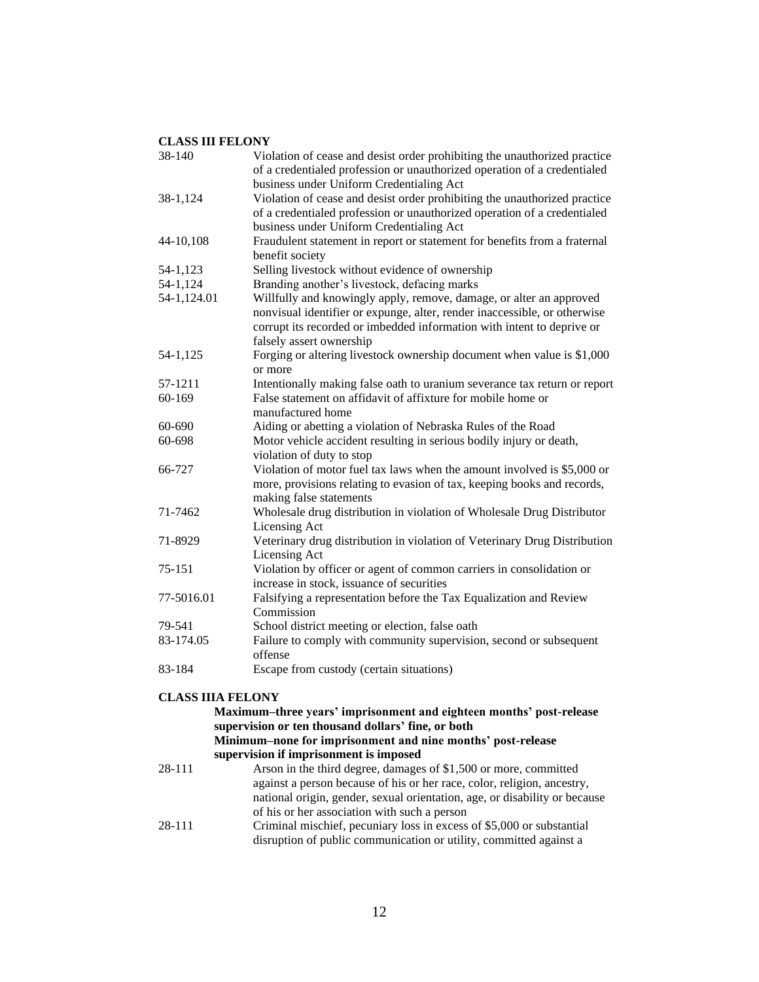| Violation of cease and desist order prohibiting the unauthorized practice<br>of a credentialed profession or unauthorized operation of a credentialed                                                                                                  |
|--------------------------------------------------------------------------------------------------------------------------------------------------------------------------------------------------------------------------------------------------------|
| business under Uniform Credentialing Act                                                                                                                                                                                                               |
| Violation of cease and desist order prohibiting the unauthorized practice<br>of a credentialed profession or unauthorized operation of a credentialed<br>business under Uniform Credentialing Act                                                      |
| Fraudulent statement in report or statement for benefits from a fraternal<br>benefit society                                                                                                                                                           |
| Selling livestock without evidence of ownership                                                                                                                                                                                                        |
| Branding another's livestock, defacing marks                                                                                                                                                                                                           |
| Willfully and knowingly apply, remove, damage, or alter an approved<br>nonvisual identifier or expunge, alter, render inaccessible, or otherwise<br>corrupt its recorded or imbedded information with intent to deprive or<br>falsely assert ownership |
| Forging or altering livestock ownership document when value is \$1,000<br>or more                                                                                                                                                                      |
| Intentionally making false oath to uranium severance tax return or report                                                                                                                                                                              |
| False statement on affidavit of affixture for mobile home or<br>manufactured home                                                                                                                                                                      |
| Aiding or abetting a violation of Nebraska Rules of the Road                                                                                                                                                                                           |
| Motor vehicle accident resulting in serious bodily injury or death,<br>violation of duty to stop                                                                                                                                                       |
| Violation of motor fuel tax laws when the amount involved is \$5,000 or<br>more, provisions relating to evasion of tax, keeping books and records,<br>making false statements                                                                          |
| Wholesale drug distribution in violation of Wholesale Drug Distributor<br>Licensing Act                                                                                                                                                                |
| Veterinary drug distribution in violation of Veterinary Drug Distribution<br>Licensing Act                                                                                                                                                             |
| Violation by officer or agent of common carriers in consolidation or<br>increase in stock, issuance of securities                                                                                                                                      |
| Falsifying a representation before the Tax Equalization and Review<br>Commission                                                                                                                                                                       |
| School district meeting or election, false oath                                                                                                                                                                                                        |
| Failure to comply with community supervision, second or subsequent<br>offense                                                                                                                                                                          |
| Escape from custody (certain situations)                                                                                                                                                                                                               |
| <b>CLASS IIIA FELONY</b>                                                                                                                                                                                                                               |
|                                                                                                                                                                                                                                                        |

**Maximum–three years' imprisonment and eighteen months' post-release supervision or ten thousand dollars' fine, or both Minimum–none for imprisonment and nine months' post-release supervision if imprisonment is imposed** 28-111 Arson in the third degree, damages of \$1,500 or more, committed against a person because of his or her race, color, religion, ancestry, national origin, gender, sexual orientation, age, or disability or because of his or her association with such a person 28-111 Criminal mischief, pecuniary loss in excess of \$5,000 or substantial disruption of public communication or utility, committed against a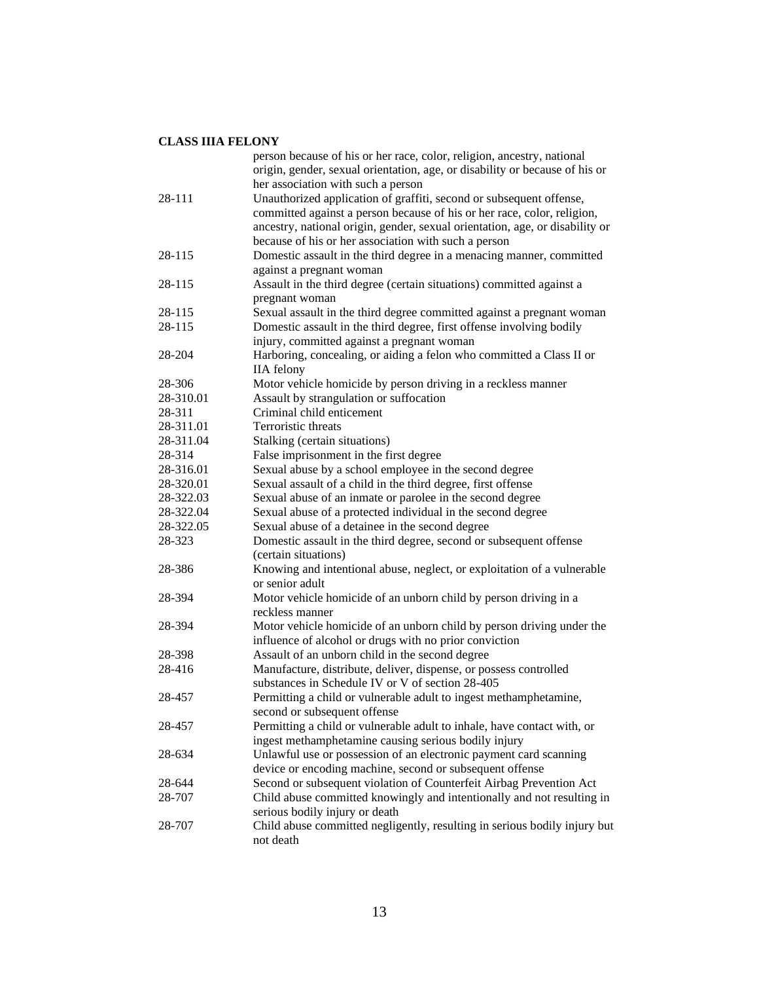#### **CLASS IIIA FELONY**

|           | person because of his or her race, color, religion, ancestry, national<br>origin, gender, sexual orientation, age, or disability or because of his or |
|-----------|-------------------------------------------------------------------------------------------------------------------------------------------------------|
|           | her association with such a person                                                                                                                    |
| 28-111    | Unauthorized application of graffiti, second or subsequent offense,                                                                                   |
|           | committed against a person because of his or her race, color, religion,                                                                               |
|           | ancestry, national origin, gender, sexual orientation, age, or disability or                                                                          |
|           | because of his or her association with such a person                                                                                                  |
| 28-115    | Domestic assault in the third degree in a menacing manner, committed                                                                                  |
|           | against a pregnant woman                                                                                                                              |
| 28-115    | Assault in the third degree (certain situations) committed against a                                                                                  |
|           | pregnant woman                                                                                                                                        |
| 28-115    | Sexual assault in the third degree committed against a pregnant woman                                                                                 |
| 28-115    | Domestic assault in the third degree, first offense involving bodily                                                                                  |
|           | injury, committed against a pregnant woman                                                                                                            |
| 28-204    | Harboring, concealing, or aiding a felon who committed a Class II or                                                                                  |
|           | <b>IIA</b> felony                                                                                                                                     |
| 28-306    | Motor vehicle homicide by person driving in a reckless manner                                                                                         |
| 28-310.01 | Assault by strangulation or suffocation                                                                                                               |
| 28-311    | Criminal child enticement                                                                                                                             |
| 28-311.01 | Terroristic threats                                                                                                                                   |
| 28-311.04 | Stalking (certain situations)                                                                                                                         |
| 28-314    | False imprisonment in the first degree                                                                                                                |
| 28-316.01 | Sexual abuse by a school employee in the second degree                                                                                                |
| 28-320.01 | Sexual assault of a child in the third degree, first offense                                                                                          |
| 28-322.03 | Sexual abuse of an inmate or parolee in the second degree                                                                                             |
| 28-322.04 | Sexual abuse of a protected individual in the second degree                                                                                           |
| 28-322.05 | Sexual abuse of a detainee in the second degree                                                                                                       |
| 28-323    | Domestic assault in the third degree, second or subsequent offense                                                                                    |
|           | (certain situations)                                                                                                                                  |
| 28-386    | Knowing and intentional abuse, neglect, or exploitation of a vulnerable                                                                               |
|           | or senior adult                                                                                                                                       |
| 28-394    | Motor vehicle homicide of an unborn child by person driving in a                                                                                      |
|           | reckless manner                                                                                                                                       |
| 28-394    | Motor vehicle homicide of an unborn child by person driving under the                                                                                 |
|           | influence of alcohol or drugs with no prior conviction                                                                                                |
| 28-398    | Assault of an unborn child in the second degree                                                                                                       |
| 28-416    | Manufacture, distribute, deliver, dispense, or possess controlled                                                                                     |
|           | substances in Schedule IV or V of section 28-405                                                                                                      |
| 28-457    | Permitting a child or vulnerable adult to ingest methamphetamine,                                                                                     |
|           | second or subsequent offense                                                                                                                          |
| 28-457    | Permitting a child or vulnerable adult to inhale, have contact with, or                                                                               |
|           | ingest methamphetamine causing serious bodily injury                                                                                                  |
| 28-634    | Unlawful use or possession of an electronic payment card scanning                                                                                     |
|           | device or encoding machine, second or subsequent offense                                                                                              |
| 28-644    | Second or subsequent violation of Counterfeit Airbag Prevention Act                                                                                   |
| 28-707    | Child abuse committed knowingly and intentionally and not resulting in                                                                                |
|           | serious bodily injury or death                                                                                                                        |
| 28-707    | Child abuse committed negligently, resulting in serious bodily injury but                                                                             |
|           | not death                                                                                                                                             |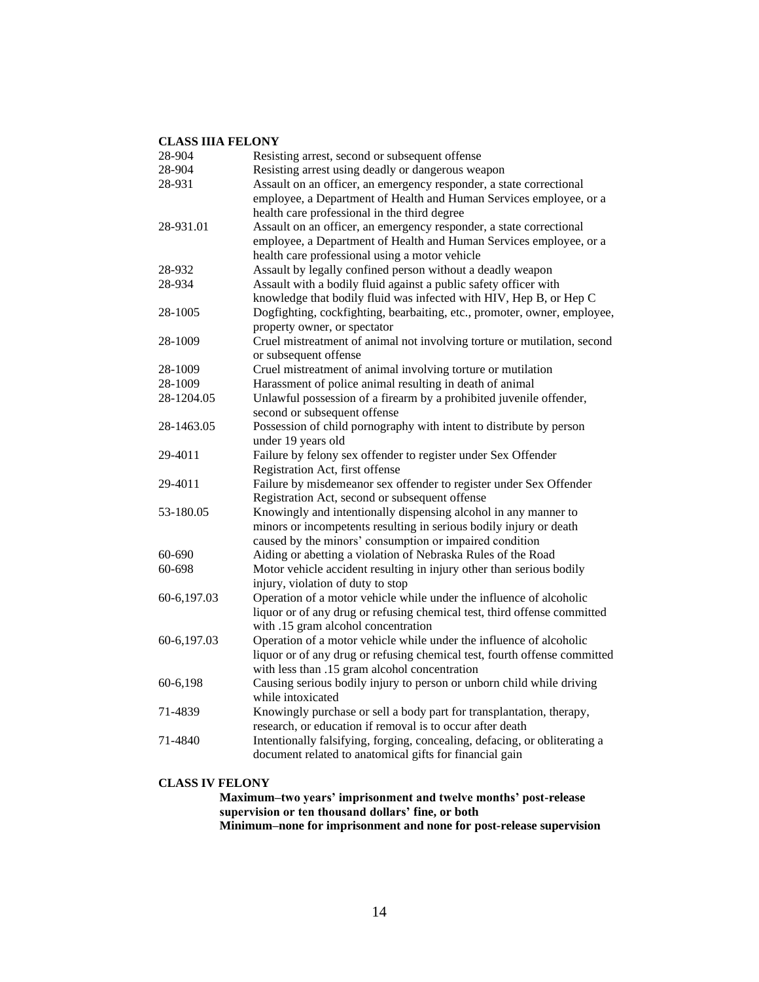#### **CLASS IIIA FELONY**

| 28-904      | Resisting arrest, second or subsequent offense                             |
|-------------|----------------------------------------------------------------------------|
| 28-904      | Resisting arrest using deadly or dangerous weapon                          |
| 28-931      | Assault on an officer, an emergency responder, a state correctional        |
|             | employee, a Department of Health and Human Services employee, or a         |
|             | health care professional in the third degree                               |
| 28-931.01   | Assault on an officer, an emergency responder, a state correctional        |
|             | employee, a Department of Health and Human Services employee, or a         |
|             | health care professional using a motor vehicle                             |
| 28-932      | Assault by legally confined person without a deadly weapon                 |
| 28-934      | Assault with a bodily fluid against a public safety officer with           |
|             | knowledge that bodily fluid was infected with HIV, Hep B, or Hep C         |
| 28-1005     | Dogfighting, cockfighting, bearbaiting, etc., promoter, owner, employee,   |
|             | property owner, or spectator                                               |
| 28-1009     | Cruel mistreatment of animal not involving torture or mutilation, second   |
|             | or subsequent offense                                                      |
| 28-1009     | Cruel mistreatment of animal involving torture or mutilation               |
| 28-1009     | Harassment of police animal resulting in death of animal                   |
| 28-1204.05  | Unlawful possession of a firearm by a prohibited juvenile offender,        |
|             | second or subsequent offense                                               |
| 28-1463.05  | Possession of child pornography with intent to distribute by person        |
|             | under 19 years old                                                         |
| 29-4011     | Failure by felony sex offender to register under Sex Offender              |
|             | Registration Act, first offense                                            |
| 29-4011     | Failure by misdemeanor sex offender to register under Sex Offender         |
|             | Registration Act, second or subsequent offense                             |
| 53-180.05   | Knowingly and intentionally dispensing alcohol in any manner to            |
|             | minors or incompetents resulting in serious bodily injury or death         |
|             | caused by the minors' consumption or impaired condition                    |
| 60-690      | Aiding or abetting a violation of Nebraska Rules of the Road               |
| 60-698      | Motor vehicle accident resulting in injury other than serious bodily       |
|             | injury, violation of duty to stop                                          |
| 60-6,197.03 | Operation of a motor vehicle while under the influence of alcoholic        |
|             | liquor or of any drug or refusing chemical test, third offense committed   |
|             | with .15 gram alcohol concentration                                        |
| 60-6,197.03 | Operation of a motor vehicle while under the influence of alcoholic        |
|             | liquor or of any drug or refusing chemical test, fourth offense committed  |
|             | with less than .15 gram alcohol concentration                              |
| 60-6,198    | Causing serious bodily injury to person or unborn child while driving      |
|             | while intoxicated                                                          |
| 71-4839     | Knowingly purchase or sell a body part for transplantation, therapy,       |
|             | research, or education if removal is to occur after death                  |
| 71-4840     | Intentionally falsifying, forging, concealing, defacing, or obliterating a |
|             | document related to anatomical gifts for financial gain                    |

#### **CLASS IV FELONY**

**Maximum–two years' imprisonment and twelve months' post-release supervision or ten thousand dollars' fine, or both Minimum–none for imprisonment and none for post-release supervision**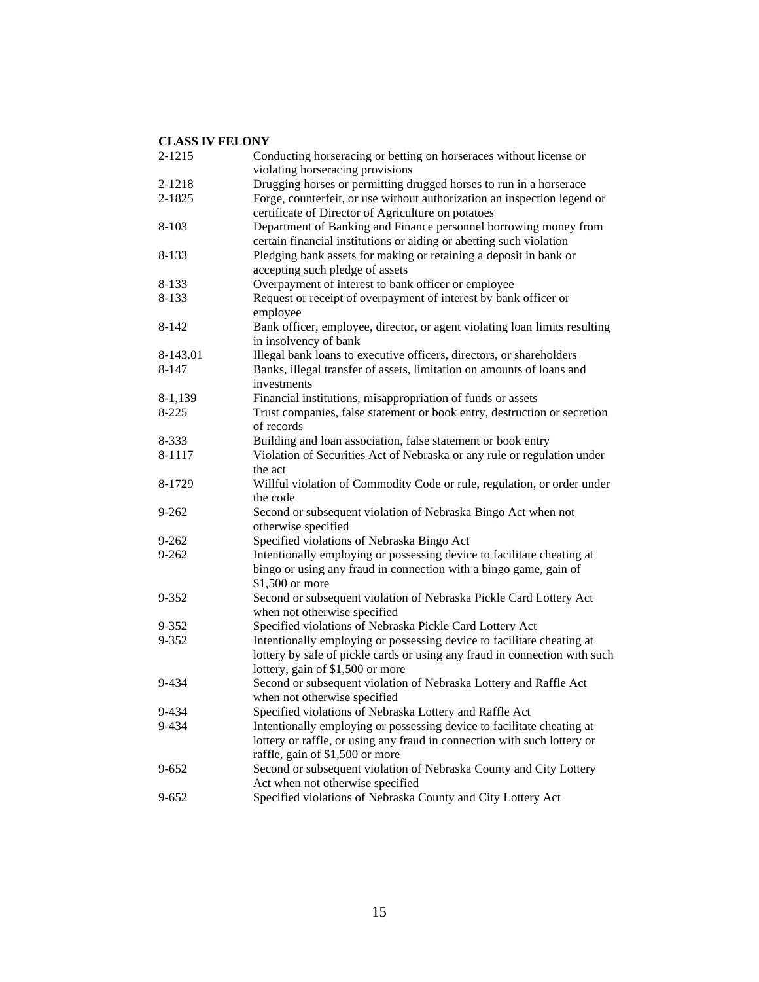| 2-1215    | Conducting horseracing or betting on horseraces without license or         |
|-----------|----------------------------------------------------------------------------|
|           | violating horseracing provisions                                           |
| 2-1218    | Drugging horses or permitting drugged horses to run in a horserace         |
| 2-1825    | Forge, counterfeit, or use without authorization an inspection legend or   |
|           | certificate of Director of Agriculture on potatoes                         |
| $8 - 103$ | Department of Banking and Finance personnel borrowing money from           |
|           | certain financial institutions or aiding or abetting such violation        |
| 8-133     | Pledging bank assets for making or retaining a deposit in bank or          |
|           | accepting such pledge of assets                                            |
| 8-133     | Overpayment of interest to bank officer or employee                        |
| 8-133     | Request or receipt of overpayment of interest by bank officer or           |
|           | employee                                                                   |
| $8 - 142$ | Bank officer, employee, director, or agent violating loan limits resulting |
|           | in insolvency of bank                                                      |
| 8-143.01  | Illegal bank loans to executive officers, directors, or shareholders       |
| 8-147     | Banks, illegal transfer of assets, limitation on amounts of loans and      |
|           | investments                                                                |
| 8-1,139   | Financial institutions, misappropriation of funds or assets                |
| $8 - 225$ | Trust companies, false statement or book entry, destruction or secretion   |
|           | of records                                                                 |
| 8-333     | Building and loan association, false statement or book entry               |
| 8-1117    | Violation of Securities Act of Nebraska or any rule or regulation under    |
|           | the act                                                                    |
| 8-1729    | Willful violation of Commodity Code or rule, regulation, or order under    |
|           | the code                                                                   |
| $9 - 262$ | Second or subsequent violation of Nebraska Bingo Act when not              |
|           | otherwise specified                                                        |
| $9 - 262$ | Specified violations of Nebraska Bingo Act                                 |
| $9 - 262$ | Intentionally employing or possessing device to facilitate cheating at     |
|           | bingo or using any fraud in connection with a bingo game, gain of          |
|           | \$1,500 or more                                                            |
| 9-352     | Second or subsequent violation of Nebraska Pickle Card Lottery Act         |
|           | when not otherwise specified                                               |
| 9-352     | Specified violations of Nebraska Pickle Card Lottery Act                   |
| 9-352     | Intentionally employing or possessing device to facilitate cheating at     |
|           | lottery by sale of pickle cards or using any fraud in connection with such |
|           | lottery, gain of \$1,500 or more                                           |
| 9-434     | Second or subsequent violation of Nebraska Lottery and Raffle Act          |
|           | when not otherwise specified                                               |
| 9-434     | Specified violations of Nebraska Lottery and Raffle Act                    |
| 9-434     | Intentionally employing or possessing device to facilitate cheating at     |
|           | lottery or raffle, or using any fraud in connection with such lottery or   |
|           | raffle, gain of \$1,500 or more                                            |
| $9 - 652$ | Second or subsequent violation of Nebraska County and City Lottery         |
|           | Act when not otherwise specified                                           |
| $9 - 652$ | Specified violations of Nebraska County and City Lottery Act               |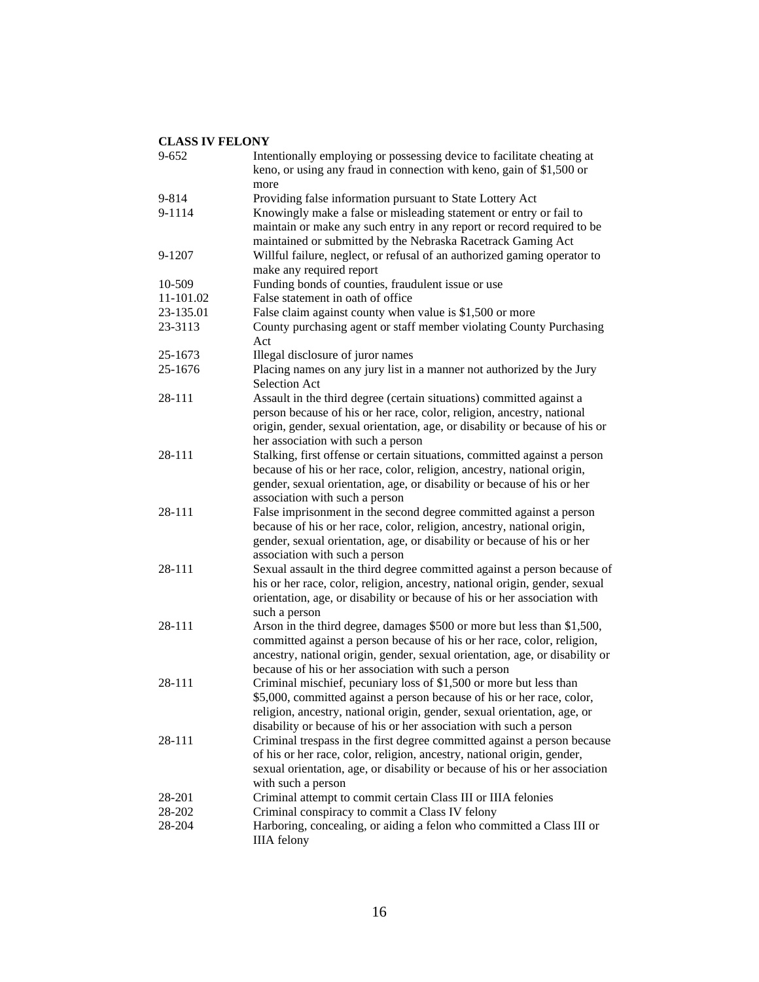| $9 - 652$ | Intentionally employing or possessing device to facilitate cheating at<br>keno, or using any fraud in connection with keno, gain of \$1,500 or                                                                                                                                                 |
|-----------|------------------------------------------------------------------------------------------------------------------------------------------------------------------------------------------------------------------------------------------------------------------------------------------------|
| 9-814     | more                                                                                                                                                                                                                                                                                           |
| 9-1114    | Providing false information pursuant to State Lottery Act<br>Knowingly make a false or misleading statement or entry or fail to<br>maintain or make any such entry in any report or record required to be<br>maintained or submitted by the Nebraska Racetrack Gaming Act                      |
| 9-1207    | Willful failure, neglect, or refusal of an authorized gaming operator to<br>make any required report                                                                                                                                                                                           |
| 10-509    | Funding bonds of counties, fraudulent issue or use                                                                                                                                                                                                                                             |
| 11-101.02 | False statement in oath of office                                                                                                                                                                                                                                                              |
| 23-135.01 | False claim against county when value is \$1,500 or more                                                                                                                                                                                                                                       |
| 23-3113   | County purchasing agent or staff member violating County Purchasing<br>Act                                                                                                                                                                                                                     |
| 25-1673   | Illegal disclosure of juror names                                                                                                                                                                                                                                                              |
| 25-1676   | Placing names on any jury list in a manner not authorized by the Jury<br>Selection Act                                                                                                                                                                                                         |
| 28-111    | Assault in the third degree (certain situations) committed against a<br>person because of his or her race, color, religion, ancestry, national<br>origin, gender, sexual orientation, age, or disability or because of his or<br>her association with such a person                            |
| 28-111    | Stalking, first offense or certain situations, committed against a person<br>because of his or her race, color, religion, ancestry, national origin,<br>gender, sexual orientation, age, or disability or because of his or her<br>association with such a person                              |
| 28-111    | False imprisonment in the second degree committed against a person<br>because of his or her race, color, religion, ancestry, national origin,<br>gender, sexual orientation, age, or disability or because of his or her<br>association with such a person                                     |
| 28-111    | Sexual assault in the third degree committed against a person because of<br>his or her race, color, religion, ancestry, national origin, gender, sexual<br>orientation, age, or disability or because of his or her association with<br>such a person                                          |
| 28-111    | Arson in the third degree, damages \$500 or more but less than \$1,500,<br>committed against a person because of his or her race, color, religion,<br>ancestry, national origin, gender, sexual orientation, age, or disability or<br>because of his or her association with such a person     |
| 28-111    | Criminal mischief, pecuniary loss of \$1,500 or more but less than<br>\$5,000, committed against a person because of his or her race, color,<br>religion, ancestry, national origin, gender, sexual orientation, age, or<br>disability or because of his or her association with such a person |
| 28-111    | Criminal trespass in the first degree committed against a person because<br>of his or her race, color, religion, ancestry, national origin, gender,<br>sexual orientation, age, or disability or because of his or her association<br>with such a person                                       |
| 28-201    | Criminal attempt to commit certain Class III or IIIA felonies                                                                                                                                                                                                                                  |
| 28-202    | Criminal conspiracy to commit a Class IV felony                                                                                                                                                                                                                                                |
| 28-204    | Harboring, concealing, or aiding a felon who committed a Class III or<br><b>IIIA</b> felony                                                                                                                                                                                                    |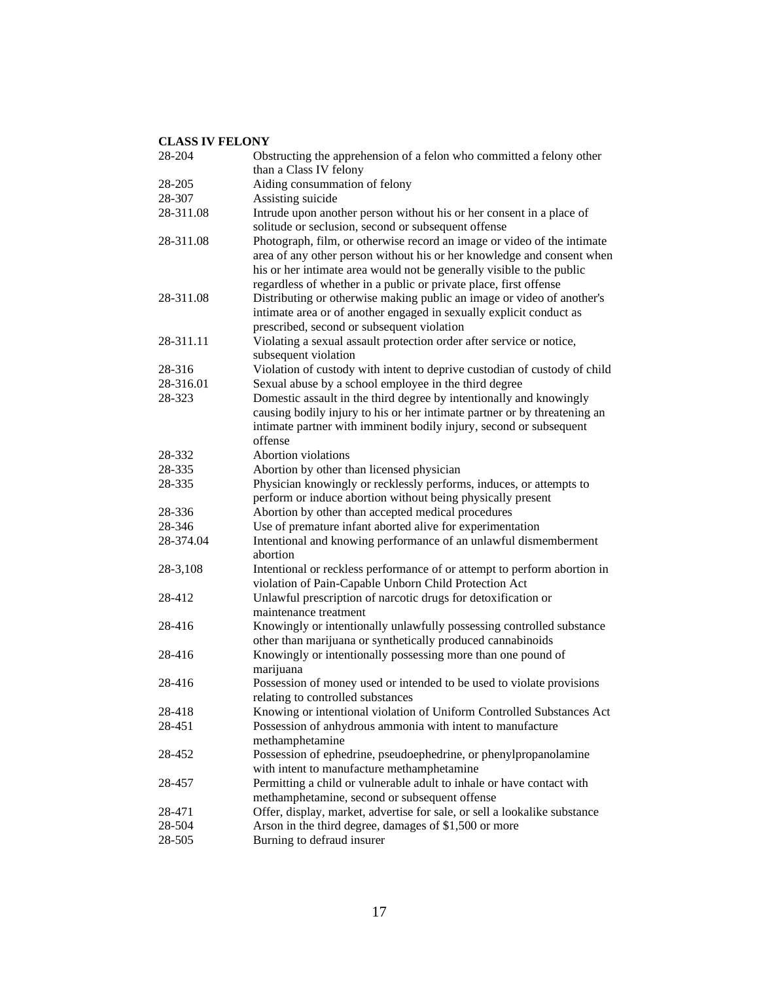| 28-204    | Obstructing the apprehension of a felon who committed a felony other                                                                                                                                                                                                                            |
|-----------|-------------------------------------------------------------------------------------------------------------------------------------------------------------------------------------------------------------------------------------------------------------------------------------------------|
|           | than a Class IV felony                                                                                                                                                                                                                                                                          |
| 28-205    | Aiding consummation of felony                                                                                                                                                                                                                                                                   |
| 28-307    | Assisting suicide                                                                                                                                                                                                                                                                               |
| 28-311.08 | Intrude upon another person without his or her consent in a place of<br>solitude or seclusion, second or subsequent offense                                                                                                                                                                     |
| 28-311.08 | Photograph, film, or otherwise record an image or video of the intimate<br>area of any other person without his or her knowledge and consent when<br>his or her intimate area would not be generally visible to the public<br>regardless of whether in a public or private place, first offense |
| 28-311.08 | Distributing or otherwise making public an image or video of another's<br>intimate area or of another engaged in sexually explicit conduct as<br>prescribed, second or subsequent violation                                                                                                     |
| 28-311.11 | Violating a sexual assault protection order after service or notice,<br>subsequent violation                                                                                                                                                                                                    |
| 28-316    | Violation of custody with intent to deprive custodian of custody of child                                                                                                                                                                                                                       |
| 28-316.01 | Sexual abuse by a school employee in the third degree                                                                                                                                                                                                                                           |
| 28-323    | Domestic assault in the third degree by intentionally and knowingly                                                                                                                                                                                                                             |
|           | causing bodily injury to his or her intimate partner or by threatening an<br>intimate partner with imminent bodily injury, second or subsequent<br>offense                                                                                                                                      |
| 28-332    | Abortion violations                                                                                                                                                                                                                                                                             |
| 28-335    | Abortion by other than licensed physician                                                                                                                                                                                                                                                       |
| 28-335    | Physician knowingly or recklessly performs, induces, or attempts to                                                                                                                                                                                                                             |
|           | perform or induce abortion without being physically present                                                                                                                                                                                                                                     |
| 28-336    | Abortion by other than accepted medical procedures                                                                                                                                                                                                                                              |
| 28-346    | Use of premature infant aborted alive for experimentation                                                                                                                                                                                                                                       |
| 28-374.04 | Intentional and knowing performance of an unlawful dismemberment<br>abortion                                                                                                                                                                                                                    |
| 28-3,108  | Intentional or reckless performance of or attempt to perform abortion in<br>violation of Pain-Capable Unborn Child Protection Act                                                                                                                                                               |
| 28-412    | Unlawful prescription of narcotic drugs for detoxification or<br>maintenance treatment                                                                                                                                                                                                          |
| 28-416    | Knowingly or intentionally unlawfully possessing controlled substance                                                                                                                                                                                                                           |
|           | other than marijuana or synthetically produced cannabinoids                                                                                                                                                                                                                                     |
| 28-416    | Knowingly or intentionally possessing more than one pound of<br>marijuana                                                                                                                                                                                                                       |
| 28-416    | Possession of money used or intended to be used to violate provisions<br>relating to controlled substances                                                                                                                                                                                      |
| 28-418    | Knowing or intentional violation of Uniform Controlled Substances Act                                                                                                                                                                                                                           |
| 28-451    | Possession of anhydrous ammonia with intent to manufacture<br>methamphetamine                                                                                                                                                                                                                   |
| 28-452    | Possession of ephedrine, pseudoephedrine, or phenylpropanolamine                                                                                                                                                                                                                                |
|           | with intent to manufacture methamphetamine                                                                                                                                                                                                                                                      |
| 28-457    | Permitting a child or vulnerable adult to inhale or have contact with<br>methamphetamine, second or subsequent offense                                                                                                                                                                          |
| 28-471    | Offer, display, market, advertise for sale, or sell a lookalike substance                                                                                                                                                                                                                       |
| 28-504    | Arson in the third degree, damages of \$1,500 or more                                                                                                                                                                                                                                           |
| 28-505    | Burning to defraud insurer                                                                                                                                                                                                                                                                      |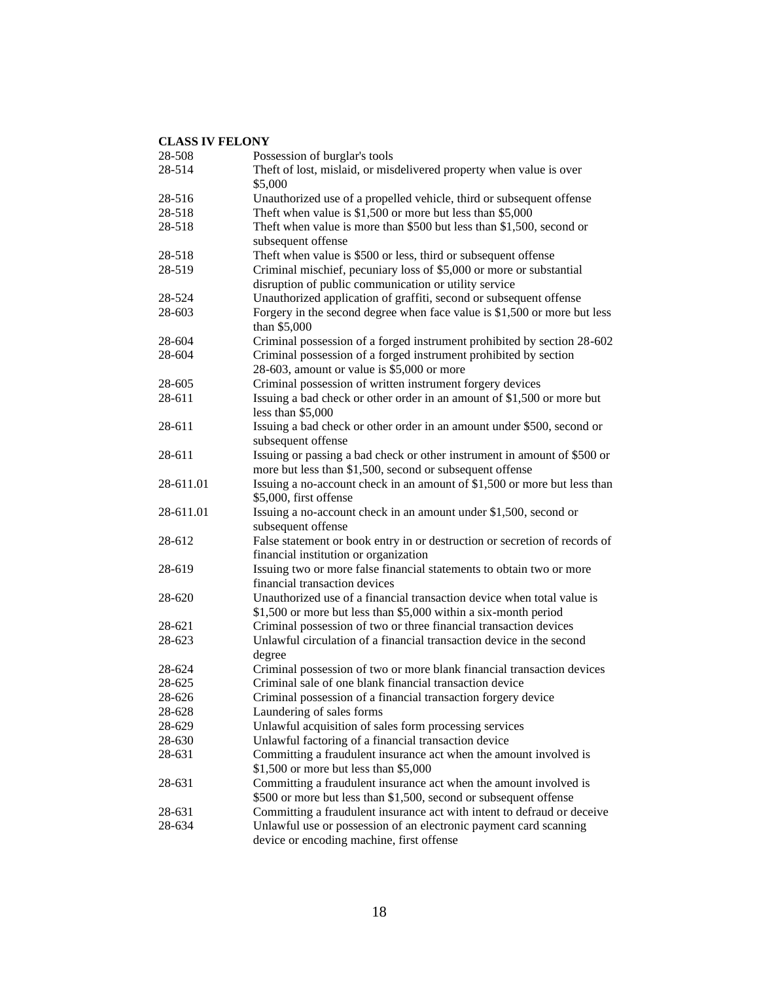| 28-508    | Possession of burglar's tools                                                                                                             |
|-----------|-------------------------------------------------------------------------------------------------------------------------------------------|
| 28-514    | Theft of lost, mislaid, or misdelivered property when value is over<br>\$5,000                                                            |
| 28-516    | Unauthorized use of a propelled vehicle, third or subsequent offense                                                                      |
| 28-518    | Theft when value is $$1,500$ or more but less than $$5,000$                                                                               |
| 28-518    | Theft when value is more than \$500 but less than \$1,500, second or<br>subsequent offense                                                |
| 28-518    | Theft when value is \$500 or less, third or subsequent offense                                                                            |
| 28-519    | Criminal mischief, pecuniary loss of \$5,000 or more or substantial<br>disruption of public communication or utility service              |
| 28-524    | Unauthorized application of graffiti, second or subsequent offense                                                                        |
| 28-603    | Forgery in the second degree when face value is $$1,500$ or more but less<br>than \$5,000                                                 |
| 28-604    | Criminal possession of a forged instrument prohibited by section 28-602                                                                   |
| 28-604    | Criminal possession of a forged instrument prohibited by section<br>28-603, amount or value is \$5,000 or more                            |
| 28-605    | Criminal possession of written instrument forgery devices                                                                                 |
| 28-611    | Issuing a bad check or other order in an amount of \$1,500 or more but<br>less than $$5,000$                                              |
| 28-611    | Issuing a bad check or other order in an amount under \$500, second or<br>subsequent offense                                              |
| 28-611    | Issuing or passing a bad check or other instrument in amount of \$500 or<br>more but less than \$1,500, second or subsequent offense      |
| 28-611.01 | Issuing a no-account check in an amount of \$1,500 or more but less than<br>\$5,000, first offense                                        |
| 28-611.01 | Issuing a no-account check in an amount under \$1,500, second or<br>subsequent offense                                                    |
| 28-612    | False statement or book entry in or destruction or secretion of records of<br>financial institution or organization                       |
| 28-619    | Issuing two or more false financial statements to obtain two or more<br>financial transaction devices                                     |
| 28-620    | Unauthorized use of a financial transaction device when total value is<br>\$1,500 or more but less than \$5,000 within a six-month period |
| 28-621    | Criminal possession of two or three financial transaction devices                                                                         |
| 28-623    | Unlawful circulation of a financial transaction device in the second<br>degree                                                            |
| 28-624    | Criminal possession of two or more blank financial transaction devices                                                                    |
| 28-625    | Criminal sale of one blank financial transaction device                                                                                   |
| 28-626    | Criminal possession of a financial transaction forgery device                                                                             |
| 28-628    | Laundering of sales forms                                                                                                                 |
| 28-629    | Unlawful acquisition of sales form processing services                                                                                    |
| 28-630    | Unlawful factoring of a financial transaction device                                                                                      |
| 28-631    | Committing a fraudulent insurance act when the amount involved is<br>\$1,500 or more but less than \$5,000                                |
| 28-631    | Committing a fraudulent insurance act when the amount involved is<br>\$500 or more but less than \$1,500, second or subsequent offense    |
| 28-631    | Committing a fraudulent insurance act with intent to defraud or deceive                                                                   |
| 28-634    | Unlawful use or possession of an electronic payment card scanning<br>device or encoding machine, first offense                            |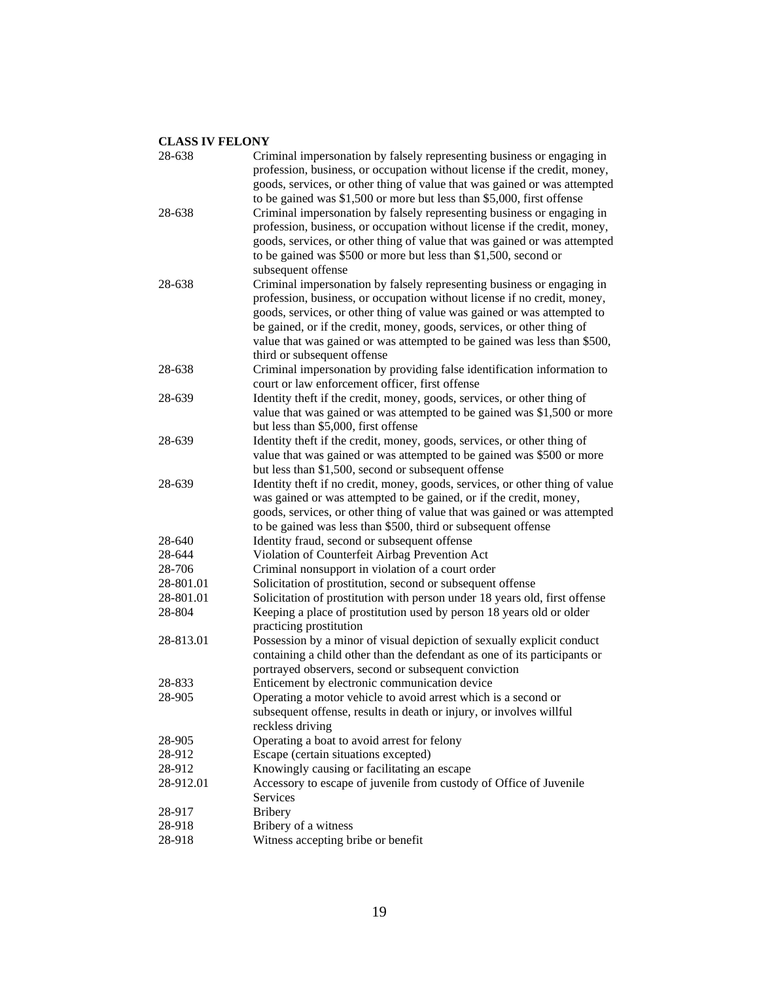| 28-638    | Criminal impersonation by falsely representing business or engaging in<br>profession, business, or occupation without license if the credit, money,                                                                                                                                                                                                                                                                |
|-----------|--------------------------------------------------------------------------------------------------------------------------------------------------------------------------------------------------------------------------------------------------------------------------------------------------------------------------------------------------------------------------------------------------------------------|
|           | goods, services, or other thing of value that was gained or was attempted                                                                                                                                                                                                                                                                                                                                          |
| 28-638    | to be gained was \$1,500 or more but less than \$5,000, first offense<br>Criminal impersonation by falsely representing business or engaging in<br>profession, business, or occupation without license if the credit, money,                                                                                                                                                                                       |
|           | goods, services, or other thing of value that was gained or was attempted<br>to be gained was \$500 or more but less than \$1,500, second or                                                                                                                                                                                                                                                                       |
|           | subsequent offense                                                                                                                                                                                                                                                                                                                                                                                                 |
| 28-638    | Criminal impersonation by falsely representing business or engaging in<br>profession, business, or occupation without license if no credit, money,<br>goods, services, or other thing of value was gained or was attempted to<br>be gained, or if the credit, money, goods, services, or other thing of<br>value that was gained or was attempted to be gained was less than \$500,<br>third or subsequent offense |
| 28-638    | Criminal impersonation by providing false identification information to<br>court or law enforcement officer, first offense                                                                                                                                                                                                                                                                                         |
| 28-639    | Identity theft if the credit, money, goods, services, or other thing of<br>value that was gained or was attempted to be gained was \$1,500 or more<br>but less than \$5,000, first offense                                                                                                                                                                                                                         |
| 28-639    | Identity theft if the credit, money, goods, services, or other thing of<br>value that was gained or was attempted to be gained was \$500 or more<br>but less than \$1,500, second or subsequent offense                                                                                                                                                                                                            |
| 28-639    | Identity theft if no credit, money, goods, services, or other thing of value<br>was gained or was attempted to be gained, or if the credit, money,<br>goods, services, or other thing of value that was gained or was attempted<br>to be gained was less than \$500, third or subsequent offense                                                                                                                   |
| 28-640    | Identity fraud, second or subsequent offense                                                                                                                                                                                                                                                                                                                                                                       |
| 28-644    | Violation of Counterfeit Airbag Prevention Act                                                                                                                                                                                                                                                                                                                                                                     |
| 28-706    | Criminal nonsupport in violation of a court order                                                                                                                                                                                                                                                                                                                                                                  |
| 28-801.01 | Solicitation of prostitution, second or subsequent offense                                                                                                                                                                                                                                                                                                                                                         |
| 28-801.01 | Solicitation of prostitution with person under 18 years old, first offense                                                                                                                                                                                                                                                                                                                                         |
| 28-804    | Keeping a place of prostitution used by person 18 years old or older<br>practicing prostitution                                                                                                                                                                                                                                                                                                                    |
| 28-813.01 | Possession by a minor of visual depiction of sexually explicit conduct<br>containing a child other than the defendant as one of its participants or<br>portrayed observers, second or subsequent conviction                                                                                                                                                                                                        |
| 28-833    | Enticement by electronic communication device                                                                                                                                                                                                                                                                                                                                                                      |
| 28-905    | Operating a motor vehicle to avoid arrest which is a second or                                                                                                                                                                                                                                                                                                                                                     |
|           | subsequent offense, results in death or injury, or involves willful<br>reckless driving                                                                                                                                                                                                                                                                                                                            |
| 28-905    | Operating a boat to avoid arrest for felony                                                                                                                                                                                                                                                                                                                                                                        |
| 28-912    | Escape (certain situations excepted)                                                                                                                                                                                                                                                                                                                                                                               |
| 28-912    | Knowingly causing or facilitating an escape                                                                                                                                                                                                                                                                                                                                                                        |
| 28-912.01 | Accessory to escape of juvenile from custody of Office of Juvenile                                                                                                                                                                                                                                                                                                                                                 |
|           | Services                                                                                                                                                                                                                                                                                                                                                                                                           |
| 28-917    | <b>Bribery</b>                                                                                                                                                                                                                                                                                                                                                                                                     |
| 28-918    | Bribery of a witness                                                                                                                                                                                                                                                                                                                                                                                               |
| 28-918    | Witness accepting bribe or benefit                                                                                                                                                                                                                                                                                                                                                                                 |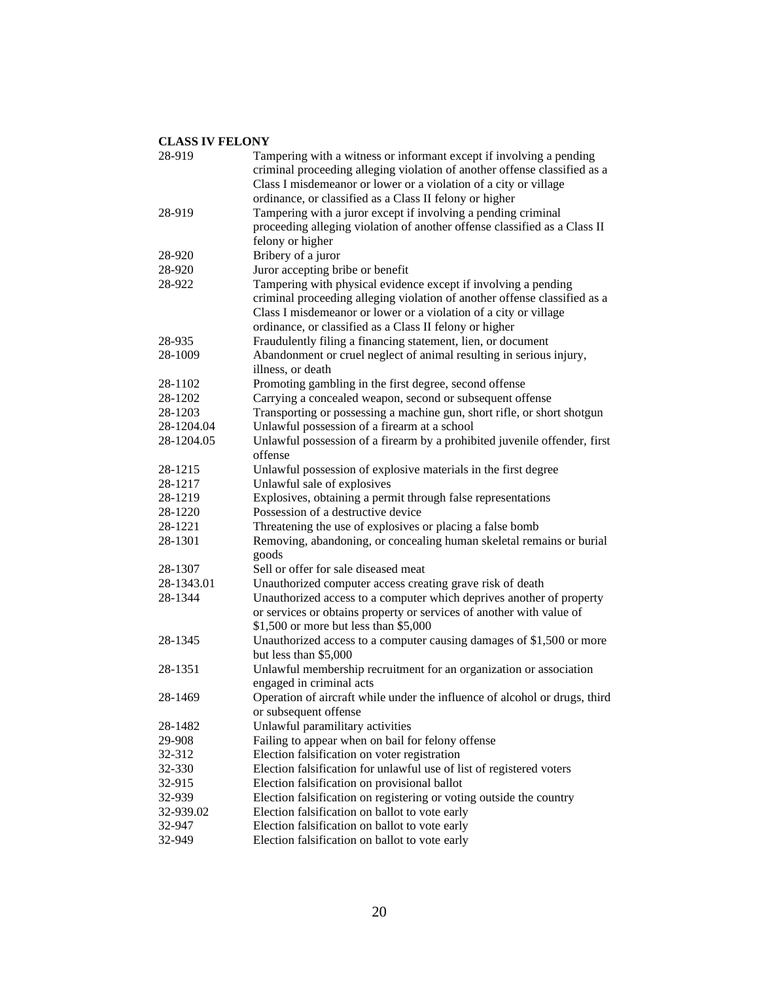| 28-919     | Tampering with a witness or informant except if involving a pending           |
|------------|-------------------------------------------------------------------------------|
|            | criminal proceeding alleging violation of another offense classified as a     |
|            | Class I misdemeanor or lower or a violation of a city or village              |
|            | ordinance, or classified as a Class II felony or higher                       |
| 28-919     | Tampering with a juror except if involving a pending criminal                 |
|            | proceeding alleging violation of another offense classified as a Class II     |
|            | felony or higher                                                              |
| 28-920     | Bribery of a juror                                                            |
| 28-920     | Juror accepting bribe or benefit                                              |
| 28-922     | Tampering with physical evidence except if involving a pending                |
|            | criminal proceeding alleging violation of another offense classified as a     |
|            | Class I misdemeanor or lower or a violation of a city or village              |
|            | ordinance, or classified as a Class II felony or higher                       |
| 28-935     | Fraudulently filing a financing statement, lien, or document                  |
| 28-1009    | Abandonment or cruel neglect of animal resulting in serious injury,           |
|            | illness, or death                                                             |
| 28-1102    | Promoting gambling in the first degree, second offense                        |
| 28-1202    | Carrying a concealed weapon, second or subsequent offense                     |
| 28-1203    | Transporting or possessing a machine gun, short rifle, or short shotgun       |
| 28-1204.04 | Unlawful possession of a firearm at a school                                  |
| 28-1204.05 | Unlawful possession of a firearm by a prohibited juvenile offender, first     |
|            | offense                                                                       |
| 28-1215    | Unlawful possession of explosive materials in the first degree                |
| 28-1217    | Unlawful sale of explosives                                                   |
| 28-1219    | Explosives, obtaining a permit through false representations                  |
| 28-1220    | Possession of a destructive device                                            |
| 28-1221    | Threatening the use of explosives or placing a false bomb                     |
| 28-1301    | Removing, abandoning, or concealing human skeletal remains or burial<br>goods |
| 28-1307    | Sell or offer for sale diseased meat                                          |
| 28-1343.01 | Unauthorized computer access creating grave risk of death                     |
| 28-1344    | Unauthorized access to a computer which deprives another of property          |
|            | or services or obtains property or services of another with value of          |
|            | \$1,500 or more but less than \$5,000                                         |
| 28-1345    | Unauthorized access to a computer causing damages of \$1,500 or more          |
|            | but less than \$5,000                                                         |
| 28-1351    | Unlawful membership recruitment for an organization or association            |
|            | engaged in criminal acts                                                      |
| 28-1469    | Operation of aircraft while under the influence of alcohol or drugs, third    |
|            | or subsequent offense                                                         |
| 28-1482    | Unlawful paramilitary activities                                              |
| 29-908     | Failing to appear when on bail for felony offense                             |
| 32-312     | Election falsification on voter registration                                  |
| 32-330     | Election falsification for unlawful use of list of registered voters          |
| 32-915     | Election falsification on provisional ballot                                  |
| 32-939     | Election falsification on registering or voting outside the country           |
| 32-939.02  | Election falsification on ballot to vote early                                |
| 32-947     | Election falsification on ballot to vote early                                |
| 32-949     | Election falsification on ballot to vote early                                |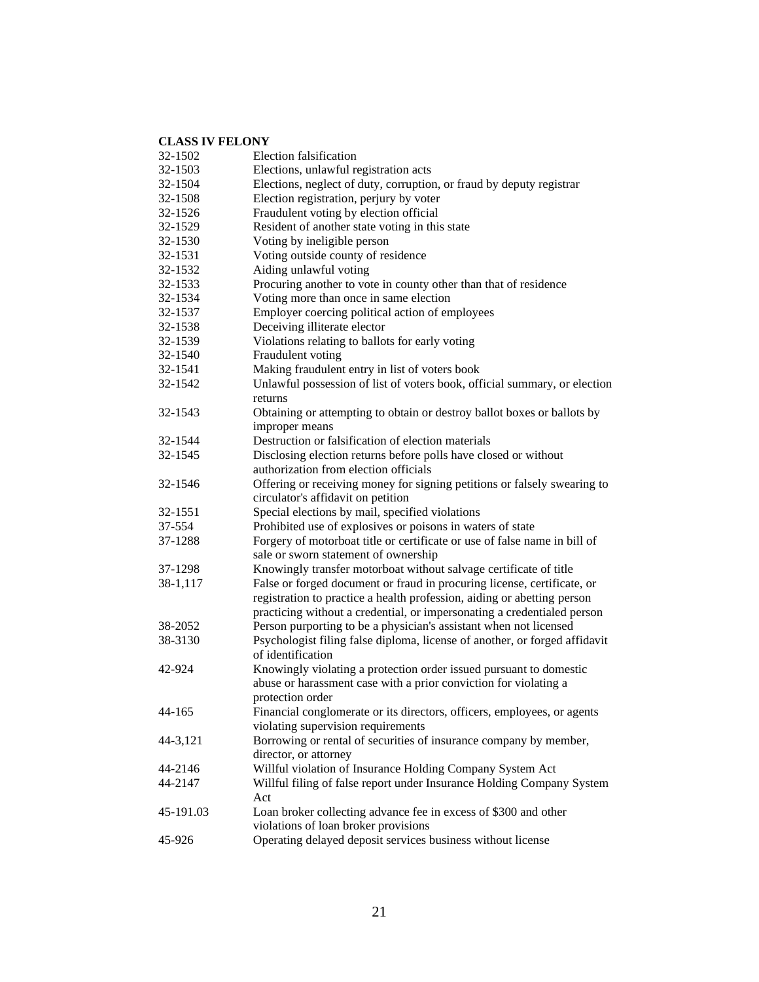# **CLASS IV FELONY**<br>32-1502 **Elec**

| 32-1502   | Election falsification                                                     |
|-----------|----------------------------------------------------------------------------|
| 32-1503   | Elections, unlawful registration acts                                      |
| 32-1504   | Elections, neglect of duty, corruption, or fraud by deputy registrar       |
| 32-1508   | Election registration, perjury by voter                                    |
| 32-1526   | Fraudulent voting by election official                                     |
| 32-1529   | Resident of another state voting in this state                             |
| 32-1530   | Voting by ineligible person                                                |
| 32-1531   | Voting outside county of residence                                         |
| 32-1532   | Aiding unlawful voting                                                     |
| 32-1533   | Procuring another to vote in county other than that of residence           |
| 32-1534   | Voting more than once in same election                                     |
| 32-1537   | Employer coercing political action of employees                            |
| 32-1538   | Deceiving illiterate elector                                               |
| 32-1539   | Violations relating to ballots for early voting                            |
| 32-1540   | Fraudulent voting                                                          |
| 32-1541   | Making fraudulent entry in list of voters book                             |
| 32-1542   | Unlawful possession of list of voters book, official summary, or election  |
|           | returns                                                                    |
| 32-1543   | Obtaining or attempting to obtain or destroy ballot boxes or ballots by    |
|           | improper means                                                             |
| 32-1544   | Destruction or falsification of election materials                         |
| 32-1545   | Disclosing election returns before polls have closed or without            |
|           | authorization from election officials                                      |
| 32-1546   | Offering or receiving money for signing petitions or falsely swearing to   |
|           | circulator's affidavit on petition                                         |
| 32-1551   | Special elections by mail, specified violations                            |
| 37-554    | Prohibited use of explosives or poisons in waters of state                 |
| 37-1288   | Forgery of motorboat title or certificate or use of false name in bill of  |
|           | sale or sworn statement of ownership                                       |
| 37-1298   | Knowingly transfer motorboat without salvage certificate of title          |
| 38-1,117  | False or forged document or fraud in procuring license, certificate, or    |
|           | registration to practice a health profession, aiding or abetting person    |
|           | practicing without a credential, or impersonating a credentialed person    |
| 38-2052   | Person purporting to be a physician's assistant when not licensed          |
| 38-3130   | Psychologist filing false diploma, license of another, or forged affidavit |
|           | of identification                                                          |
| 42-924    | Knowingly violating a protection order issued pursuant to domestic         |
|           | abuse or harassment case with a prior conviction for violating a           |
|           | protection order                                                           |
| 44-165    | Financial conglomerate or its directors, officers, employees, or agents    |
|           | violating supervision requirements                                         |
| 44-3,121  | Borrowing or rental of securities of insurance company by member,          |
|           | director, or attorney                                                      |
| 44-2146   | Willful violation of Insurance Holding Company System Act                  |
| 44-2147   | Willful filing of false report under Insurance Holding Company System      |
|           | Act                                                                        |
| 45-191.03 | Loan broker collecting advance fee in excess of \$300 and other            |
|           | violations of loan broker provisions                                       |
| 45-926    | Operating delayed deposit services business without license                |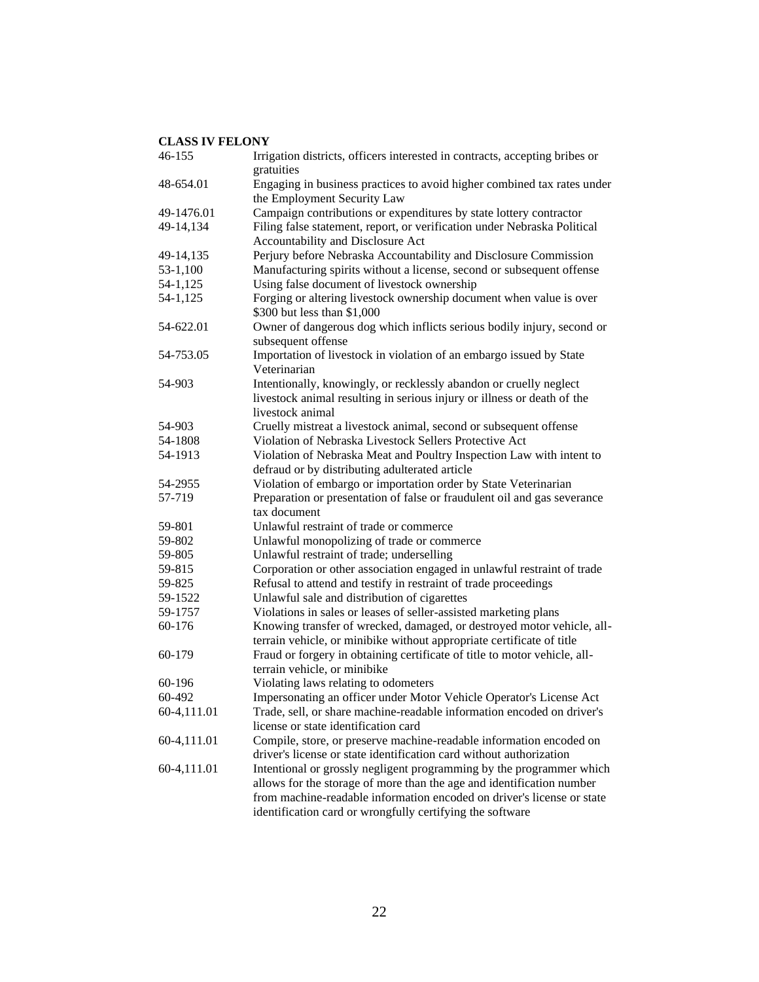| 46-155      | Irrigation districts, officers interested in contracts, accepting bribes or<br>gratuities                                                  |
|-------------|--------------------------------------------------------------------------------------------------------------------------------------------|
| 48-654.01   | Engaging in business practices to avoid higher combined tax rates under                                                                    |
|             | the Employment Security Law                                                                                                                |
| 49-1476.01  | Campaign contributions or expenditures by state lottery contractor                                                                         |
| 49-14,134   | Filing false statement, report, or verification under Nebraska Political                                                                   |
|             | Accountability and Disclosure Act                                                                                                          |
| 49-14,135   | Perjury before Nebraska Accountability and Disclosure Commission                                                                           |
| 53-1,100    | Manufacturing spirits without a license, second or subsequent offense                                                                      |
| 54-1,125    | Using false document of livestock ownership                                                                                                |
| 54-1,125    | Forging or altering livestock ownership document when value is over                                                                        |
|             | \$300 but less than \$1,000                                                                                                                |
| 54-622.01   | Owner of dangerous dog which inflicts serious bodily injury, second or<br>subsequent offense                                               |
| 54-753.05   | Importation of livestock in violation of an embargo issued by State                                                                        |
|             | Veterinarian                                                                                                                               |
| 54-903      | Intentionally, knowingly, or recklessly abandon or cruelly neglect                                                                         |
|             | livestock animal resulting in serious injury or illness or death of the                                                                    |
|             | livestock animal                                                                                                                           |
| 54-903      | Cruelly mistreat a livestock animal, second or subsequent offense                                                                          |
| 54-1808     | Violation of Nebraska Livestock Sellers Protective Act                                                                                     |
| 54-1913     | Violation of Nebraska Meat and Poultry Inspection Law with intent to                                                                       |
|             | defraud or by distributing adulterated article                                                                                             |
| 54-2955     | Violation of embargo or importation order by State Veterinarian                                                                            |
| 57-719      | Preparation or presentation of false or fraudulent oil and gas severance                                                                   |
|             | tax document                                                                                                                               |
| 59-801      | Unlawful restraint of trade or commerce                                                                                                    |
| 59-802      | Unlawful monopolizing of trade or commerce                                                                                                 |
| 59-805      | Unlawful restraint of trade; underselling                                                                                                  |
| 59-815      | Corporation or other association engaged in unlawful restraint of trade                                                                    |
| 59-825      | Refusal to attend and testify in restraint of trade proceedings                                                                            |
| 59-1522     | Unlawful sale and distribution of cigarettes                                                                                               |
| 59-1757     | Violations in sales or leases of seller-assisted marketing plans                                                                           |
| 60-176      | Knowing transfer of wrecked, damaged, or destroyed motor vehicle, all-                                                                     |
|             | terrain vehicle, or minibike without appropriate certificate of title                                                                      |
| 60-179      | Fraud or forgery in obtaining certificate of title to motor vehicle, all-                                                                  |
|             | terrain vehicle, or minibike                                                                                                               |
| 60-196      | Violating laws relating to odometers                                                                                                       |
| 60-492      | Impersonating an officer under Motor Vehicle Operator's License Act                                                                        |
| 60-4,111.01 | Trade, sell, or share machine-readable information encoded on driver's<br>license or state identification card                             |
| 60-4,111.01 |                                                                                                                                            |
|             | Compile, store, or preserve machine-readable information encoded on<br>driver's license or state identification card without authorization |
| 60-4,111.01 | Intentional or grossly negligent programming by the programmer which                                                                       |
|             | allows for the storage of more than the age and identification number                                                                      |
|             | from machine-readable information encoded on driver's license or state                                                                     |
|             | identification card or wrongfully certifying the software                                                                                  |
|             |                                                                                                                                            |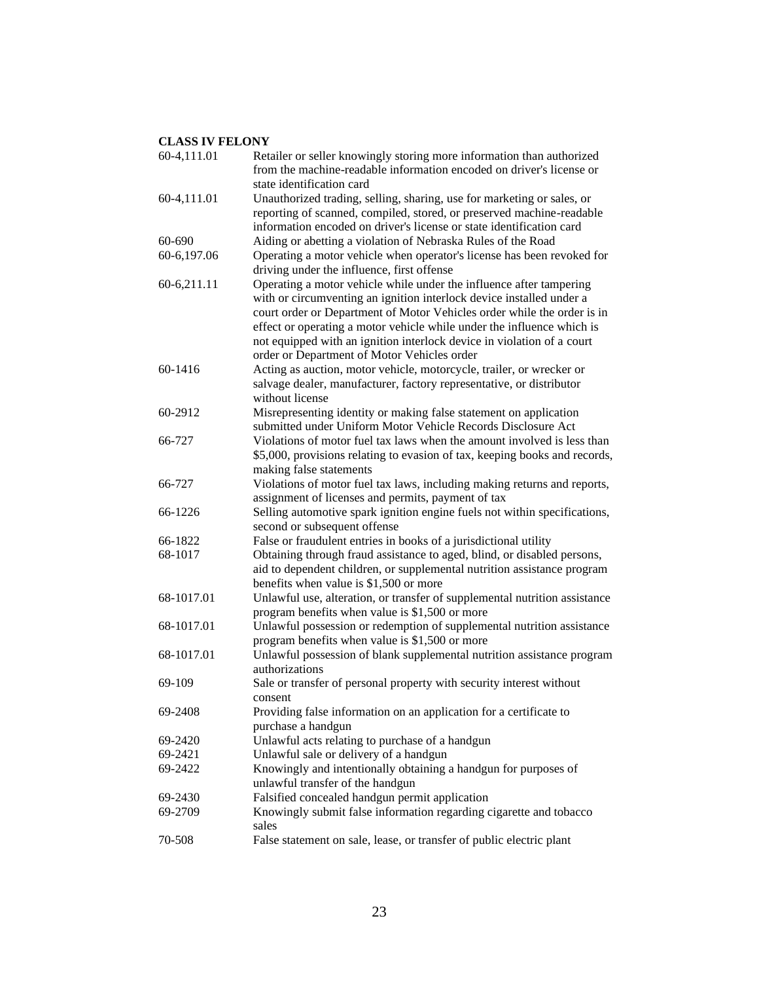| 60-4,111.01 | Retailer or seller knowingly storing more information than authorized<br>from the machine-readable information encoded on driver's license or<br>state identification card                                                                                                                                                                                                                                                |
|-------------|---------------------------------------------------------------------------------------------------------------------------------------------------------------------------------------------------------------------------------------------------------------------------------------------------------------------------------------------------------------------------------------------------------------------------|
| 60-4,111.01 | Unauthorized trading, selling, sharing, use for marketing or sales, or<br>reporting of scanned, compiled, stored, or preserved machine-readable<br>information encoded on driver's license or state identification card                                                                                                                                                                                                   |
| 60-690      | Aiding or abetting a violation of Nebraska Rules of the Road                                                                                                                                                                                                                                                                                                                                                              |
| 60-6,197.06 | Operating a motor vehicle when operator's license has been revoked for<br>driving under the influence, first offense                                                                                                                                                                                                                                                                                                      |
| 60-6,211.11 | Operating a motor vehicle while under the influence after tampering<br>with or circumventing an ignition interlock device installed under a<br>court order or Department of Motor Vehicles order while the order is in<br>effect or operating a motor vehicle while under the influence which is<br>not equipped with an ignition interlock device in violation of a court<br>order or Department of Motor Vehicles order |
| 60-1416     | Acting as auction, motor vehicle, motorcycle, trailer, or wrecker or<br>salvage dealer, manufacturer, factory representative, or distributor<br>without license                                                                                                                                                                                                                                                           |
| 60-2912     | Misrepresenting identity or making false statement on application<br>submitted under Uniform Motor Vehicle Records Disclosure Act                                                                                                                                                                                                                                                                                         |
| 66-727      | Violations of motor fuel tax laws when the amount involved is less than<br>\$5,000, provisions relating to evasion of tax, keeping books and records,<br>making false statements                                                                                                                                                                                                                                          |
| 66-727      | Violations of motor fuel tax laws, including making returns and reports,<br>assignment of licenses and permits, payment of tax                                                                                                                                                                                                                                                                                            |
| 66-1226     | Selling automotive spark ignition engine fuels not within specifications,<br>second or subsequent offense                                                                                                                                                                                                                                                                                                                 |
| 66-1822     | False or fraudulent entries in books of a jurisdictional utility                                                                                                                                                                                                                                                                                                                                                          |
| 68-1017     | Obtaining through fraud assistance to aged, blind, or disabled persons,<br>aid to dependent children, or supplemental nutrition assistance program<br>benefits when value is \$1,500 or more                                                                                                                                                                                                                              |
| 68-1017.01  | Unlawful use, alteration, or transfer of supplemental nutrition assistance<br>program benefits when value is \$1,500 or more                                                                                                                                                                                                                                                                                              |
| 68-1017.01  | Unlawful possession or redemption of supplemental nutrition assistance<br>program benefits when value is \$1,500 or more                                                                                                                                                                                                                                                                                                  |
| 68-1017.01  | Unlawful possession of blank supplemental nutrition assistance program<br>authorizations                                                                                                                                                                                                                                                                                                                                  |
| 69-109      | Sale or transfer of personal property with security interest without<br>consent                                                                                                                                                                                                                                                                                                                                           |
| 69-2408     | Providing false information on an application for a certificate to<br>purchase a handgun                                                                                                                                                                                                                                                                                                                                  |
| 69-2420     | Unlawful acts relating to purchase of a handgun                                                                                                                                                                                                                                                                                                                                                                           |
| 69-2421     | Unlawful sale or delivery of a handgun                                                                                                                                                                                                                                                                                                                                                                                    |
| 69-2422     | Knowingly and intentionally obtaining a handgun for purposes of<br>unlawful transfer of the handgun                                                                                                                                                                                                                                                                                                                       |
| 69-2430     | Falsified concealed handgun permit application                                                                                                                                                                                                                                                                                                                                                                            |
| 69-2709     | Knowingly submit false information regarding cigarette and tobacco<br>sales                                                                                                                                                                                                                                                                                                                                               |
| 70-508      | False statement on sale, lease, or transfer of public electric plant                                                                                                                                                                                                                                                                                                                                                      |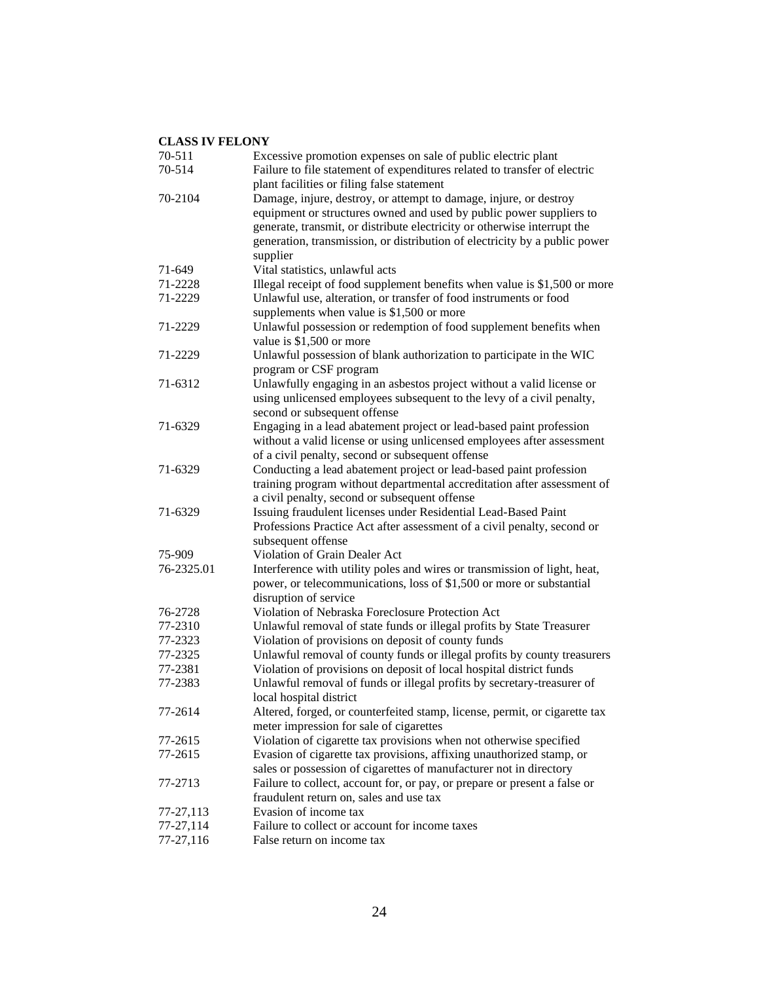| 70-511     | Excessive promotion expenses on sale of public electric plant              |
|------------|----------------------------------------------------------------------------|
| 70-514     | Failure to file statement of expenditures related to transfer of electric  |
|            | plant facilities or filing false statement                                 |
| 70-2104    | Damage, injure, destroy, or attempt to damage, injure, or destroy          |
|            | equipment or structures owned and used by public power suppliers to        |
|            | generate, transmit, or distribute electricity or otherwise interrupt the   |
|            | generation, transmission, or distribution of electricity by a public power |
|            | supplier                                                                   |
| 71-649     | Vital statistics, unlawful acts                                            |
| 71-2228    | Illegal receipt of food supplement benefits when value is \$1,500 or more  |
| 71-2229    | Unlawful use, alteration, or transfer of food instruments or food          |
|            | supplements when value is \$1,500 or more                                  |
| 71-2229    | Unlawful possession or redemption of food supplement benefits when         |
|            | value is \$1,500 or more                                                   |
| 71-2229    | Unlawful possession of blank authorization to participate in the WIC       |
|            | program or CSF program                                                     |
| 71-6312    | Unlawfully engaging in an asbestos project without a valid license or      |
|            |                                                                            |
|            | using unlicensed employees subsequent to the levy of a civil penalty,      |
|            | second or subsequent offense                                               |
| 71-6329    | Engaging in a lead abatement project or lead-based paint profession        |
|            | without a valid license or using unlicensed employees after assessment     |
|            | of a civil penalty, second or subsequent offense                           |
| 71-6329    | Conducting a lead abatement project or lead-based paint profession         |
|            | training program without departmental accreditation after assessment of    |
|            | a civil penalty, second or subsequent offense                              |
| 71-6329    | Issuing fraudulent licenses under Residential Lead-Based Paint             |
|            | Professions Practice Act after assessment of a civil penalty, second or    |
|            | subsequent offense                                                         |
| 75-909     | Violation of Grain Dealer Act                                              |
| 76-2325.01 | Interference with utility poles and wires or transmission of light, heat,  |
|            | power, or telecommunications, loss of \$1,500 or more or substantial       |
|            | disruption of service                                                      |
| 76-2728    | Violation of Nebraska Foreclosure Protection Act                           |
| 77-2310    | Unlawful removal of state funds or illegal profits by State Treasurer      |
| 77-2323    | Violation of provisions on deposit of county funds                         |
| 77-2325    | Unlawful removal of county funds or illegal profits by county treasurers   |
| 77-2381    | Violation of provisions on deposit of local hospital district funds        |
| 77-2383    | Unlawful removal of funds or illegal profits by secretary-treasurer of     |
|            | local hospital district                                                    |
| 77-2614    | Altered, forged, or counterfeited stamp, license, permit, or cigarette tax |
|            | meter impression for sale of cigarettes                                    |
| 77-2615    | Violation of cigarette tax provisions when not otherwise specified         |
| 77-2615    | Evasion of cigarette tax provisions, affixing unauthorized stamp, or       |
|            | sales or possession of cigarettes of manufacturer not in directory         |
| 77-2713    | Failure to collect, account for, or pay, or prepare or present a false or  |
|            | fraudulent return on, sales and use tax                                    |
| 77-27,113  | Evasion of income tax                                                      |
| 77-27,114  | Failure to collect or account for income taxes                             |
| 77-27,116  | False return on income tax                                                 |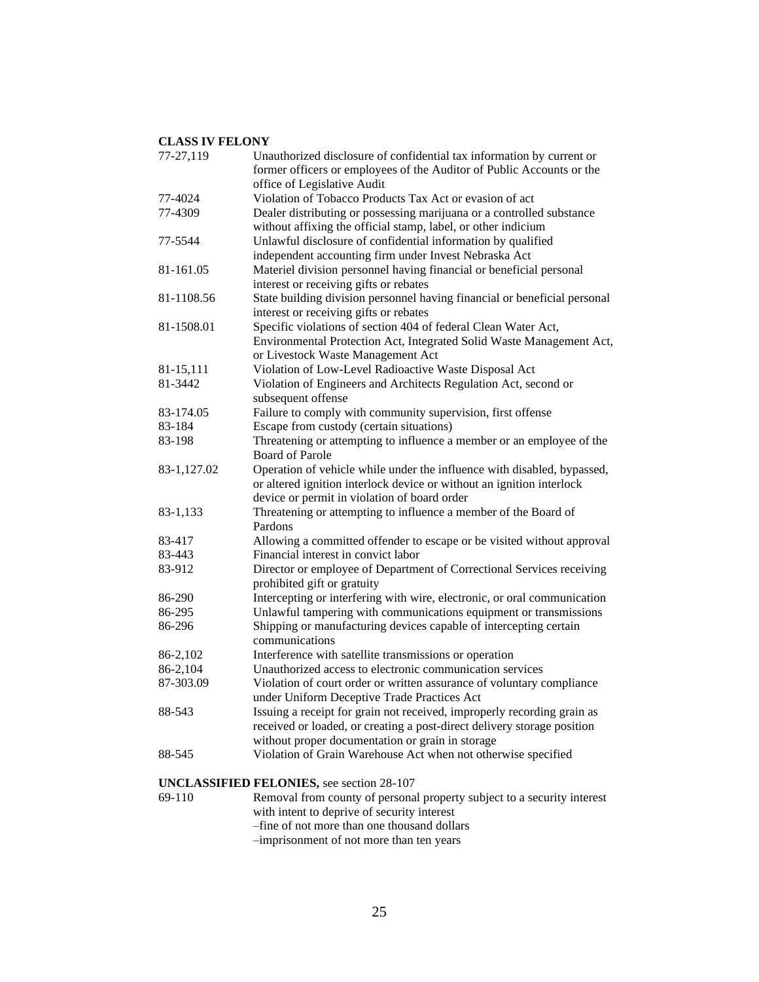| 77-27,119   | Unauthorized disclosure of confidential tax information by current or<br>former officers or employees of the Auditor of Public Accounts or the |
|-------------|------------------------------------------------------------------------------------------------------------------------------------------------|
|             | office of Legislative Audit                                                                                                                    |
| 77-4024     | Violation of Tobacco Products Tax Act or evasion of act                                                                                        |
| 77-4309     | Dealer distributing or possessing marijuana or a controlled substance                                                                          |
|             | without affixing the official stamp, label, or other indicium                                                                                  |
| 77-5544     | Unlawful disclosure of confidential information by qualified                                                                                   |
|             | independent accounting firm under Invest Nebraska Act                                                                                          |
| 81-161.05   | Materiel division personnel having financial or beneficial personal                                                                            |
|             | interest or receiving gifts or rebates                                                                                                         |
| 81-1108.56  | State building division personnel having financial or beneficial personal                                                                      |
|             | interest or receiving gifts or rebates                                                                                                         |
| 81-1508.01  | Specific violations of section 404 of federal Clean Water Act,                                                                                 |
|             | Environmental Protection Act, Integrated Solid Waste Management Act,                                                                           |
|             | or Livestock Waste Management Act                                                                                                              |
| 81-15,111   | Violation of Low-Level Radioactive Waste Disposal Act                                                                                          |
| 81-3442     | Violation of Engineers and Architects Regulation Act, second or                                                                                |
|             | subsequent offense                                                                                                                             |
| 83-174.05   | Failure to comply with community supervision, first offense                                                                                    |
| 83-184      | Escape from custody (certain situations)                                                                                                       |
| 83-198      | Threatening or attempting to influence a member or an employee of the                                                                          |
|             | <b>Board of Parole</b>                                                                                                                         |
| 83-1,127.02 | Operation of vehicle while under the influence with disabled, bypassed,                                                                        |
|             | or altered ignition interlock device or without an ignition interlock                                                                          |
|             | device or permit in violation of board order                                                                                                   |
| 83-1,133    | Threatening or attempting to influence a member of the Board of                                                                                |
|             | Pardons                                                                                                                                        |
| 83-417      | Allowing a committed offender to escape or be visited without approval                                                                         |
| 83-443      | Financial interest in convict labor                                                                                                            |
| 83-912      | Director or employee of Department of Correctional Services receiving<br>prohibited gift or gratuity                                           |
| 86-290      | Intercepting or interfering with wire, electronic, or oral communication                                                                       |
| 86-295      | Unlawful tampering with communications equipment or transmissions                                                                              |
| 86-296      | Shipping or manufacturing devices capable of intercepting certain<br>communications                                                            |
| 86-2,102    | Interference with satellite transmissions or operation                                                                                         |
| 86-2,104    | Unauthorized access to electronic communication services                                                                                       |
| 87-303.09   | Violation of court order or written assurance of voluntary compliance                                                                          |
|             | under Uniform Deceptive Trade Practices Act                                                                                                    |
| 88-543      | Issuing a receipt for grain not received, improperly recording grain as                                                                        |
|             | received or loaded, or creating a post-direct delivery storage position                                                                        |
|             | without proper documentation or grain in storage                                                                                               |
| 88-545      | Violation of Grain Warehouse Act when not otherwise specified                                                                                  |
|             | <b>UNCLASSIFIED FELONIES</b> , see section 28-107                                                                                              |

69-110 Removal from county of personal property subject to a security interest with intent to deprive of security interest –fine of not more than one thousand dollars –imprisonment of not more than ten years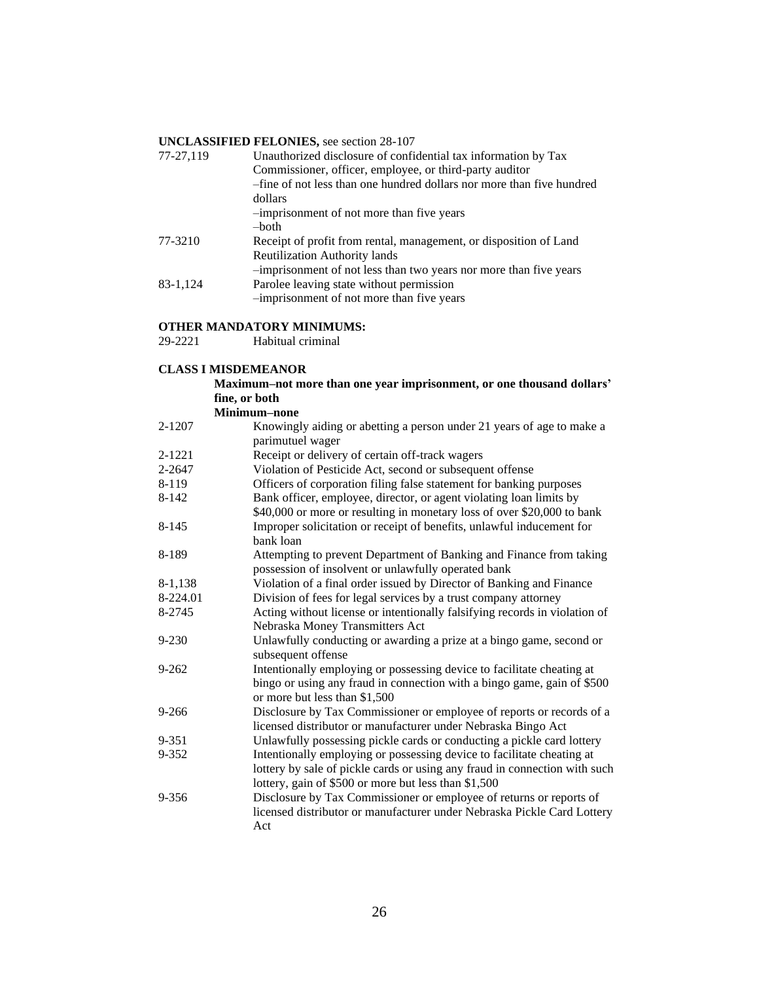#### **UNCLASSIFIED FELONIES,** see section 28-107

| 77-27,119 | Unauthorized disclosure of confidential tax information by Tax        |
|-----------|-----------------------------------------------------------------------|
|           | Commissioner, officer, employee, or third-party auditor               |
|           | -fine of not less than one hundred dollars nor more than five hundred |
|           | dollars                                                               |
|           | -imprisonment of not more than five years                             |
|           | -both                                                                 |
| 77-3210   | Receipt of profit from rental, management, or disposition of Land     |
|           | Reutilization Authority lands                                         |
|           | -imprisonment of not less than two years nor more than five years     |
| 83-1,124  | Parolee leaving state without permission                              |
|           | -imprisonment of not more than five years                             |

#### **OTHER MANDATORY MINIMUMS:**

29-2221 Habitual criminal

|           | <b>CLASS I MISDEMEANOR</b>                                                                                                                                                                                   |
|-----------|--------------------------------------------------------------------------------------------------------------------------------------------------------------------------------------------------------------|
|           | Maximum-not more than one year imprisonment, or one thousand dollars'                                                                                                                                        |
|           | fine, or both                                                                                                                                                                                                |
|           | Minimum-none                                                                                                                                                                                                 |
| 2-1207    | Knowingly aiding or abetting a person under 21 years of age to make a<br>parimutuel wager                                                                                                                    |
| 2-1221    | Receipt or delivery of certain off-track wagers                                                                                                                                                              |
| 2-2647    | Violation of Pesticide Act, second or subsequent offense                                                                                                                                                     |
| 8-119     | Officers of corporation filing false statement for banking purposes                                                                                                                                          |
| $8 - 142$ | Bank officer, employee, director, or agent violating loan limits by<br>\$40,000 or more or resulting in monetary loss of over \$20,000 to bank                                                               |
| $8 - 145$ | Improper solicitation or receipt of benefits, unlawful inducement for<br>bank loan                                                                                                                           |
| 8-189     | Attempting to prevent Department of Banking and Finance from taking<br>possession of insolvent or unlawfully operated bank                                                                                   |
| 8-1,138   | Violation of a final order issued by Director of Banking and Finance                                                                                                                                         |
| 8-224.01  | Division of fees for legal services by a trust company attorney                                                                                                                                              |
| 8-2745    | Acting without license or intentionally falsifying records in violation of                                                                                                                                   |
|           | Nebraska Money Transmitters Act                                                                                                                                                                              |
| 9-230     | Unlawfully conducting or awarding a prize at a bingo game, second or<br>subsequent offense                                                                                                                   |
| $9 - 262$ | Intentionally employing or possessing device to facilitate cheating at<br>bingo or using any fraud in connection with a bingo game, gain of \$500<br>or more but less than \$1,500                           |
| $9 - 266$ | Disclosure by Tax Commissioner or employee of reports or records of a<br>licensed distributor or manufacturer under Nebraska Bingo Act                                                                       |
| 9-351     | Unlawfully possessing pickle cards or conducting a pickle card lottery                                                                                                                                       |
| 9-352     | Intentionally employing or possessing device to facilitate cheating at<br>lottery by sale of pickle cards or using any fraud in connection with such<br>lottery, gain of \$500 or more but less than \$1,500 |
| 9-356     | Disclosure by Tax Commissioner or employee of returns or reports of<br>licensed distributor or manufacturer under Nebraska Pickle Card Lottery<br>Act                                                        |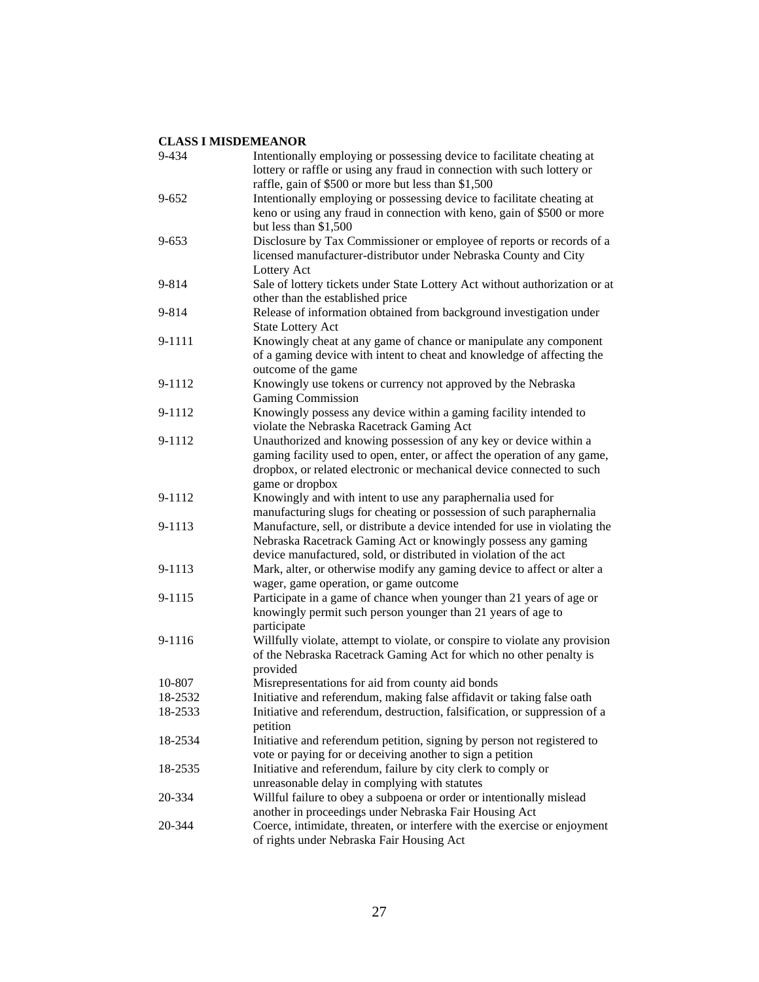| 9-434     | Intentionally employing or possessing device to facilitate cheating at<br>lottery or raffle or using any fraud in connection with such lottery or                                                                       |
|-----------|-------------------------------------------------------------------------------------------------------------------------------------------------------------------------------------------------------------------------|
| $9 - 652$ | raffle, gain of \$500 or more but less than \$1,500<br>Intentionally employing or possessing device to facilitate cheating at                                                                                           |
|           | keno or using any fraud in connection with keno, gain of \$500 or more<br>but less than $$1,500$                                                                                                                        |
| $9 - 653$ | Disclosure by Tax Commissioner or employee of reports or records of a<br>licensed manufacturer-distributor under Nebraska County and City<br>Lottery Act                                                                |
| 9-814     | Sale of lottery tickets under State Lottery Act without authorization or at<br>other than the established price                                                                                                         |
| 9-814     | Release of information obtained from background investigation under<br><b>State Lottery Act</b>                                                                                                                         |
| 9-1111    | Knowingly cheat at any game of chance or manipulate any component<br>of a gaming device with intent to cheat and knowledge of affecting the<br>outcome of the game                                                      |
| 9-1112    | Knowingly use tokens or currency not approved by the Nebraska<br><b>Gaming Commission</b>                                                                                                                               |
| 9-1112    | Knowingly possess any device within a gaming facility intended to<br>violate the Nebraska Racetrack Gaming Act                                                                                                          |
| 9-1112    | Unauthorized and knowing possession of any key or device within a<br>gaming facility used to open, enter, or affect the operation of any game,<br>dropbox, or related electronic or mechanical device connected to such |
| 9-1112    | game or dropbox<br>Knowingly and with intent to use any paraphernalia used for<br>manufacturing slugs for cheating or possession of such paraphernalia                                                                  |
| 9-1113    | Manufacture, sell, or distribute a device intended for use in violating the<br>Nebraska Racetrack Gaming Act or knowingly possess any gaming<br>device manufactured, sold, or distributed in violation of the act       |
| 9-1113    | Mark, alter, or otherwise modify any gaming device to affect or alter a<br>wager, game operation, or game outcome                                                                                                       |
| 9-1115    | Participate in a game of chance when younger than 21 years of age or<br>knowingly permit such person younger than 21 years of age to<br>participate                                                                     |
| 9-1116    | Willfully violate, attempt to violate, or conspire to violate any provision<br>of the Nebraska Racetrack Gaming Act for which no other penalty is<br>provided                                                           |
| 10-807    | Misrepresentations for aid from county aid bonds                                                                                                                                                                        |
| 18-2532   | Initiative and referendum, making false affidavit or taking false oath                                                                                                                                                  |
| 18-2533   | Initiative and referendum, destruction, falsification, or suppression of a<br>petition                                                                                                                                  |
| 18-2534   | Initiative and referendum petition, signing by person not registered to<br>vote or paying for or deceiving another to sign a petition                                                                                   |
| 18-2535   | Initiative and referendum, failure by city clerk to comply or<br>unreasonable delay in complying with statutes                                                                                                          |
| 20-334    | Willful failure to obey a subpoena or order or intentionally mislead<br>another in proceedings under Nebraska Fair Housing Act                                                                                          |
| 20-344    | Coerce, intimidate, threaten, or interfere with the exercise or enjoyment<br>of rights under Nebraska Fair Housing Act                                                                                                  |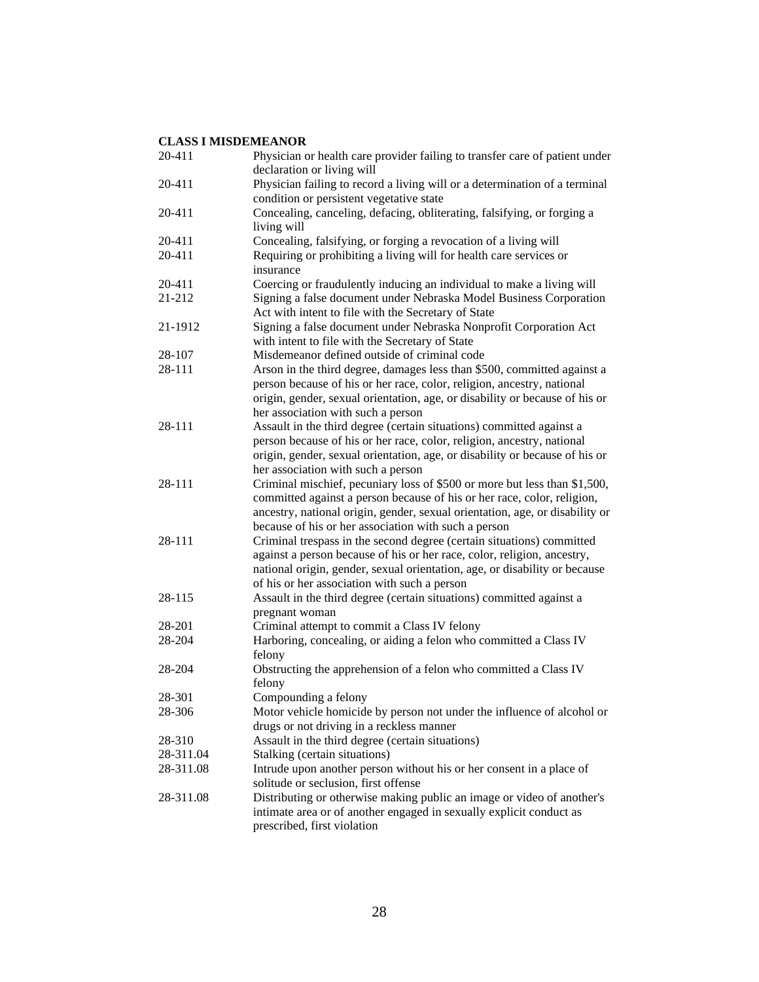| 20-411    | Physician or health care provider failing to transfer care of patient under<br>declaration or living will                                                                                                                                                                                    |
|-----------|----------------------------------------------------------------------------------------------------------------------------------------------------------------------------------------------------------------------------------------------------------------------------------------------|
| 20-411    | Physician failing to record a living will or a determination of a terminal<br>condition or persistent vegetative state                                                                                                                                                                       |
| 20-411    | Concealing, canceling, defacing, obliterating, falsifying, or forging a<br>living will                                                                                                                                                                                                       |
| 20-411    | Concealing, falsifying, or forging a revocation of a living will                                                                                                                                                                                                                             |
| 20-411    | Requiring or prohibiting a living will for health care services or<br>insurance                                                                                                                                                                                                              |
| 20-411    | Coercing or fraudulently inducing an individual to make a living will                                                                                                                                                                                                                        |
| 21-212    | Signing a false document under Nebraska Model Business Corporation<br>Act with intent to file with the Secretary of State                                                                                                                                                                    |
| 21-1912   | Signing a false document under Nebraska Nonprofit Corporation Act<br>with intent to file with the Secretary of State                                                                                                                                                                         |
| 28-107    | Misdemeanor defined outside of criminal code                                                                                                                                                                                                                                                 |
| 28-111    | Arson in the third degree, damages less than \$500, committed against a                                                                                                                                                                                                                      |
|           | person because of his or her race, color, religion, ancestry, national<br>origin, gender, sexual orientation, age, or disability or because of his or<br>her association with such a person                                                                                                  |
| 28-111    | Assault in the third degree (certain situations) committed against a                                                                                                                                                                                                                         |
|           | person because of his or her race, color, religion, ancestry, national<br>origin, gender, sexual orientation, age, or disability or because of his or<br>her association with such a person                                                                                                  |
| 28-111    | Criminal mischief, pecuniary loss of \$500 or more but less than \$1,500,<br>committed against a person because of his or her race, color, religion,<br>ancestry, national origin, gender, sexual orientation, age, or disability or<br>because of his or her association with such a person |
| 28-111    | Criminal trespass in the second degree (certain situations) committed<br>against a person because of his or her race, color, religion, ancestry,<br>national origin, gender, sexual orientation, age, or disability or because<br>of his or her association with such a person               |
| 28-115    | Assault in the third degree (certain situations) committed against a<br>pregnant woman                                                                                                                                                                                                       |
| 28-201    | Criminal attempt to commit a Class IV felony                                                                                                                                                                                                                                                 |
| 28-204    | Harboring, concealing, or aiding a felon who committed a Class IV<br>felony                                                                                                                                                                                                                  |
| 28-204    | Obstructing the apprehension of a felon who committed a Class IV<br>felony                                                                                                                                                                                                                   |
| 28-301    | Compounding a felony                                                                                                                                                                                                                                                                         |
| 28-306    | Motor vehicle homicide by person not under the influence of alcohol or<br>drugs or not driving in a reckless manner                                                                                                                                                                          |
| 28-310    | Assault in the third degree (certain situations)                                                                                                                                                                                                                                             |
| 28-311.04 | Stalking (certain situations)                                                                                                                                                                                                                                                                |
| 28-311.08 | Intrude upon another person without his or her consent in a place of<br>solitude or seclusion, first offense                                                                                                                                                                                 |
| 28-311.08 | Distributing or otherwise making public an image or video of another's<br>intimate area or of another engaged in sexually explicit conduct as<br>prescribed, first violation                                                                                                                 |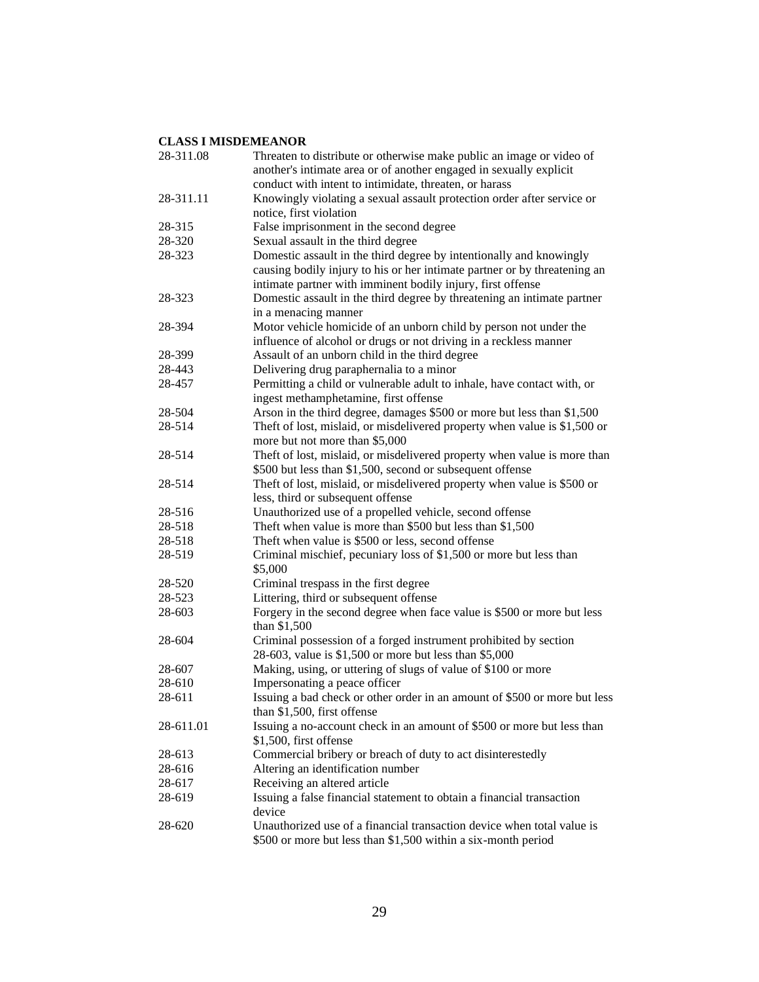| 28-311.08 | Threaten to distribute or otherwise make public an image or video of<br>another's intimate area or of another engaged in sexually explicit                                                                      |
|-----------|-----------------------------------------------------------------------------------------------------------------------------------------------------------------------------------------------------------------|
|           | conduct with intent to intimidate, threaten, or harass                                                                                                                                                          |
| 28-311.11 | Knowingly violating a sexual assault protection order after service or<br>notice, first violation                                                                                                               |
| 28-315    | False imprisonment in the second degree                                                                                                                                                                         |
| 28-320    | Sexual assault in the third degree                                                                                                                                                                              |
| 28-323    | Domestic assault in the third degree by intentionally and knowingly<br>causing bodily injury to his or her intimate partner or by threatening an<br>intimate partner with imminent bodily injury, first offense |
| 28-323    | Domestic assault in the third degree by threatening an intimate partner<br>in a menacing manner                                                                                                                 |
| 28-394    | Motor vehicle homicide of an unborn child by person not under the<br>influence of alcohol or drugs or not driving in a reckless manner                                                                          |
| 28-399    | Assault of an unborn child in the third degree                                                                                                                                                                  |
| 28-443    | Delivering drug paraphernalia to a minor                                                                                                                                                                        |
| 28-457    | Permitting a child or vulnerable adult to inhale, have contact with, or<br>ingest methamphetamine, first offense                                                                                                |
| 28-504    | Arson in the third degree, damages \$500 or more but less than \$1,500                                                                                                                                          |
| 28-514    | Theft of lost, mislaid, or misdelivered property when value is \$1,500 or<br>more but not more than \$5,000                                                                                                     |
| 28-514    | Theft of lost, mislaid, or misdelivered property when value is more than<br>\$500 but less than \$1,500, second or subsequent offense                                                                           |
| 28-514    | Theft of lost, mislaid, or misdelivered property when value is \$500 or<br>less, third or subsequent offense                                                                                                    |
| 28-516    | Unauthorized use of a propelled vehicle, second offense                                                                                                                                                         |
| 28-518    | Theft when value is more than \$500 but less than \$1,500                                                                                                                                                       |
| 28-518    | Theft when value is \$500 or less, second offense                                                                                                                                                               |
| 28-519    | Criminal mischief, pecuniary loss of \$1,500 or more but less than                                                                                                                                              |
|           | \$5,000                                                                                                                                                                                                         |
| 28-520    | Criminal trespass in the first degree                                                                                                                                                                           |
| 28-523    | Littering, third or subsequent offense                                                                                                                                                                          |
| 28-603    | Forgery in the second degree when face value is \$500 or more but less<br>than \$1,500                                                                                                                          |
| 28-604    | Criminal possession of a forged instrument prohibited by section<br>28-603, value is \$1,500 or more but less than \$5,000                                                                                      |
| 28-607    | Making, using, or uttering of slugs of value of \$100 or more                                                                                                                                                   |
| 28-610    | Impersonating a peace officer                                                                                                                                                                                   |
| 28-611    | Issuing a bad check or other order in an amount of \$500 or more but less<br>than \$1,500, first offense                                                                                                        |
| 28-611.01 | Issuing a no-account check in an amount of \$500 or more but less than                                                                                                                                          |
|           | \$1,500, first offense                                                                                                                                                                                          |
| 28-613    | Commercial bribery or breach of duty to act disinterestedly                                                                                                                                                     |
| 28-616    | Altering an identification number                                                                                                                                                                               |
| 28-617    | Receiving an altered article                                                                                                                                                                                    |
| 28-619    | Issuing a false financial statement to obtain a financial transaction<br>device                                                                                                                                 |
| 28-620    | Unauthorized use of a financial transaction device when total value is<br>\$500 or more but less than \$1,500 within a six-month period                                                                         |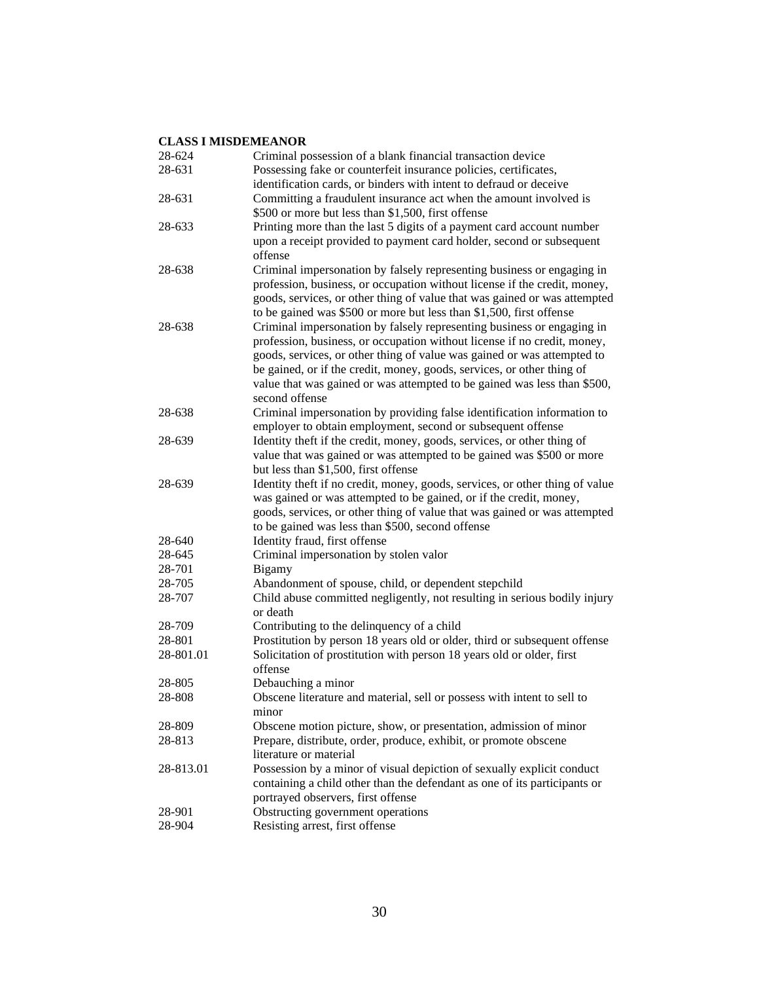| 28-624    | Criminal possession of a blank financial transaction device                                                                                                                                                                                                                                                                                                                                           |
|-----------|-------------------------------------------------------------------------------------------------------------------------------------------------------------------------------------------------------------------------------------------------------------------------------------------------------------------------------------------------------------------------------------------------------|
| 28-631    | Possessing fake or counterfeit insurance policies, certificates,                                                                                                                                                                                                                                                                                                                                      |
|           | identification cards, or binders with intent to defraud or deceive                                                                                                                                                                                                                                                                                                                                    |
| 28-631    | Committing a fraudulent insurance act when the amount involved is                                                                                                                                                                                                                                                                                                                                     |
|           | \$500 or more but less than \$1,500, first offense                                                                                                                                                                                                                                                                                                                                                    |
| 28-633    | Printing more than the last 5 digits of a payment card account number                                                                                                                                                                                                                                                                                                                                 |
|           | upon a receipt provided to payment card holder, second or subsequent<br>offense                                                                                                                                                                                                                                                                                                                       |
| 28-638    | Criminal impersonation by falsely representing business or engaging in<br>profession, business, or occupation without license if the credit, money,<br>goods, services, or other thing of value that was gained or was attempted<br>to be gained was \$500 or more but less than \$1,500, first offense                                                                                               |
| 28-638    | Criminal impersonation by falsely representing business or engaging in<br>profession, business, or occupation without license if no credit, money,<br>goods, services, or other thing of value was gained or was attempted to<br>be gained, or if the credit, money, goods, services, or other thing of<br>value that was gained or was attempted to be gained was less than \$500,<br>second offense |
| 28-638    | Criminal impersonation by providing false identification information to<br>employer to obtain employment, second or subsequent offense                                                                                                                                                                                                                                                                |
| 28-639    | Identity theft if the credit, money, goods, services, or other thing of                                                                                                                                                                                                                                                                                                                               |
|           | value that was gained or was attempted to be gained was \$500 or more                                                                                                                                                                                                                                                                                                                                 |
|           | but less than \$1,500, first offense                                                                                                                                                                                                                                                                                                                                                                  |
| 28-639    | Identity theft if no credit, money, goods, services, or other thing of value<br>was gained or was attempted to be gained, or if the credit, money,<br>goods, services, or other thing of value that was gained or was attempted<br>to be gained was less than \$500, second offense                                                                                                                   |
| 28-640    | Identity fraud, first offense                                                                                                                                                                                                                                                                                                                                                                         |
| 28-645    | Criminal impersonation by stolen valor                                                                                                                                                                                                                                                                                                                                                                |
| 28-701    | Bigamy                                                                                                                                                                                                                                                                                                                                                                                                |
| 28-705    | Abandonment of spouse, child, or dependent stepchild                                                                                                                                                                                                                                                                                                                                                  |
| 28-707    | Child abuse committed negligently, not resulting in serious bodily injury<br>or death                                                                                                                                                                                                                                                                                                                 |
| 28-709    | Contributing to the delinquency of a child                                                                                                                                                                                                                                                                                                                                                            |
| 28-801    | Prostitution by person 18 years old or older, third or subsequent offense                                                                                                                                                                                                                                                                                                                             |
| 28-801.01 | Solicitation of prostitution with person 18 years old or older, first<br>offense                                                                                                                                                                                                                                                                                                                      |
| 28-805    | Debauching a minor                                                                                                                                                                                                                                                                                                                                                                                    |
| 28-808    | Obscene literature and material, sell or possess with intent to sell to                                                                                                                                                                                                                                                                                                                               |
|           | minor                                                                                                                                                                                                                                                                                                                                                                                                 |
| 28-809    | Obscene motion picture, show, or presentation, admission of minor                                                                                                                                                                                                                                                                                                                                     |
| 28-813    | Prepare, distribute, order, produce, exhibit, or promote obscene                                                                                                                                                                                                                                                                                                                                      |
|           | literature or material                                                                                                                                                                                                                                                                                                                                                                                |
| 28-813.01 | Possession by a minor of visual depiction of sexually explicit conduct<br>containing a child other than the defendant as one of its participants or<br>portrayed observers, first offense                                                                                                                                                                                                             |
| 28-901    | Obstructing government operations                                                                                                                                                                                                                                                                                                                                                                     |
| 28-904    | Resisting arrest, first offense                                                                                                                                                                                                                                                                                                                                                                       |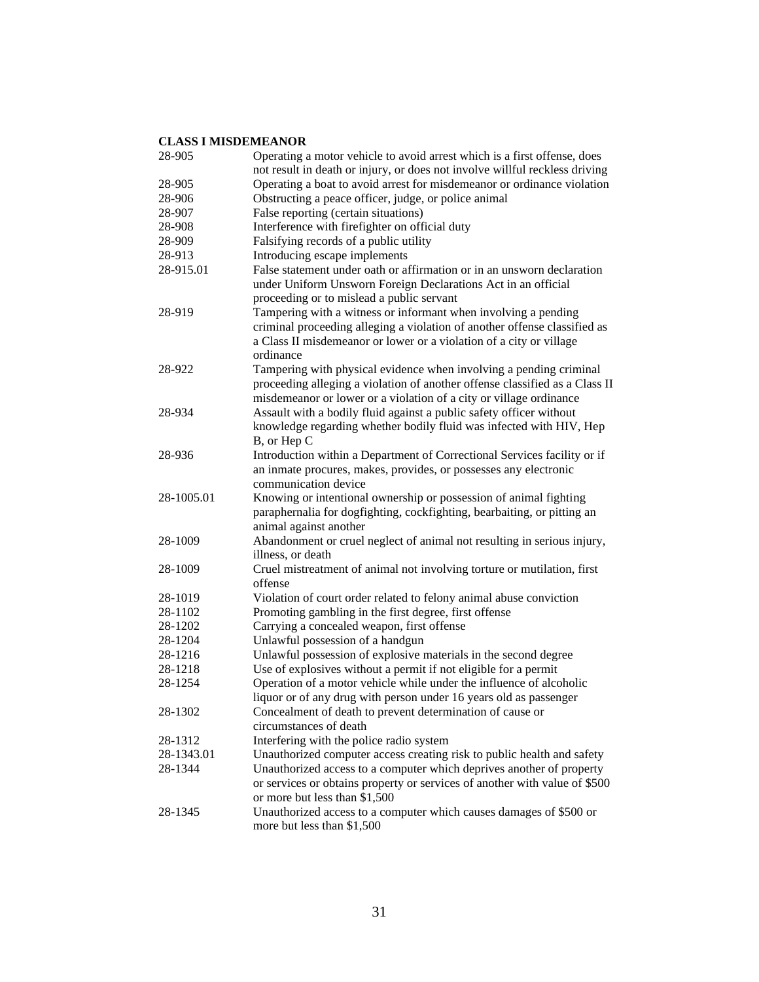| 28-905     | Operating a motor vehicle to avoid arrest which is a first offense, does                                                                                                                                                        |
|------------|---------------------------------------------------------------------------------------------------------------------------------------------------------------------------------------------------------------------------------|
|            | not result in death or injury, or does not involve willful reckless driving                                                                                                                                                     |
| 28-905     | Operating a boat to avoid arrest for misdemeanor or ordinance violation                                                                                                                                                         |
| 28-906     | Obstructing a peace officer, judge, or police animal                                                                                                                                                                            |
| 28-907     | False reporting (certain situations)                                                                                                                                                                                            |
| 28-908     | Interference with firefighter on official duty                                                                                                                                                                                  |
| 28-909     | Falsifying records of a public utility                                                                                                                                                                                          |
| 28-913     | Introducing escape implements                                                                                                                                                                                                   |
| 28-915.01  | False statement under oath or affirmation or in an unsworn declaration<br>under Uniform Unsworn Foreign Declarations Act in an official<br>proceeding or to mislead a public servant                                            |
| 28-919     | Tampering with a witness or informant when involving a pending<br>criminal proceeding alleging a violation of another offense classified as<br>a Class II misdemeanor or lower or a violation of a city or village<br>ordinance |
| 28-922     | Tampering with physical evidence when involving a pending criminal<br>proceeding alleging a violation of another offense classified as a Class II<br>misdemeanor or lower or a violation of a city or village ordinance         |
| 28-934     | Assault with a bodily fluid against a public safety officer without<br>knowledge regarding whether bodily fluid was infected with HIV, Hep<br>B, or Hep C                                                                       |
| 28-936     | Introduction within a Department of Correctional Services facility or if<br>an inmate procures, makes, provides, or possesses any electronic<br>communication device                                                            |
| 28-1005.01 | Knowing or intentional ownership or possession of animal fighting<br>paraphernalia for dogfighting, cockfighting, bearbaiting, or pitting an<br>animal against another                                                          |
| 28-1009    | Abandonment or cruel neglect of animal not resulting in serious injury,<br>illness, or death                                                                                                                                    |
| 28-1009    | Cruel mistreatment of animal not involving torture or mutilation, first<br>offense                                                                                                                                              |
| 28-1019    | Violation of court order related to felony animal abuse conviction                                                                                                                                                              |
| 28-1102    | Promoting gambling in the first degree, first offense                                                                                                                                                                           |
| 28-1202    | Carrying a concealed weapon, first offense                                                                                                                                                                                      |
| 28-1204    | Unlawful possession of a handgun                                                                                                                                                                                                |
| 28-1216    | Unlawful possession of explosive materials in the second degree                                                                                                                                                                 |
| 28-1218    | Use of explosives without a permit if not eligible for a permit                                                                                                                                                                 |
| 28-1254    | Operation of a motor vehicle while under the influence of alcoholic                                                                                                                                                             |
|            | liquor or of any drug with person under 16 years old as passenger                                                                                                                                                               |
| 28-1302    | Concealment of death to prevent determination of cause or                                                                                                                                                                       |
|            | circumstances of death                                                                                                                                                                                                          |
|            |                                                                                                                                                                                                                                 |
| 28-1312    | Interfering with the police radio system                                                                                                                                                                                        |
| 28-1343.01 | Unauthorized computer access creating risk to public health and safety                                                                                                                                                          |
| 28-1344    | Unauthorized access to a computer which deprives another of property<br>or services or obtains property or services of another with value of \$500<br>or more but less than \$1,500                                             |
| 28-1345    | Unauthorized access to a computer which causes damages of \$500 or<br>more but less than \$1,500                                                                                                                                |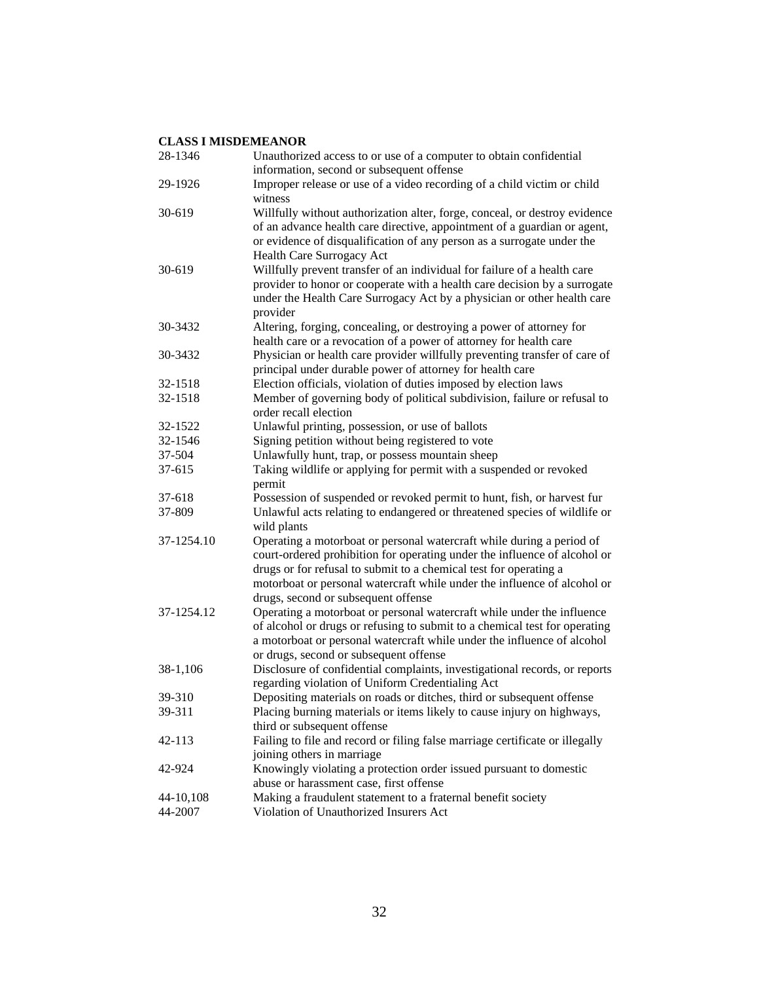| 28-1346    | Unauthorized access to or use of a computer to obtain confidential<br>information, second or subsequent offense                                                                                                                                                                                                                            |
|------------|--------------------------------------------------------------------------------------------------------------------------------------------------------------------------------------------------------------------------------------------------------------------------------------------------------------------------------------------|
| 29-1926    | Improper release or use of a video recording of a child victim or child<br>witness                                                                                                                                                                                                                                                         |
| 30-619     | Willfully without authorization alter, forge, conceal, or destroy evidence<br>of an advance health care directive, appointment of a guardian or agent,<br>or evidence of disqualification of any person as a surrogate under the<br>Health Care Surrogacy Act                                                                              |
| $30 - 619$ | Willfully prevent transfer of an individual for failure of a health care<br>provider to honor or cooperate with a health care decision by a surrogate<br>under the Health Care Surrogacy Act by a physician or other health care<br>provider                                                                                               |
| 30-3432    | Altering, forging, concealing, or destroying a power of attorney for<br>health care or a revocation of a power of attorney for health care                                                                                                                                                                                                 |
| 30-3432    | Physician or health care provider willfully preventing transfer of care of<br>principal under durable power of attorney for health care                                                                                                                                                                                                    |
| 32-1518    | Election officials, violation of duties imposed by election laws                                                                                                                                                                                                                                                                           |
| 32-1518    | Member of governing body of political subdivision, failure or refusal to<br>order recall election                                                                                                                                                                                                                                          |
| 32-1522    | Unlawful printing, possession, or use of ballots                                                                                                                                                                                                                                                                                           |
| 32-1546    | Signing petition without being registered to vote                                                                                                                                                                                                                                                                                          |
| 37-504     | Unlawfully hunt, trap, or possess mountain sheep                                                                                                                                                                                                                                                                                           |
| 37-615     | Taking wildlife or applying for permit with a suspended or revoked                                                                                                                                                                                                                                                                         |
|            | permit                                                                                                                                                                                                                                                                                                                                     |
| 37-618     | Possession of suspended or revoked permit to hunt, fish, or harvest fur                                                                                                                                                                                                                                                                    |
|            |                                                                                                                                                                                                                                                                                                                                            |
| 37-809     | Unlawful acts relating to endangered or threatened species of wildlife or<br>wild plants                                                                                                                                                                                                                                                   |
| 37-1254.10 | Operating a motorboat or personal watercraft while during a period of<br>court-ordered prohibition for operating under the influence of alcohol or<br>drugs or for refusal to submit to a chemical test for operating a<br>motorboat or personal watercraft while under the influence of alcohol or<br>drugs, second or subsequent offense |
| 37-1254.12 | Operating a motorboat or personal watercraft while under the influence<br>of alcohol or drugs or refusing to submit to a chemical test for operating<br>a motorboat or personal watercraft while under the influence of alcohol<br>or drugs, second or subsequent offense                                                                  |
| 38-1,106   | Disclosure of confidential complaints, investigational records, or reports<br>regarding violation of Uniform Credentialing Act                                                                                                                                                                                                             |
| 39-310     | Depositing materials on roads or ditches, third or subsequent offense                                                                                                                                                                                                                                                                      |
| 39-311     | Placing burning materials or items likely to cause injury on highways,<br>third or subsequent offense                                                                                                                                                                                                                                      |
| 42-113     | Failing to file and record or filing false marriage certificate or illegally                                                                                                                                                                                                                                                               |
|            | joining others in marriage                                                                                                                                                                                                                                                                                                                 |
| 42-924     | Knowingly violating a protection order issued pursuant to domestic                                                                                                                                                                                                                                                                         |
|            | abuse or harassment case, first offense                                                                                                                                                                                                                                                                                                    |
| 44-10,108  | Making a fraudulent statement to a fraternal benefit society                                                                                                                                                                                                                                                                               |
| 44-2007    | Violation of Unauthorized Insurers Act                                                                                                                                                                                                                                                                                                     |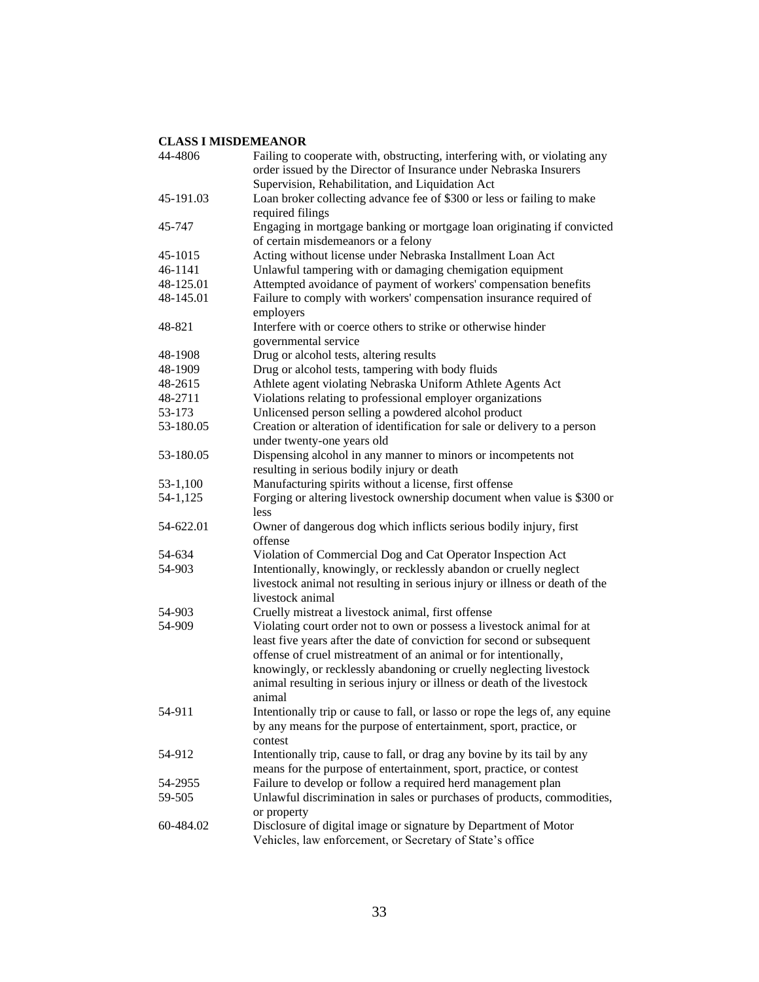| 44-4806   | Failing to cooperate with, obstructing, interfering with, or violating any<br>order issued by the Director of Insurance under Nebraska Insurers                                                                                                                                                                                                                                 |
|-----------|---------------------------------------------------------------------------------------------------------------------------------------------------------------------------------------------------------------------------------------------------------------------------------------------------------------------------------------------------------------------------------|
|           | Supervision, Rehabilitation, and Liquidation Act                                                                                                                                                                                                                                                                                                                                |
| 45-191.03 | Loan broker collecting advance fee of \$300 or less or failing to make<br>required filings                                                                                                                                                                                                                                                                                      |
| 45-747    | Engaging in mortgage banking or mortgage loan originating if convicted<br>of certain misdemeanors or a felony                                                                                                                                                                                                                                                                   |
| 45-1015   | Acting without license under Nebraska Installment Loan Act                                                                                                                                                                                                                                                                                                                      |
| 46-1141   | Unlawful tampering with or damaging chemigation equipment                                                                                                                                                                                                                                                                                                                       |
| 48-125.01 | Attempted avoidance of payment of workers' compensation benefits                                                                                                                                                                                                                                                                                                                |
| 48-145.01 | Failure to comply with workers' compensation insurance required of<br>employers                                                                                                                                                                                                                                                                                                 |
| 48-821    | Interfere with or coerce others to strike or otherwise hinder<br>governmental service                                                                                                                                                                                                                                                                                           |
| 48-1908   | Drug or alcohol tests, altering results                                                                                                                                                                                                                                                                                                                                         |
| 48-1909   | Drug or alcohol tests, tampering with body fluids                                                                                                                                                                                                                                                                                                                               |
| 48-2615   | Athlete agent violating Nebraska Uniform Athlete Agents Act                                                                                                                                                                                                                                                                                                                     |
| 48-2711   | Violations relating to professional employer organizations                                                                                                                                                                                                                                                                                                                      |
| 53-173    | Unlicensed person selling a powdered alcohol product                                                                                                                                                                                                                                                                                                                            |
| 53-180.05 | Creation or alteration of identification for sale or delivery to a person<br>under twenty-one years old                                                                                                                                                                                                                                                                         |
| 53-180.05 | Dispensing alcohol in any manner to minors or incompetents not<br>resulting in serious bodily injury or death                                                                                                                                                                                                                                                                   |
| 53-1,100  | Manufacturing spirits without a license, first offense                                                                                                                                                                                                                                                                                                                          |
| 54-1,125  | Forging or altering livestock ownership document when value is \$300 or<br>less                                                                                                                                                                                                                                                                                                 |
| 54-622.01 | Owner of dangerous dog which inflicts serious bodily injury, first<br>offense                                                                                                                                                                                                                                                                                                   |
| 54-634    | Violation of Commercial Dog and Cat Operator Inspection Act                                                                                                                                                                                                                                                                                                                     |
| 54-903    | Intentionally, knowingly, or recklessly abandon or cruelly neglect<br>livestock animal not resulting in serious injury or illness or death of the<br>livestock animal                                                                                                                                                                                                           |
| 54-903    | Cruelly mistreat a livestock animal, first offense                                                                                                                                                                                                                                                                                                                              |
| 54-909    | Violating court order not to own or possess a livestock animal for at<br>least five years after the date of conviction for second or subsequent<br>offense of cruel mistreatment of an animal or for intentionally,<br>knowingly, or recklessly abandoning or cruelly neglecting livestock<br>animal resulting in serious injury or illness or death of the livestock<br>animal |
| 54-911    | Intentionally trip or cause to fall, or lasso or rope the legs of, any equine<br>by any means for the purpose of entertainment, sport, practice, or<br>contest                                                                                                                                                                                                                  |
| 54-912    | Intentionally trip, cause to fall, or drag any bovine by its tail by any<br>means for the purpose of entertainment, sport, practice, or contest                                                                                                                                                                                                                                 |
| 54-2955   | Failure to develop or follow a required herd management plan                                                                                                                                                                                                                                                                                                                    |
| 59-505    | Unlawful discrimination in sales or purchases of products, commodities,<br>or property                                                                                                                                                                                                                                                                                          |
| 60-484.02 | Disclosure of digital image or signature by Department of Motor<br>Vehicles, law enforcement, or Secretary of State's office                                                                                                                                                                                                                                                    |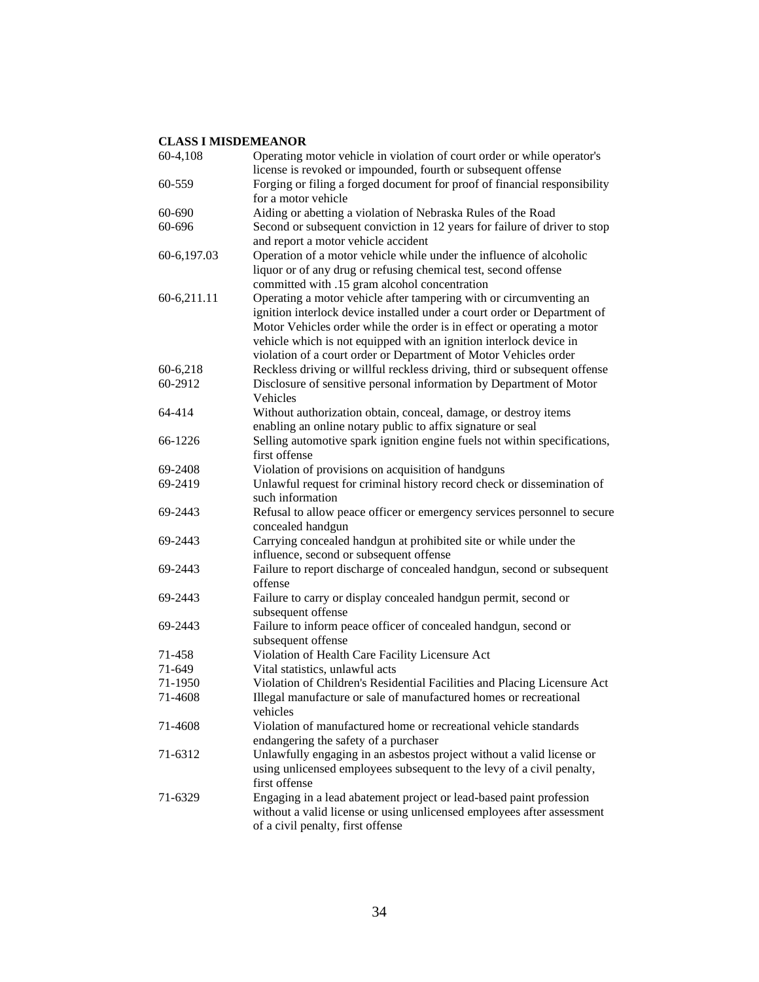| 60-4,108    | Operating motor vehicle in violation of court order or while operator's<br>license is revoked or impounded, fourth or subsequent offense |
|-------------|------------------------------------------------------------------------------------------------------------------------------------------|
| 60-559      | Forging or filing a forged document for proof of financial responsibility                                                                |
|             | for a motor vehicle                                                                                                                      |
| 60-690      | Aiding or abetting a violation of Nebraska Rules of the Road                                                                             |
| 60-696      | Second or subsequent conviction in 12 years for failure of driver to stop                                                                |
|             | and report a motor vehicle accident                                                                                                      |
| 60-6,197.03 | Operation of a motor vehicle while under the influence of alcoholic                                                                      |
|             | liquor or of any drug or refusing chemical test, second offense                                                                          |
|             | committed with .15 gram alcohol concentration                                                                                            |
| 60-6,211.11 | Operating a motor vehicle after tampering with or circumventing an                                                                       |
|             | ignition interlock device installed under a court order or Department of                                                                 |
|             | Motor Vehicles order while the order is in effect or operating a motor                                                                   |
|             | vehicle which is not equipped with an ignition interlock device in                                                                       |
|             | violation of a court order or Department of Motor Vehicles order                                                                         |
| 60-6,218    | Reckless driving or willful reckless driving, third or subsequent offense                                                                |
| 60-2912     | Disclosure of sensitive personal information by Department of Motor                                                                      |
|             | Vehicles                                                                                                                                 |
| 64-414      | Without authorization obtain, conceal, damage, or destroy items                                                                          |
|             | enabling an online notary public to affix signature or seal                                                                              |
| 66-1226     | Selling automotive spark ignition engine fuels not within specifications,                                                                |
|             | first offense                                                                                                                            |
| 69-2408     | Violation of provisions on acquisition of handguns                                                                                       |
| 69-2419     | Unlawful request for criminal history record check or dissemination of                                                                   |
|             | such information                                                                                                                         |
| 69-2443     | Refusal to allow peace officer or emergency services personnel to secure                                                                 |
|             | concealed handgun                                                                                                                        |
| 69-2443     | Carrying concealed handgun at prohibited site or while under the                                                                         |
|             | influence, second or subsequent offense                                                                                                  |
| 69-2443     | Failure to report discharge of concealed handgun, second or subsequent                                                                   |
|             | offense                                                                                                                                  |
| 69-2443     | Failure to carry or display concealed handgun permit, second or                                                                          |
|             | subsequent offense                                                                                                                       |
| 69-2443     | Failure to inform peace officer of concealed handgun, second or                                                                          |
|             | subsequent offense                                                                                                                       |
| 71-458      | Violation of Health Care Facility Licensure Act                                                                                          |
| 71-649      | Vital statistics, unlawful acts                                                                                                          |
| 71-1950     | Violation of Children's Residential Facilities and Placing Licensure Act                                                                 |
| 71-4608     | Illegal manufacture or sale of manufactured homes or recreational                                                                        |
|             | vehicles                                                                                                                                 |
| 71-4608     | Violation of manufactured home or recreational vehicle standards                                                                         |
|             | endangering the safety of a purchaser                                                                                                    |
| 71-6312     | Unlawfully engaging in an asbestos project without a valid license or                                                                    |
|             | using unlicensed employees subsequent to the levy of a civil penalty,                                                                    |
|             | first offense                                                                                                                            |
| 71-6329     | Engaging in a lead abatement project or lead-based paint profession                                                                      |
|             | without a valid license or using unlicensed employees after assessment                                                                   |
|             | of a civil penalty, first offense                                                                                                        |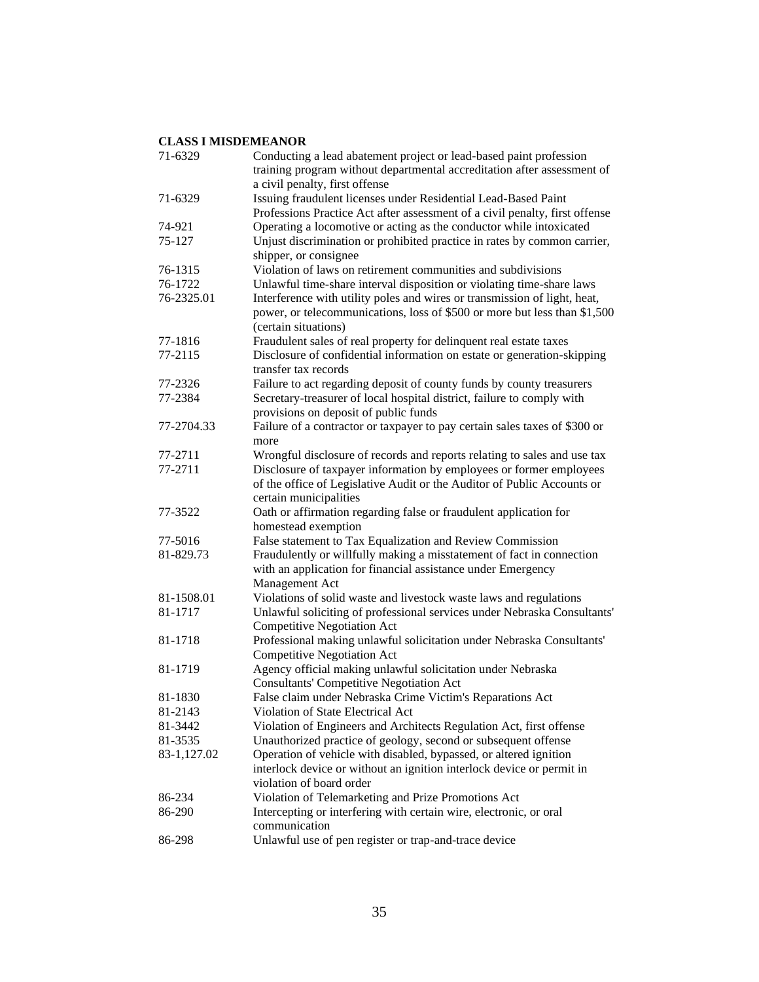| 71-6329            | Conducting a lead abatement project or lead-based paint profession<br>training program without departmental accreditation after assessment of          |
|--------------------|--------------------------------------------------------------------------------------------------------------------------------------------------------|
|                    | a civil penalty, first offense                                                                                                                         |
| 71-6329            | Issuing fraudulent licenses under Residential Lead-Based Paint<br>Professions Practice Act after assessment of a civil penalty, first offense          |
| 74-921             | Operating a locomotive or acting as the conductor while intoxicated                                                                                    |
| 75-127             | Unjust discrimination or prohibited practice in rates by common carrier,<br>shipper, or consignee                                                      |
| 76-1315            | Violation of laws on retirement communities and subdivisions                                                                                           |
| 76-1722            | Unlawful time-share interval disposition or violating time-share laws                                                                                  |
| 76-2325.01         | Interference with utility poles and wires or transmission of light, heat,<br>power, or telecommunications, loss of \$500 or more but less than \$1,500 |
|                    | (certain situations)                                                                                                                                   |
| 77-1816<br>77-2115 | Fraudulent sales of real property for delinquent real estate taxes                                                                                     |
|                    | Disclosure of confidential information on estate or generation-skipping<br>transfer tax records                                                        |
| 77-2326            | Failure to act regarding deposit of county funds by county treasurers                                                                                  |
| 77-2384            | Secretary-treasurer of local hospital district, failure to comply with<br>provisions on deposit of public funds                                        |
| 77-2704.33         | Failure of a contractor or taxpayer to pay certain sales taxes of \$300 or                                                                             |
|                    | more                                                                                                                                                   |
| 77-2711            | Wrongful disclosure of records and reports relating to sales and use tax                                                                               |
| 77-2711            | Disclosure of taxpayer information by employees or former employees                                                                                    |
|                    | of the office of Legislative Audit or the Auditor of Public Accounts or<br>certain municipalities                                                      |
| 77-3522            | Oath or affirmation regarding false or fraudulent application for                                                                                      |
|                    | homestead exemption                                                                                                                                    |
| 77-5016            | False statement to Tax Equalization and Review Commission                                                                                              |
| 81-829.73          | Fraudulently or willfully making a misstatement of fact in connection                                                                                  |
|                    | with an application for financial assistance under Emergency                                                                                           |
|                    | Management Act                                                                                                                                         |
| 81-1508.01         | Violations of solid waste and livestock waste laws and regulations                                                                                     |
| 81-1717            | Unlawful soliciting of professional services under Nebraska Consultants'                                                                               |
|                    | <b>Competitive Negotiation Act</b>                                                                                                                     |
| 81-1718            | Professional making unlawful solicitation under Nebraska Consultants'<br><b>Competitive Negotiation Act</b>                                            |
| 81-1719            | Agency official making unlawful solicitation under Nebraska                                                                                            |
|                    | <b>Consultants' Competitive Negotiation Act</b>                                                                                                        |
| 81-1830            | False claim under Nebraska Crime Victim's Reparations Act                                                                                              |
| 81-2143            | Violation of State Electrical Act                                                                                                                      |
| 81-3442            | Violation of Engineers and Architects Regulation Act, first offense                                                                                    |
| 81-3535            | Unauthorized practice of geology, second or subsequent offense                                                                                         |
| 83-1,127.02        | Operation of vehicle with disabled, bypassed, or altered ignition                                                                                      |
|                    | interlock device or without an ignition interlock device or permit in                                                                                  |
|                    | violation of board order                                                                                                                               |
| 86-234             | Violation of Telemarketing and Prize Promotions Act                                                                                                    |
| 86-290             | Intercepting or interfering with certain wire, electronic, or oral                                                                                     |
|                    | communication                                                                                                                                          |
| 86-298             | Unlawful use of pen register or trap-and-trace device                                                                                                  |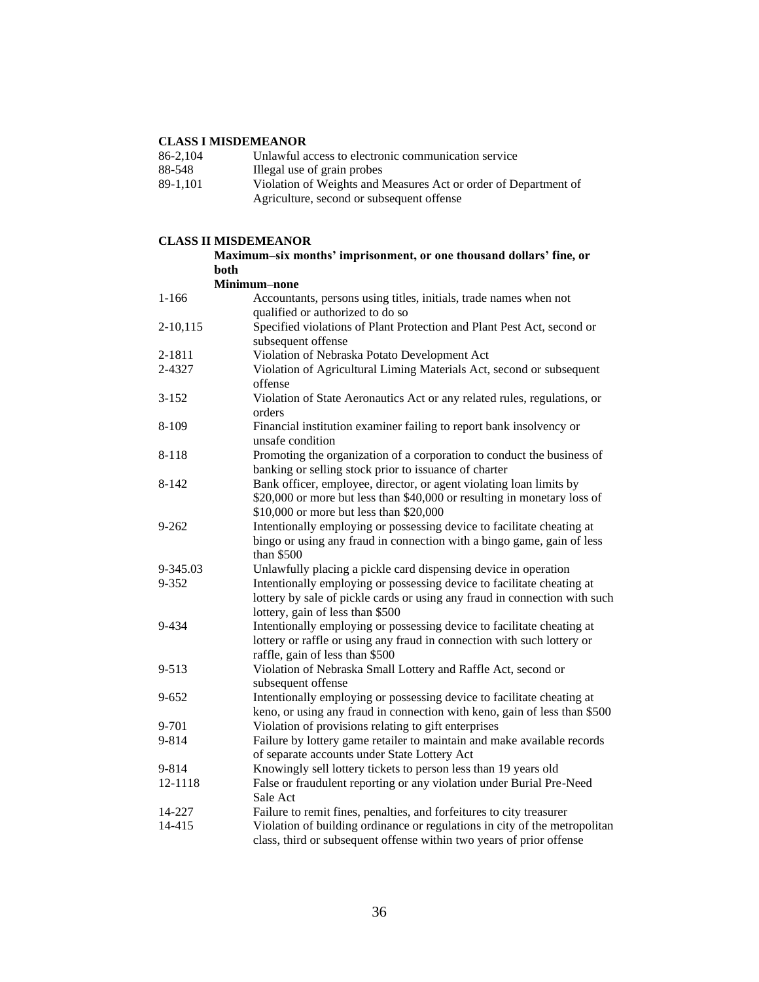| 86-2.104 | Unlawful access to electronic communication service             |
|----------|-----------------------------------------------------------------|
| 88-548   | Illegal use of grain probes                                     |
| 89-1.101 | Violation of Weights and Measures Act or order of Department of |
|          | Agriculture, second or subsequent offense                       |

### **CLASS II MISDEMEANOR**

**Maximum–six months' imprisonment, or one thousand dollars' fine, or both**

|               | both                                                                                                                                                                                       |
|---------------|--------------------------------------------------------------------------------------------------------------------------------------------------------------------------------------------|
|               | Minimum-none                                                                                                                                                                               |
| $1 - 166$     | Accountants, persons using titles, initials, trade names when not                                                                                                                          |
|               | qualified or authorized to do so                                                                                                                                                           |
| $2 - 10, 115$ | Specified violations of Plant Protection and Plant Pest Act, second or<br>subsequent offense                                                                                               |
| 2-1811        | Violation of Nebraska Potato Development Act                                                                                                                                               |
| 2-4327        | Violation of Agricultural Liming Materials Act, second or subsequent                                                                                                                       |
|               | offense                                                                                                                                                                                    |
| $3 - 152$     | Violation of State Aeronautics Act or any related rules, regulations, or<br>orders                                                                                                         |
| 8-109         | Financial institution examiner failing to report bank insolvency or<br>unsafe condition                                                                                                    |
| 8-118         | Promoting the organization of a corporation to conduct the business of<br>banking or selling stock prior to issuance of charter                                                            |
| $8 - 142$     | Bank officer, employee, director, or agent violating loan limits by<br>\$20,000 or more but less than \$40,000 or resulting in monetary loss of<br>\$10,000 or more but less than \$20,000 |
| $9 - 262$     | Intentionally employing or possessing device to facilitate cheating at<br>bingo or using any fraud in connection with a bingo game, gain of less<br>than \$500                             |
| 9-345.03      | Unlawfully placing a pickle card dispensing device in operation                                                                                                                            |
| 9-352         | Intentionally employing or possessing device to facilitate cheating at<br>lottery by sale of pickle cards or using any fraud in connection with such<br>lottery, gain of less than \$500   |
| 9-434         | Intentionally employing or possessing device to facilitate cheating at<br>lottery or raffle or using any fraud in connection with such lottery or<br>raffle, gain of less than \$500       |
| 9-513         | Violation of Nebraska Small Lottery and Raffle Act, second or<br>subsequent offense                                                                                                        |
| 9-652         | Intentionally employing or possessing device to facilitate cheating at<br>keno, or using any fraud in connection with keno, gain of less than \$500                                        |
| 9-701         | Violation of provisions relating to gift enterprises                                                                                                                                       |
| 9-814         | Failure by lottery game retailer to maintain and make available records<br>of separate accounts under State Lottery Act                                                                    |
| 9-814         | Knowingly sell lottery tickets to person less than 19 years old                                                                                                                            |
| 12-1118       | False or fraudulent reporting or any violation under Burial Pre-Need<br>Sale Act                                                                                                           |
| 14-227        | Failure to remit fines, penalties, and forfeitures to city treasurer                                                                                                                       |
| 14-415        | Violation of building ordinance or regulations in city of the metropolitan<br>class, third or subsequent offense within two years of prior offense                                         |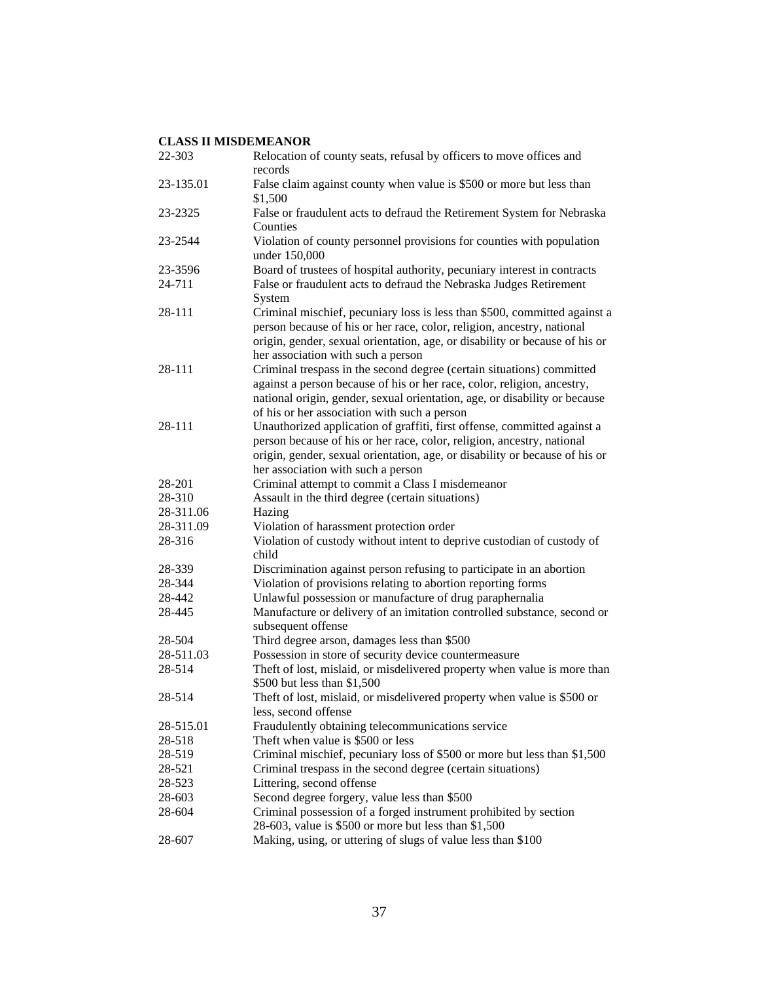| 22-303    | Relocation of county seats, refusal by officers to move offices and<br>records                                                                                                                                                                                                 |
|-----------|--------------------------------------------------------------------------------------------------------------------------------------------------------------------------------------------------------------------------------------------------------------------------------|
| 23-135.01 | False claim against county when value is \$500 or more but less than<br>\$1,500                                                                                                                                                                                                |
| 23-2325   | False or fraudulent acts to defraud the Retirement System for Nebraska<br>Counties                                                                                                                                                                                             |
| 23-2544   | Violation of county personnel provisions for counties with population<br>under 150,000                                                                                                                                                                                         |
| 23-3596   | Board of trustees of hospital authority, pecuniary interest in contracts                                                                                                                                                                                                       |
| 24-711    | False or fraudulent acts to defraud the Nebraska Judges Retirement<br>System                                                                                                                                                                                                   |
| 28-111    | Criminal mischief, pecuniary loss is less than \$500, committed against a<br>person because of his or her race, color, religion, ancestry, national<br>origin, gender, sexual orientation, age, or disability or because of his or<br>her association with such a person       |
| 28-111    | Criminal trespass in the second degree (certain situations) committed<br>against a person because of his or her race, color, religion, ancestry,<br>national origin, gender, sexual orientation, age, or disability or because<br>of his or her association with such a person |
| 28-111    | Unauthorized application of graffiti, first offense, committed against a<br>person because of his or her race, color, religion, ancestry, national<br>origin, gender, sexual orientation, age, or disability or because of his or<br>her association with such a person        |
| 28-201    | Criminal attempt to commit a Class I misdemeanor                                                                                                                                                                                                                               |
| 28-310    | Assault in the third degree (certain situations)                                                                                                                                                                                                                               |
| 28-311.06 | Hazing                                                                                                                                                                                                                                                                         |
| 28-311.09 | Violation of harassment protection order                                                                                                                                                                                                                                       |
| 28-316    | Violation of custody without intent to deprive custodian of custody of<br>child                                                                                                                                                                                                |
| 28-339    | Discrimination against person refusing to participate in an abortion                                                                                                                                                                                                           |
| 28-344    | Violation of provisions relating to abortion reporting forms                                                                                                                                                                                                                   |
| 28-442    | Unlawful possession or manufacture of drug paraphernalia                                                                                                                                                                                                                       |
| 28-445    | Manufacture or delivery of an imitation controlled substance, second or<br>subsequent offense                                                                                                                                                                                  |
| 28-504    | Third degree arson, damages less than \$500                                                                                                                                                                                                                                    |
| 28-511.03 | Possession in store of security device countermeasure                                                                                                                                                                                                                          |
| 28-514    | Theft of lost, mislaid, or misdelivered property when value is more than<br>\$500 but less than \$1,500                                                                                                                                                                        |
| 28-514    | Theft of lost, mislaid, or misdelivered property when value is \$500 or<br>less, second offense                                                                                                                                                                                |
| 28-515.01 | Fraudulently obtaining telecommunications service                                                                                                                                                                                                                              |
| 28-518    | Theft when value is \$500 or less                                                                                                                                                                                                                                              |
| 28-519    | Criminal mischief, pecuniary loss of \$500 or more but less than \$1,500                                                                                                                                                                                                       |
| 28-521    | Criminal trespass in the second degree (certain situations)                                                                                                                                                                                                                    |
| 28-523    | Littering, second offense                                                                                                                                                                                                                                                      |
| 28-603    | Second degree forgery, value less than \$500                                                                                                                                                                                                                                   |
| 28-604    | Criminal possession of a forged instrument prohibited by section<br>28-603, value is \$500 or more but less than \$1,500                                                                                                                                                       |
| 28-607    | Making, using, or uttering of slugs of value less than \$100                                                                                                                                                                                                                   |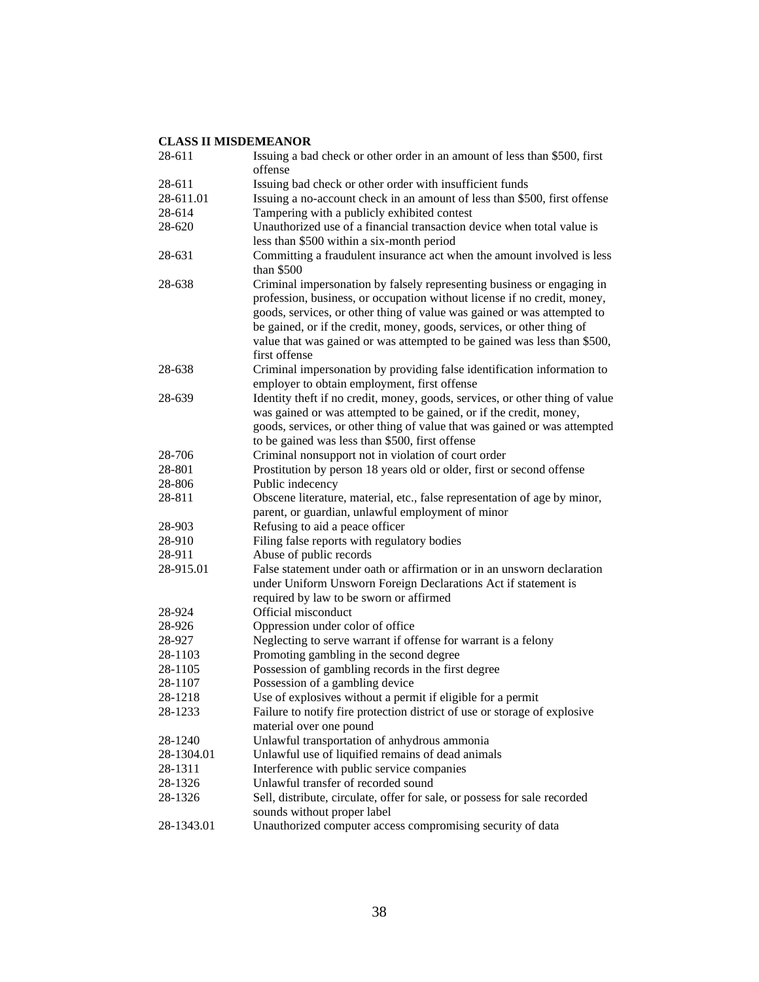| 28-611     | Issuing a bad check or other order in an amount of less than \$500, first<br>offense |
|------------|--------------------------------------------------------------------------------------|
| 28-611     | Issuing bad check or other order with insufficient funds                             |
| 28-611.01  | Issuing a no-account check in an amount of less than \$500, first offense            |
| 28-614     | Tampering with a publicly exhibited contest                                          |
| 28-620     | Unauthorized use of a financial transaction device when total value is               |
|            | less than \$500 within a six-month period                                            |
| 28-631     | Committing a fraudulent insurance act when the amount involved is less               |
|            | than $$500$                                                                          |
| 28-638     | Criminal impersonation by falsely representing business or engaging in               |
|            | profession, business, or occupation without license if no credit, money,             |
|            | goods, services, or other thing of value was gained or was attempted to              |
|            | be gained, or if the credit, money, goods, services, or other thing of               |
|            | value that was gained or was attempted to be gained was less than \$500,             |
|            | first offense                                                                        |
| 28-638     | Criminal impersonation by providing false identification information to              |
|            | employer to obtain employment, first offense                                         |
| 28-639     | Identity theft if no credit, money, goods, services, or other thing of value         |
|            | was gained or was attempted to be gained, or if the credit, money,                   |
|            | goods, services, or other thing of value that was gained or was attempted            |
|            | to be gained was less than \$500, first offense                                      |
| 28-706     | Criminal nonsupport not in violation of court order                                  |
| 28-801     | Prostitution by person 18 years old or older, first or second offense                |
| 28-806     | Public indecency                                                                     |
| 28-811     | Obscene literature, material, etc., false representation of age by minor,            |
|            | parent, or guardian, unlawful employment of minor                                    |
| 28-903     | Refusing to aid a peace officer                                                      |
| 28-910     | Filing false reports with regulatory bodies                                          |
| 28-911     | Abuse of public records                                                              |
| 28-915.01  | False statement under oath or affirmation or in an unsworn declaration               |
|            | under Uniform Unsworn Foreign Declarations Act if statement is                       |
|            | required by law to be sworn or affirmed                                              |
| 28-924     | Official misconduct                                                                  |
| 28-926     | Oppression under color of office                                                     |
| 28-927     | Neglecting to serve warrant if offense for warrant is a felony                       |
| 28-1103    | Promoting gambling in the second degree                                              |
| 28-1105    | Possession of gambling records in the first degree                                   |
| 28-1107    | Possession of a gambling device                                                      |
| 28-1218    | Use of explosives without a permit if eligible for a permit                          |
| 28-1233    | Failure to notify fire protection district of use or storage of explosive            |
|            | material over one pound                                                              |
| 28-1240    | Unlawful transportation of anhydrous ammonia                                         |
| 28-1304.01 | Unlawful use of liquified remains of dead animals                                    |
| 28-1311    | Interference with public service companies                                           |
| 28-1326    | Unlawful transfer of recorded sound                                                  |
| 28-1326    | Sell, distribute, circulate, offer for sale, or possess for sale recorded            |
|            | sounds without proper label                                                          |
| 28-1343.01 | Unauthorized computer access compromising security of data                           |
|            |                                                                                      |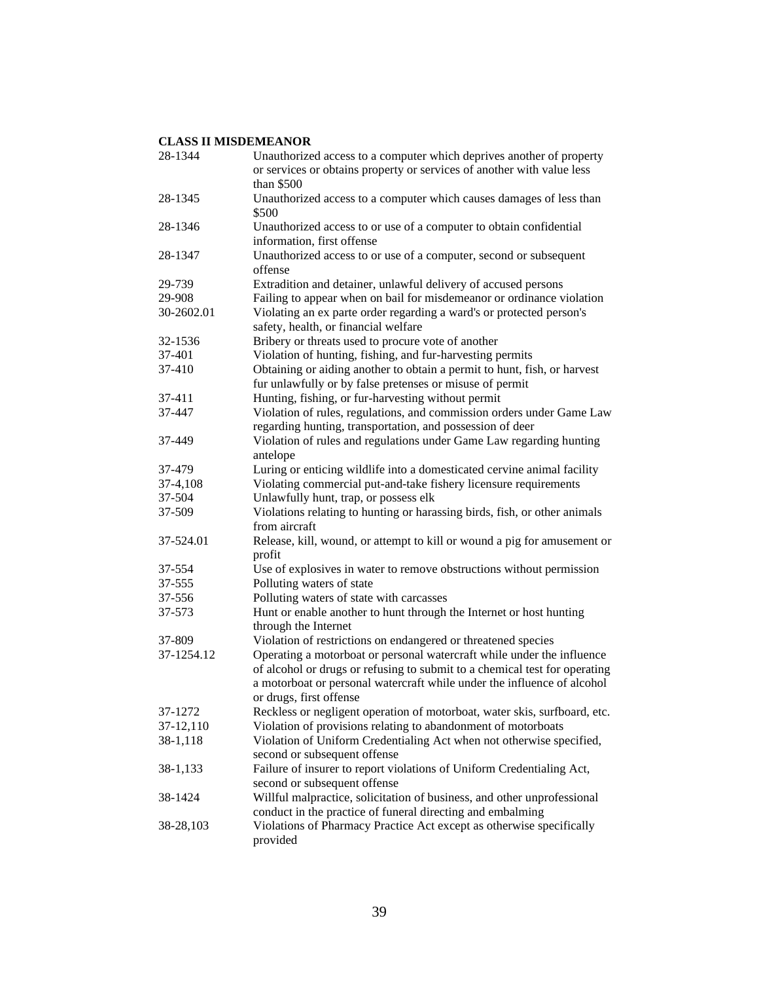| 28-1344    | Unauthorized access to a computer which deprives another of property<br>or services or obtains property or services of another with value less<br>than \$500                                                                                               |
|------------|------------------------------------------------------------------------------------------------------------------------------------------------------------------------------------------------------------------------------------------------------------|
| 28-1345    | Unauthorized access to a computer which causes damages of less than<br>\$500                                                                                                                                                                               |
| 28-1346    | Unauthorized access to or use of a computer to obtain confidential<br>information, first offense                                                                                                                                                           |
| 28-1347    | Unauthorized access to or use of a computer, second or subsequent<br>offense                                                                                                                                                                               |
| 29-739     | Extradition and detainer, unlawful delivery of accused persons                                                                                                                                                                                             |
| 29-908     | Failing to appear when on bail for misdemeanor or ordinance violation                                                                                                                                                                                      |
| 30-2602.01 | Violating an ex parte order regarding a ward's or protected person's<br>safety, health, or financial welfare                                                                                                                                               |
| 32-1536    | Bribery or threats used to procure vote of another                                                                                                                                                                                                         |
| 37-401     | Violation of hunting, fishing, and fur-harvesting permits                                                                                                                                                                                                  |
| 37-410     | Obtaining or aiding another to obtain a permit to hunt, fish, or harvest<br>fur unlawfully or by false pretenses or misuse of permit                                                                                                                       |
| 37-411     | Hunting, fishing, or fur-harvesting without permit                                                                                                                                                                                                         |
| 37-447     | Violation of rules, regulations, and commission orders under Game Law<br>regarding hunting, transportation, and possession of deer                                                                                                                         |
| 37-449     | Violation of rules and regulations under Game Law regarding hunting<br>antelope                                                                                                                                                                            |
| 37-479     | Luring or enticing wildlife into a domesticated cervine animal facility                                                                                                                                                                                    |
| 37-4,108   | Violating commercial put-and-take fishery licensure requirements                                                                                                                                                                                           |
| 37-504     | Unlawfully hunt, trap, or possess elk                                                                                                                                                                                                                      |
| 37-509     | Violations relating to hunting or harassing birds, fish, or other animals<br>from aircraft                                                                                                                                                                 |
| 37-524.01  | Release, kill, wound, or attempt to kill or wound a pig for amusement or<br>profit                                                                                                                                                                         |
| 37-554     | Use of explosives in water to remove obstructions without permission                                                                                                                                                                                       |
| 37-555     | Polluting waters of state                                                                                                                                                                                                                                  |
| 37-556     | Polluting waters of state with carcasses                                                                                                                                                                                                                   |
| 37-573     | Hunt or enable another to hunt through the Internet or host hunting<br>through the Internet                                                                                                                                                                |
| 37-809     | Violation of restrictions on endangered or threatened species                                                                                                                                                                                              |
| 37-1254.12 | Operating a motorboat or personal watercraft while under the influence<br>of alcohol or drugs or refusing to submit to a chemical test for operating<br>a motorboat or personal watercraft while under the influence of alcohol<br>or drugs, first offense |
| 37-1272    | Reckless or negligent operation of motorboat, water skis, surfboard, etc.                                                                                                                                                                                  |
| 37-12,110  | Violation of provisions relating to abandonment of motorboats                                                                                                                                                                                              |
| 38-1,118   | Violation of Uniform Credentialing Act when not otherwise specified,<br>second or subsequent offense                                                                                                                                                       |
| 38-1,133   | Failure of insurer to report violations of Uniform Credentialing Act,<br>second or subsequent offense                                                                                                                                                      |
| 38-1424    | Willful malpractice, solicitation of business, and other unprofessional<br>conduct in the practice of funeral directing and embalming                                                                                                                      |
| 38-28,103  | Violations of Pharmacy Practice Act except as otherwise specifically<br>provided                                                                                                                                                                           |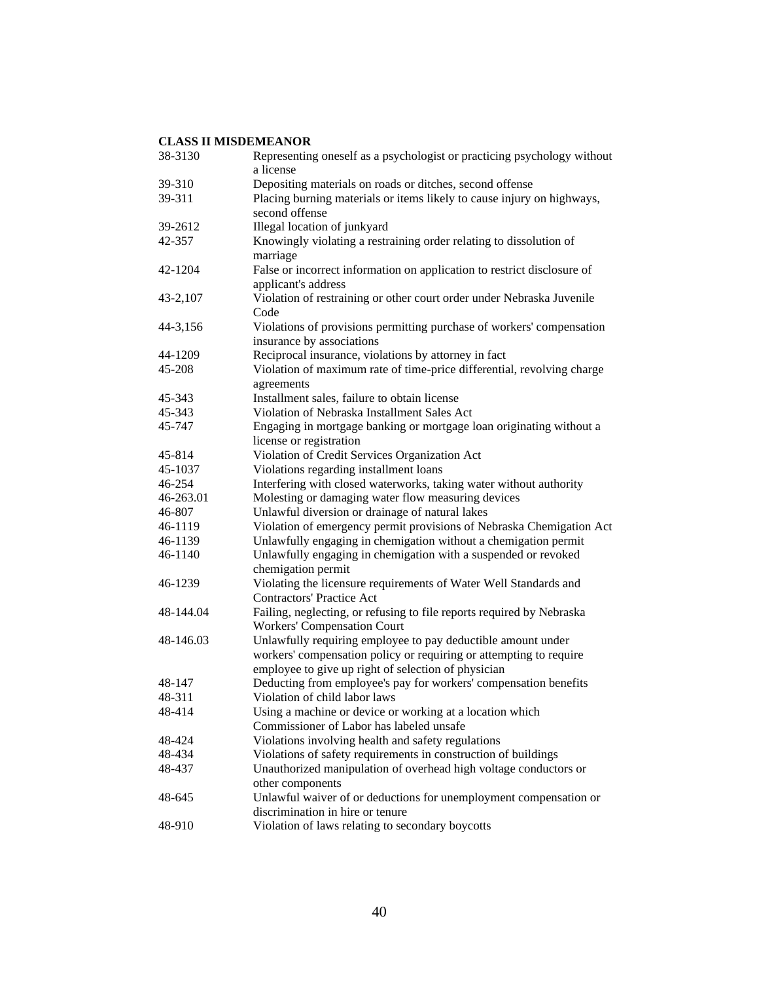| 38-3130   | Representing oneself as a psychologist or practicing psychology without<br>a license                                                                                                      |
|-----------|-------------------------------------------------------------------------------------------------------------------------------------------------------------------------------------------|
| 39-310    | Depositing materials on roads or ditches, second offense                                                                                                                                  |
| 39-311    | Placing burning materials or items likely to cause injury on highways,<br>second offense                                                                                                  |
| 39-2612   | Illegal location of junkyard                                                                                                                                                              |
| 42-357    | Knowingly violating a restraining order relating to dissolution of<br>marriage                                                                                                            |
| 42-1204   | False or incorrect information on application to restrict disclosure of<br>applicant's address                                                                                            |
| 43-2,107  | Violation of restraining or other court order under Nebraska Juvenile<br>Code                                                                                                             |
| 44-3,156  | Violations of provisions permitting purchase of workers' compensation<br>insurance by associations                                                                                        |
| 44-1209   | Reciprocal insurance, violations by attorney in fact                                                                                                                                      |
| 45-208    | Violation of maximum rate of time-price differential, revolving charge<br>agreements                                                                                                      |
| 45-343    | Installment sales, failure to obtain license                                                                                                                                              |
| 45-343    | Violation of Nebraska Installment Sales Act                                                                                                                                               |
| 45-747    | Engaging in mortgage banking or mortgage loan originating without a<br>license or registration                                                                                            |
| 45-814    | Violation of Credit Services Organization Act                                                                                                                                             |
| 45-1037   | Violations regarding installment loans                                                                                                                                                    |
| 46-254    | Interfering with closed waterworks, taking water without authority                                                                                                                        |
| 46-263.01 | Molesting or damaging water flow measuring devices                                                                                                                                        |
| 46-807    | Unlawful diversion or drainage of natural lakes                                                                                                                                           |
| 46-1119   | Violation of emergency permit provisions of Nebraska Chemigation Act                                                                                                                      |
| 46-1139   | Unlawfully engaging in chemigation without a chemigation permit                                                                                                                           |
| 46-1140   | Unlawfully engaging in chemigation with a suspended or revoked<br>chemigation permit                                                                                                      |
| 46-1239   | Violating the licensure requirements of Water Well Standards and<br><b>Contractors' Practice Act</b>                                                                                      |
| 48-144.04 | Failing, neglecting, or refusing to file reports required by Nebraska<br><b>Workers' Compensation Court</b>                                                                               |
| 48-146.03 | Unlawfully requiring employee to pay deductible amount under<br>workers' compensation policy or requiring or attempting to require<br>employee to give up right of selection of physician |
| 48-147    | Deducting from employee's pay for workers' compensation benefits                                                                                                                          |
| 48-311    | Violation of child labor laws                                                                                                                                                             |
| 48-414    | Using a machine or device or working at a location which<br>Commissioner of Labor has labeled unsafe                                                                                      |
| 48-424    | Violations involving health and safety regulations                                                                                                                                        |
| 48-434    | Violations of safety requirements in construction of buildings                                                                                                                            |
| 48-437    | Unauthorized manipulation of overhead high voltage conductors or<br>other components                                                                                                      |
| 48-645    | Unlawful waiver of or deductions for unemployment compensation or<br>discrimination in hire or tenure                                                                                     |
| 48-910    | Violation of laws relating to secondary boycotts                                                                                                                                          |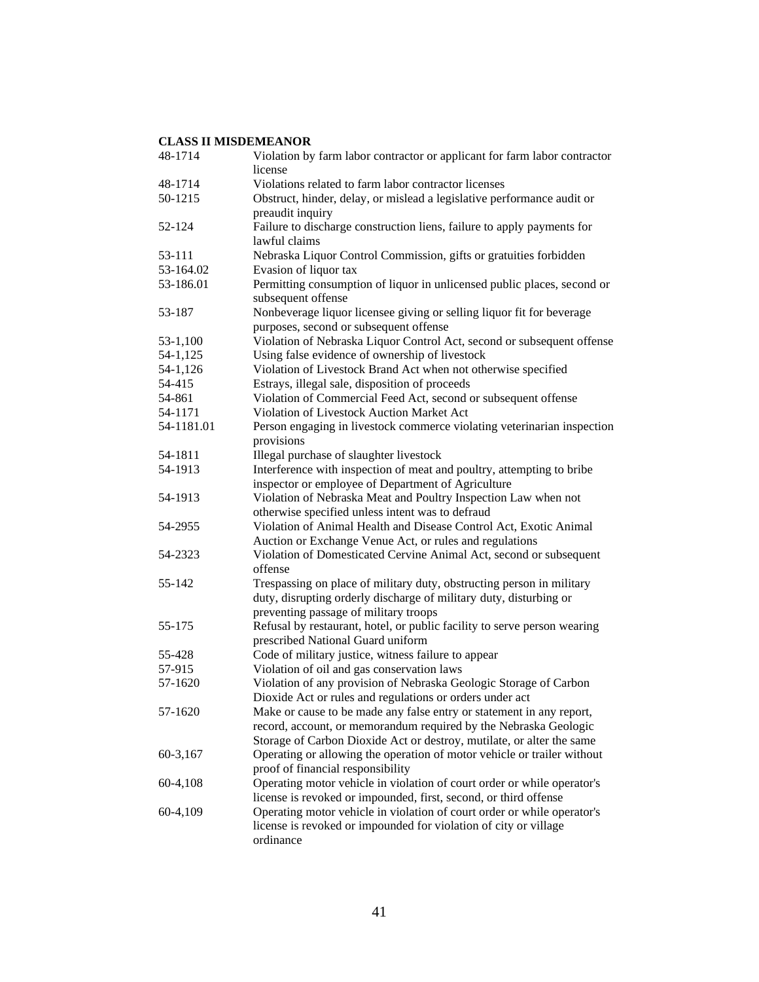| 48-1714    | Violation by farm labor contractor or applicant for farm labor contractor<br>license                                          |
|------------|-------------------------------------------------------------------------------------------------------------------------------|
| 48-1714    | Violations related to farm labor contractor licenses                                                                          |
| 50-1215    | Obstruct, hinder, delay, or mislead a legislative performance audit or                                                        |
|            | preaudit inquiry                                                                                                              |
| 52-124     | Failure to discharge construction liens, failure to apply payments for                                                        |
|            | lawful claims                                                                                                                 |
| 53-111     | Nebraska Liquor Control Commission, gifts or gratuities forbidden                                                             |
| 53-164.02  | Evasion of liquor tax                                                                                                         |
| 53-186.01  | Permitting consumption of liquor in unlicensed public places, second or                                                       |
|            | subsequent offense                                                                                                            |
| 53-187     | Nonbeverage liquor licensee giving or selling liquor fit for beverage                                                         |
|            | purposes, second or subsequent offense                                                                                        |
| $53-1,100$ | Violation of Nebraska Liquor Control Act, second or subsequent offense                                                        |
| 54-1,125   | Using false evidence of ownership of livestock                                                                                |
| 54-1,126   | Violation of Livestock Brand Act when not otherwise specified                                                                 |
| 54-415     | Estrays, illegal sale, disposition of proceeds                                                                                |
| 54-861     | Violation of Commercial Feed Act, second or subsequent offense                                                                |
| 54-1171    | Violation of Livestock Auction Market Act                                                                                     |
| 54-1181.01 | Person engaging in livestock commerce violating veterinarian inspection                                                       |
|            | provisions                                                                                                                    |
| 54-1811    | Illegal purchase of slaughter livestock                                                                                       |
| 54-1913    | Interference with inspection of meat and poultry, attempting to bribe                                                         |
|            | inspector or employee of Department of Agriculture                                                                            |
| 54-1913    | Violation of Nebraska Meat and Poultry Inspection Law when not                                                                |
|            | otherwise specified unless intent was to defraud                                                                              |
| 54-2955    | Violation of Animal Health and Disease Control Act, Exotic Animal                                                             |
| 54-2323    | Auction or Exchange Venue Act, or rules and regulations<br>Violation of Domesticated Cervine Animal Act, second or subsequent |
|            | offense                                                                                                                       |
| 55-142     | Trespassing on place of military duty, obstructing person in military                                                         |
|            | duty, disrupting orderly discharge of military duty, disturbing or                                                            |
|            | preventing passage of military troops                                                                                         |
| 55-175     | Refusal by restaurant, hotel, or public facility to serve person wearing                                                      |
|            | prescribed National Guard uniform                                                                                             |
| 55-428     | Code of military justice, witness failure to appear                                                                           |
| 57-915     | Violation of oil and gas conservation laws                                                                                    |
| 57-1620    | Violation of any provision of Nebraska Geologic Storage of Carbon                                                             |
|            | Dioxide Act or rules and regulations or orders under act                                                                      |
| 57-1620    | Make or cause to be made any false entry or statement in any report,                                                          |
|            | record, account, or memorandum required by the Nebraska Geologic                                                              |
|            | Storage of Carbon Dioxide Act or destroy, mutilate, or alter the same                                                         |
| 60-3,167   | Operating or allowing the operation of motor vehicle or trailer without                                                       |
|            | proof of financial responsibility                                                                                             |
| 60-4,108   | Operating motor vehicle in violation of court order or while operator's                                                       |
|            | license is revoked or impounded, first, second, or third offense                                                              |
| 60-4,109   | Operating motor vehicle in violation of court order or while operator's                                                       |
|            | license is revoked or impounded for violation of city or village                                                              |
|            | ordinance                                                                                                                     |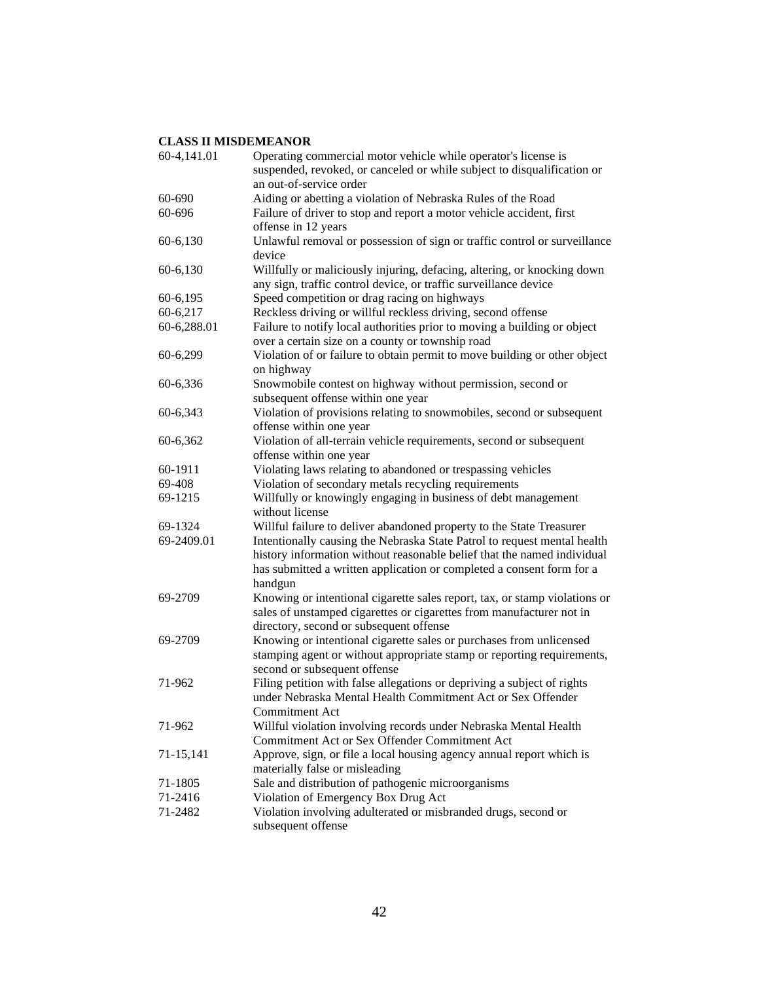| 60-4,141.01 | Operating commercial motor vehicle while operator's license is<br>suspended, revoked, or canceled or while subject to disqualification or                                                                                               |
|-------------|-----------------------------------------------------------------------------------------------------------------------------------------------------------------------------------------------------------------------------------------|
|             | an out-of-service order                                                                                                                                                                                                                 |
| 60-690      | Aiding or abetting a violation of Nebraska Rules of the Road                                                                                                                                                                            |
| 60-696      | Failure of driver to stop and report a motor vehicle accident, first<br>offense in 12 years                                                                                                                                             |
| 60-6,130    | Unlawful removal or possession of sign or traffic control or surveillance<br>device                                                                                                                                                     |
| 60-6,130    | Willfully or maliciously injuring, defacing, altering, or knocking down<br>any sign, traffic control device, or traffic surveillance device                                                                                             |
| 60-6,195    | Speed competition or drag racing on highways                                                                                                                                                                                            |
| 60-6,217    | Reckless driving or willful reckless driving, second offense                                                                                                                                                                            |
| 60-6,288.01 | Failure to notify local authorities prior to moving a building or object<br>over a certain size on a county or township road                                                                                                            |
| 60-6,299    | Violation of or failure to obtain permit to move building or other object<br>on highway                                                                                                                                                 |
| 60-6,336    | Snowmobile contest on highway without permission, second or<br>subsequent offense within one year                                                                                                                                       |
| 60-6,343    | Violation of provisions relating to snowmobiles, second or subsequent<br>offense within one year                                                                                                                                        |
| 60-6,362    | Violation of all-terrain vehicle requirements, second or subsequent<br>offense within one year                                                                                                                                          |
| 60-1911     | Violating laws relating to abandoned or trespassing vehicles                                                                                                                                                                            |
| 69-408      | Violation of secondary metals recycling requirements                                                                                                                                                                                    |
| 69-1215     | Willfully or knowingly engaging in business of debt management<br>without license                                                                                                                                                       |
| 69-1324     | Willful failure to deliver abandoned property to the State Treasurer                                                                                                                                                                    |
| 69-2409.01  | Intentionally causing the Nebraska State Patrol to request mental health<br>history information without reasonable belief that the named individual<br>has submitted a written application or completed a consent form for a<br>handgun |
| 69-2709     | Knowing or intentional cigarette sales report, tax, or stamp violations or<br>sales of unstamped cigarettes or cigarettes from manufacturer not in<br>directory, second or subsequent offense                                           |
| 69-2709     | Knowing or intentional cigarette sales or purchases from unlicensed<br>stamping agent or without appropriate stamp or reporting requirements,<br>second or subsequent offense                                                           |
| 71-962      | Filing petition with false allegations or depriving a subject of rights<br>under Nebraska Mental Health Commitment Act or Sex Offender<br><b>Commitment Act</b>                                                                         |
| 71-962      | Willful violation involving records under Nebraska Mental Health<br>Commitment Act or Sex Offender Commitment Act                                                                                                                       |
| 71-15,141   | Approve, sign, or file a local housing agency annual report which is<br>materially false or misleading                                                                                                                                  |
| 71-1805     | Sale and distribution of pathogenic microorganisms                                                                                                                                                                                      |
| 71-2416     | Violation of Emergency Box Drug Act                                                                                                                                                                                                     |
| 71-2482     | Violation involving adulterated or misbranded drugs, second or<br>subsequent offense                                                                                                                                                    |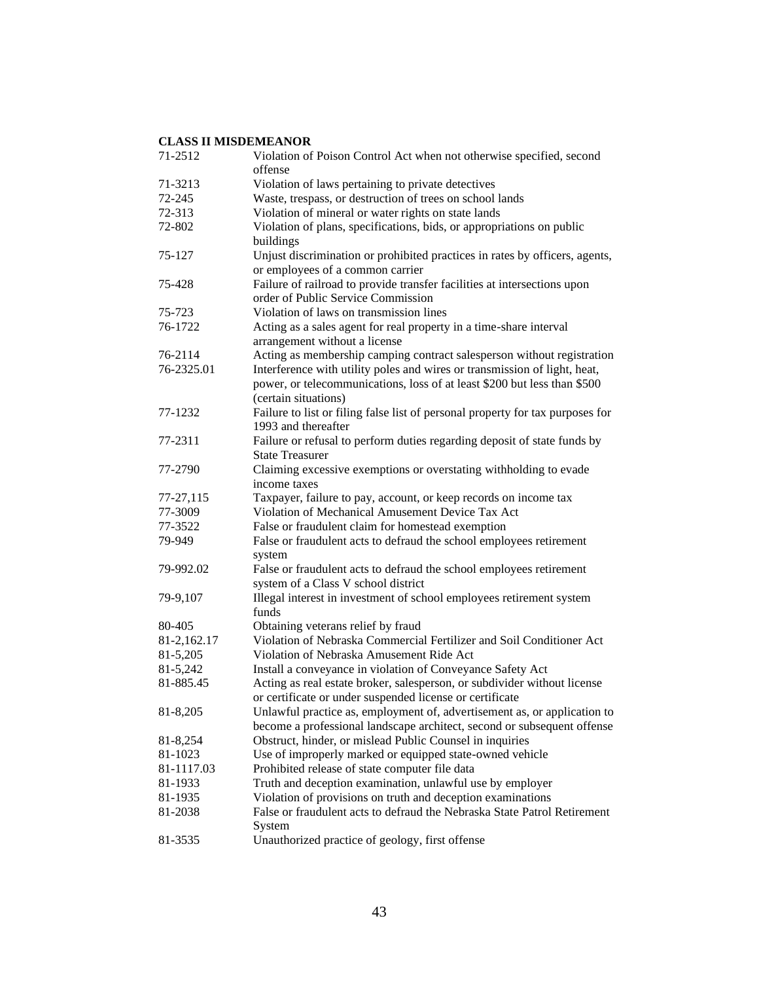| 71-2512     | Violation of Poison Control Act when not otherwise specified, second<br>offense |
|-------------|---------------------------------------------------------------------------------|
| 71-3213     | Violation of laws pertaining to private detectives                              |
| 72-245      | Waste, trespass, or destruction of trees on school lands                        |
| 72-313      | Violation of mineral or water rights on state lands                             |
| 72-802      | Violation of plans, specifications, bids, or appropriations on public           |
|             | buildings                                                                       |
| 75-127      | Unjust discrimination or prohibited practices in rates by officers, agents,     |
|             | or employees of a common carrier                                                |
| 75-428      | Failure of railroad to provide transfer facilities at intersections upon        |
|             | order of Public Service Commission                                              |
| 75-723      | Violation of laws on transmission lines                                         |
| 76-1722     | Acting as a sales agent for real property in a time-share interval              |
|             | arrangement without a license                                                   |
| 76-2114     | Acting as membership camping contract salesperson without registration          |
| 76-2325.01  | Interference with utility poles and wires or transmission of light, heat,       |
|             | power, or telecommunications, loss of at least \$200 but less than \$500        |
|             | (certain situations)                                                            |
| 77-1232     | Failure to list or filing false list of personal property for tax purposes for  |
|             | 1993 and thereafter                                                             |
| 77-2311     | Failure or refusal to perform duties regarding deposit of state funds by        |
|             | <b>State Treasurer</b>                                                          |
| 77-2790     | Claiming excessive exemptions or overstating withholding to evade               |
|             | income taxes                                                                    |
| 77-27,115   | Taxpayer, failure to pay, account, or keep records on income tax                |
| 77-3009     | Violation of Mechanical Amusement Device Tax Act                                |
| 77-3522     | False or fraudulent claim for homestead exemption                               |
| 79-949      | False or fraudulent acts to defraud the school employees retirement             |
|             | system                                                                          |
| 79-992.02   | False or fraudulent acts to defraud the school employees retirement             |
|             | system of a Class V school district                                             |
| 79-9,107    | Illegal interest in investment of school employees retirement system            |
|             | funds                                                                           |
| 80-405      | Obtaining veterans relief by fraud                                              |
| 81-2,162.17 | Violation of Nebraska Commercial Fertilizer and Soil Conditioner Act            |
| 81-5,205    | Violation of Nebraska Amusement Ride Act                                        |
| 81-5,242    | Install a conveyance in violation of Conveyance Safety Act                      |
| 81-885.45   | Acting as real estate broker, salesperson, or subdivider without license        |
|             | or certificate or under suspended license or certificate                        |
| 81-8,205    | Unlawful practice as, employment of, advertisement as, or application to        |
|             | become a professional landscape architect, second or subsequent offense         |
| 81-8,254    | Obstruct, hinder, or mislead Public Counsel in inquiries                        |
| 81-1023     | Use of improperly marked or equipped state-owned vehicle                        |
| 81-1117.03  | Prohibited release of state computer file data                                  |
| 81-1933     | Truth and deception examination, unlawful use by employer                       |
| 81-1935     | Violation of provisions on truth and deception examinations                     |
| 81-2038     | False or fraudulent acts to defraud the Nebraska State Patrol Retirement        |
|             | System                                                                          |
| 81-3535     | Unauthorized practice of geology, first offense                                 |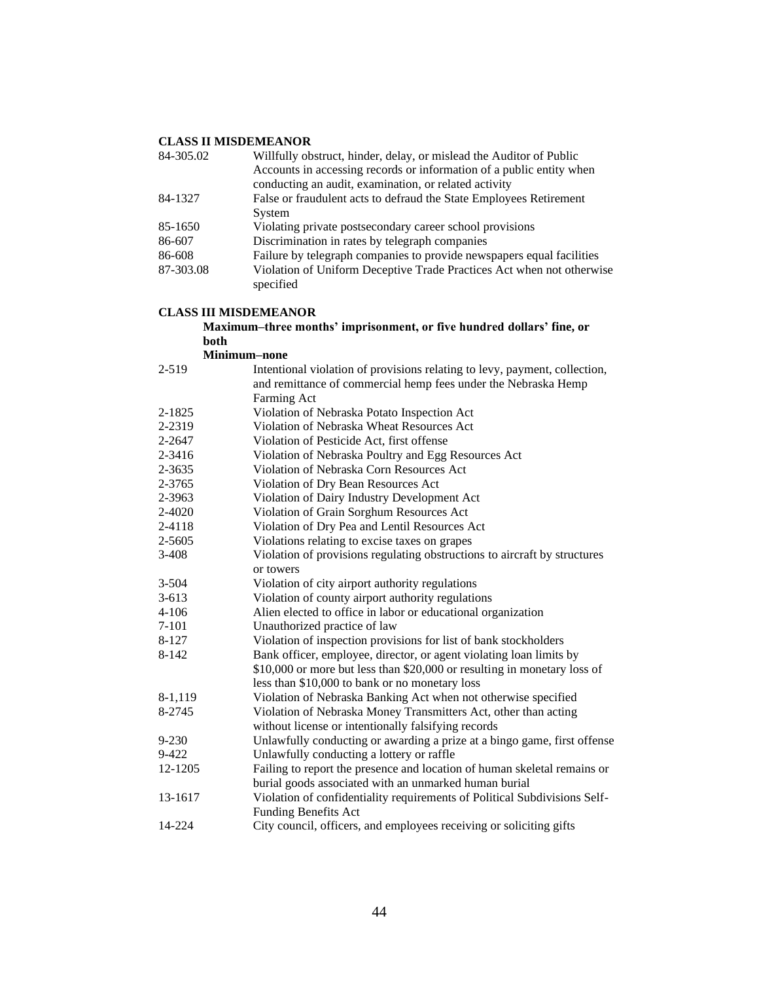| 84-305.02 | Willfully obstruct, hinder, delay, or mislead the Auditor of Public                |
|-----------|------------------------------------------------------------------------------------|
|           | Accounts in accessing records or information of a public entity when               |
|           | conducting an audit, examination, or related activity                              |
| 84-1327   | False or fraudulent acts to defraud the State Employees Retirement                 |
|           | System                                                                             |
| 85-1650   | Violating private postsecondary career school provisions                           |
| 86-607    | Discrimination in rates by telegraph companies                                     |
| 86-608    | Failure by telegraph companies to provide newspapers equal facilities              |
| 87-303.08 | Violation of Uniform Deceptive Trade Practices Act when not otherwise<br>specified |
|           |                                                                                    |

#### **CLASS III MISDEMEANOR**

#### **Maximum–three months' imprisonment, or five hundred dollars' fine, or both**

**Minimum–none**

| $2 - 519$  | Intentional violation of provisions relating to levy, payment, collection, |
|------------|----------------------------------------------------------------------------|
|            | and remittance of commercial hemp fees under the Nebraska Hemp             |
|            | Farming Act                                                                |
| $2 - 1825$ | Violation of Nebraska Potato Inspection Act                                |
| 2-2319     | Violation of Nebraska Wheat Resources Act                                  |
| 2-2647     | Violation of Pesticide Act, first offense                                  |
| 2-3416     | Violation of Nebraska Poultry and Egg Resources Act                        |
| 2-3635     | Violation of Nebraska Corn Resources Act                                   |
| 2-3765     | Violation of Dry Bean Resources Act                                        |
| 2-3963     | Violation of Dairy Industry Development Act                                |
| 2-4020     | Violation of Grain Sorghum Resources Act                                   |
| 2-4118     | Violation of Dry Pea and Lentil Resources Act                              |
| 2-5605     | Violations relating to excise taxes on grapes                              |
| $3-408$    | Violation of provisions regulating obstructions to aircraft by structures  |
|            | or towers                                                                  |
| $3 - 504$  | Violation of city airport authority regulations                            |
| $3 - 613$  | Violation of county airport authority regulations                          |
| $4 - 106$  | Alien elected to office in labor or educational organization               |
| $7 - 101$  | Unauthorized practice of law                                               |
| 8-127      | Violation of inspection provisions for list of bank stockholders           |
| 8-142      | Bank officer, employee, director, or agent violating loan limits by        |
|            | \$10,000 or more but less than \$20,000 or resulting in monetary loss of   |
|            | less than \$10,000 to bank or no monetary loss                             |
| 8-1,119    | Violation of Nebraska Banking Act when not otherwise specified             |
| 8-2745     | Violation of Nebraska Money Transmitters Act, other than acting            |
|            | without license or intentionally falsifying records                        |
| $9 - 230$  | Unlawfully conducting or awarding a prize at a bingo game, first offense   |
| $9 - 422$  | Unlawfully conducting a lottery or raffle                                  |
| 12-1205    | Failing to report the presence and location of human skeletal remains or   |
|            | burial goods associated with an unmarked human burial                      |
| 13-1617    | Violation of confidentiality requirements of Political Subdivisions Self-  |
|            | <b>Funding Benefits Act</b>                                                |
| 14-224     | City council, officers, and employees receiving or soliciting gifts        |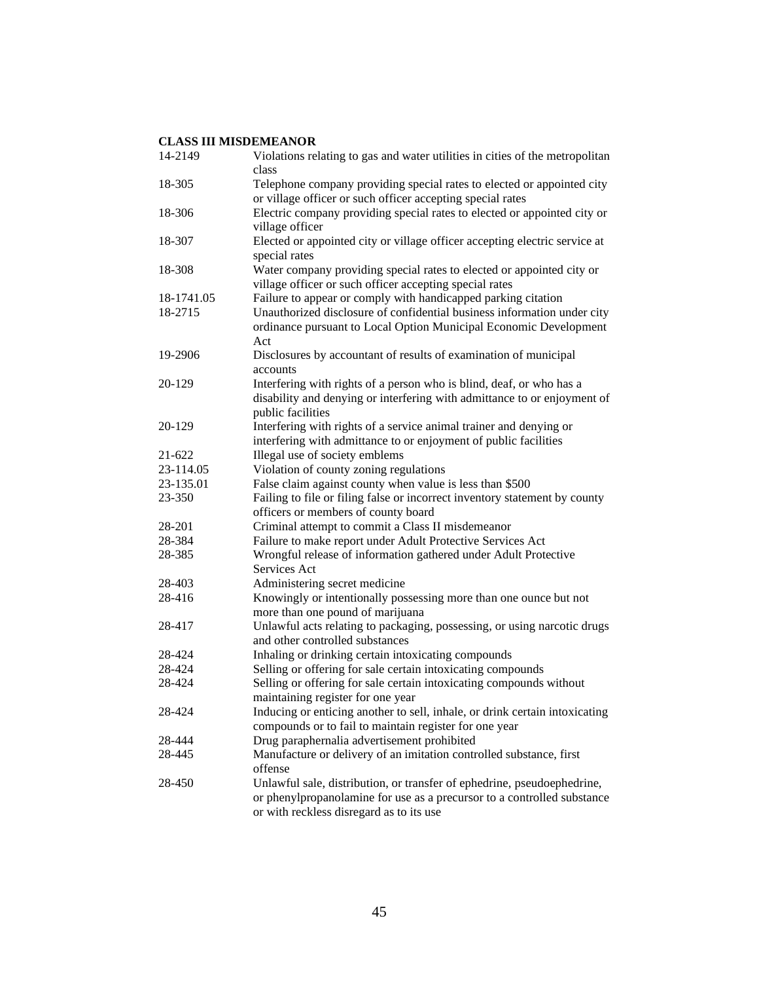| 14-2149    | Violations relating to gas and water utilities in cities of the metropolitan<br>class                                                                                                          |
|------------|------------------------------------------------------------------------------------------------------------------------------------------------------------------------------------------------|
| 18-305     | Telephone company providing special rates to elected or appointed city                                                                                                                         |
|            | or village officer or such officer accepting special rates                                                                                                                                     |
| 18-306     | Electric company providing special rates to elected or appointed city or<br>village officer                                                                                                    |
| 18-307     | Elected or appointed city or village officer accepting electric service at<br>special rates                                                                                                    |
| 18-308     | Water company providing special rates to elected or appointed city or                                                                                                                          |
| 18-1741.05 | village officer or such officer accepting special rates<br>Failure to appear or comply with handicapped parking citation                                                                       |
| 18-2715    |                                                                                                                                                                                                |
|            | Unauthorized disclosure of confidential business information under city<br>ordinance pursuant to Local Option Municipal Economic Development<br>Act                                            |
| 19-2906    | Disclosures by accountant of results of examination of municipal<br>accounts                                                                                                                   |
| 20-129     | Interfering with rights of a person who is blind, deaf, or who has a<br>disability and denying or interfering with admittance to or enjoyment of<br>public facilities                          |
| 20-129     | Interfering with rights of a service animal trainer and denying or<br>interfering with admittance to or enjoyment of public facilities                                                         |
| 21-622     | Illegal use of society emblems                                                                                                                                                                 |
| 23-114.05  | Violation of county zoning regulations                                                                                                                                                         |
| 23-135.01  | False claim against county when value is less than \$500                                                                                                                                       |
| 23-350     | Failing to file or filing false or incorrect inventory statement by county                                                                                                                     |
|            | officers or members of county board                                                                                                                                                            |
| 28-201     | Criminal attempt to commit a Class II misdemeanor                                                                                                                                              |
| 28-384     | Failure to make report under Adult Protective Services Act                                                                                                                                     |
| 28-385     | Wrongful release of information gathered under Adult Protective<br>Services Act                                                                                                                |
| 28-403     | Administering secret medicine                                                                                                                                                                  |
| 28-416     | Knowingly or intentionally possessing more than one ounce but not<br>more than one pound of marijuana                                                                                          |
| 28-417     | Unlawful acts relating to packaging, possessing, or using narcotic drugs<br>and other controlled substances                                                                                    |
| 28-424     | Inhaling or drinking certain intoxicating compounds                                                                                                                                            |
| 28-424     | Selling or offering for sale certain intoxicating compounds                                                                                                                                    |
| 28-424     | Selling or offering for sale certain intoxicating compounds without                                                                                                                            |
|            | maintaining register for one year                                                                                                                                                              |
| 28-424     | Inducing or enticing another to sell, inhale, or drink certain intoxicating<br>compounds or to fail to maintain register for one year                                                          |
| 28-444     | Drug paraphernalia advertisement prohibited                                                                                                                                                    |
| 28-445     | Manufacture or delivery of an imitation controlled substance, first<br>offense                                                                                                                 |
| 28-450     | Unlawful sale, distribution, or transfer of ephedrine, pseudoephedrine,<br>or phenylpropanolamine for use as a precursor to a controlled substance<br>or with reckless disregard as to its use |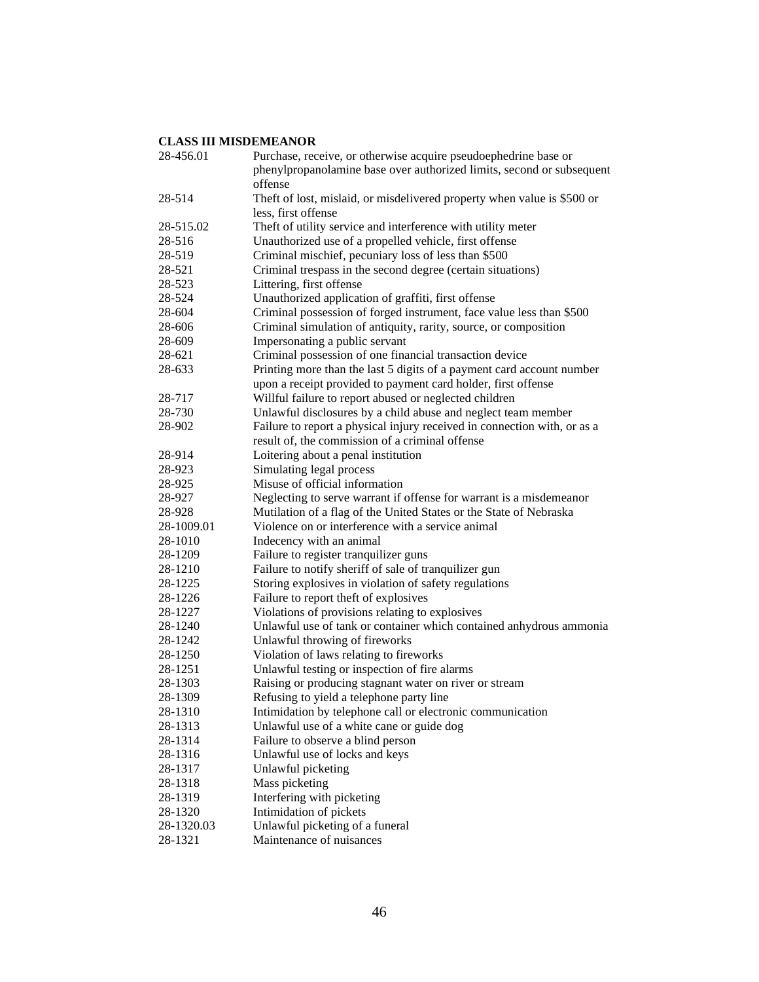| 28-456.01          | Purchase, receive, or otherwise acquire pseudoephedrine base or          |
|--------------------|--------------------------------------------------------------------------|
|                    | phenylpropanolamine base over authorized limits, second or subsequent    |
|                    | offense                                                                  |
| 28-514             | Theft of lost, mislaid, or misdelivered property when value is \$500 or  |
|                    | less, first offense                                                      |
| 28-515.02          | Theft of utility service and interference with utility meter             |
| 28-516             | Unauthorized use of a propelled vehicle, first offense                   |
| 28-519             | Criminal mischief, pecuniary loss of less than \$500                     |
| 28-521             | Criminal trespass in the second degree (certain situations)              |
| 28-523             | Littering, first offense                                                 |
| 28-524             | Unauthorized application of graffiti, first offense                      |
| 28-604             | Criminal possession of forged instrument, face value less than \$500     |
| 28-606             | Criminal simulation of antiquity, rarity, source, or composition         |
| 28-609             | Impersonating a public servant                                           |
| 28-621             | Criminal possession of one financial transaction device                  |
| 28-633             | Printing more than the last 5 digits of a payment card account number    |
|                    | upon a receipt provided to payment card holder, first offense            |
| 28-717             | Willful failure to report abused or neglected children                   |
| 28-730             | Unlawful disclosures by a child abuse and neglect team member            |
| 28-902             | Failure to report a physical injury received in connection with, or as a |
|                    | result of, the commission of a criminal offense                          |
| 28-914             | Loitering about a penal institution                                      |
| 28-923             | Simulating legal process                                                 |
| 28-925             | Misuse of official information                                           |
| 28-927             | Neglecting to serve warrant if offense for warrant is a misdemeanor      |
| 28-928             | Mutilation of a flag of the United States or the State of Nebraska       |
| 28-1009.01         | Violence on or interference with a service animal                        |
| 28-1010            | Indecency with an animal                                                 |
| 28-1209            | Failure to register tranquilizer guns                                    |
| 28-1210            | Failure to notify sheriff of sale of tranquilizer gun                    |
| 28-1225            | Storing explosives in violation of safety regulations                    |
| 28-1226            | Failure to report theft of explosives                                    |
| 28-1227            | Violations of provisions relating to explosives                          |
| 28-1240            | Unlawful use of tank or container which contained anhydrous ammonia      |
| 28-1242            | Unlawful throwing of fireworks                                           |
| 28-1250            | Violation of laws relating to fireworks                                  |
| 28-1251            | Unlawful testing or inspection of fire alarms                            |
| 28-1303            | Raising or producing stagnant water on river or stream                   |
| 28-1309            | Refusing to yield a telephone party line                                 |
| 28-1310            | Intimidation by telephone call or electronic communication               |
| 28-1313            | Unlawful use of a white cane or guide dog                                |
| 28-1314            | Failure to observe a blind person                                        |
|                    | Unlawful use of locks and keys                                           |
| 28-1316<br>28-1317 | Unlawful picketing                                                       |
|                    |                                                                          |
| 28-1318<br>28-1319 | Mass picketing                                                           |
|                    | Interfering with picketing                                               |
| 28-1320            | Intimidation of pickets                                                  |
| 28-1320.03         | Unlawful picketing of a funeral                                          |
| 28-1321            | Maintenance of nuisances                                                 |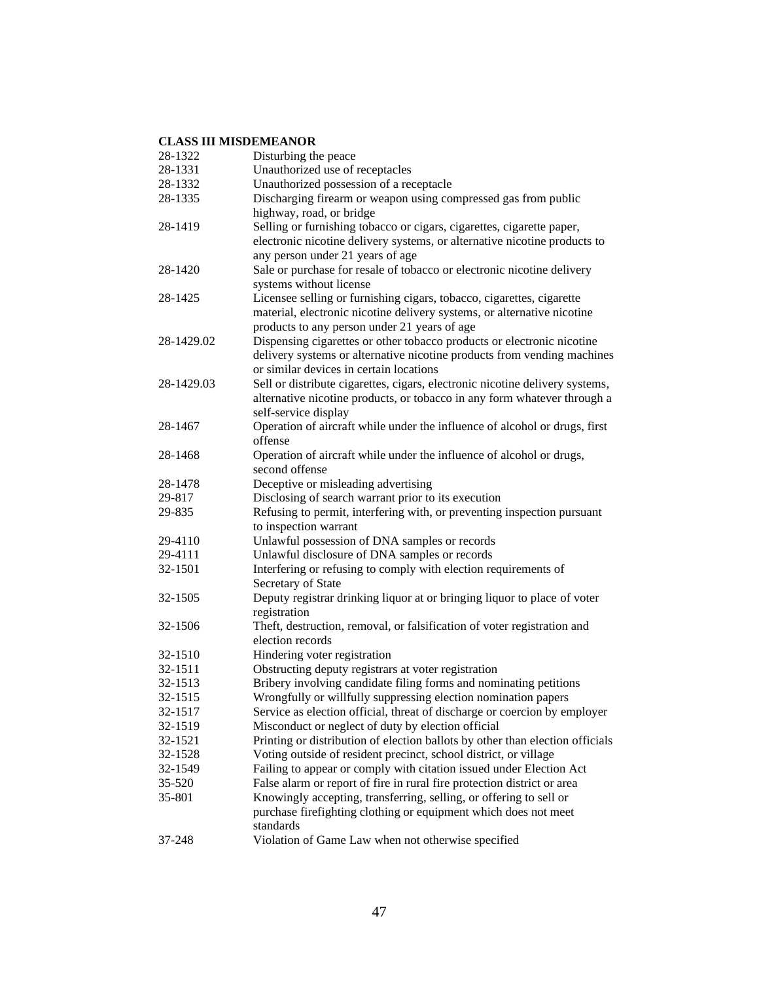| 28-1322           | Disturbing the peace                                                                                          |
|-------------------|---------------------------------------------------------------------------------------------------------------|
| 28-1331           | Unauthorized use of receptacles                                                                               |
| 28-1332           | Unauthorized possession of a receptacle                                                                       |
| 28-1335           | Discharging firearm or weapon using compressed gas from public                                                |
|                   | highway, road, or bridge                                                                                      |
| 28-1419           | Selling or furnishing tobacco or cigars, cigarettes, cigarette paper,                                         |
|                   | electronic nicotine delivery systems, or alternative nicotine products to<br>any person under 21 years of age |
| 28-1420           | Sale or purchase for resale of tobacco or electronic nicotine delivery                                        |
|                   | systems without license                                                                                       |
| 28-1425           | Licensee selling or furnishing cigars, tobacco, cigarettes, cigarette                                         |
|                   | material, electronic nicotine delivery systems, or alternative nicotine                                       |
|                   | products to any person under 21 years of age                                                                  |
| 28-1429.02        | Dispensing cigarettes or other tobacco products or electronic nicotine                                        |
|                   | delivery systems or alternative nicotine products from vending machines                                       |
|                   | or similar devices in certain locations                                                                       |
| 28-1429.03        | Sell or distribute cigarettes, cigars, electronic nicotine delivery systems,                                  |
|                   | alternative nicotine products, or tobacco in any form whatever through a                                      |
|                   | self-service display                                                                                          |
| 28-1467           | Operation of aircraft while under the influence of alcohol or drugs, first                                    |
|                   | offense                                                                                                       |
| 28-1468           | Operation of aircraft while under the influence of alcohol or drugs,                                          |
|                   | second offense                                                                                                |
| 28-1478<br>29-817 | Deceptive or misleading advertising<br>Disclosing of search warrant prior to its execution                    |
| 29-835            | Refusing to permit, interfering with, or preventing inspection pursuant                                       |
|                   | to inspection warrant                                                                                         |
| 29-4110           | Unlawful possession of DNA samples or records                                                                 |
| 29-4111           | Unlawful disclosure of DNA samples or records                                                                 |
| 32-1501           | Interfering or refusing to comply with election requirements of                                               |
|                   | Secretary of State                                                                                            |
| 32-1505           | Deputy registrar drinking liquor at or bringing liquor to place of voter                                      |
|                   | registration                                                                                                  |
| 32-1506           | Theft, destruction, removal, or falsification of voter registration and                                       |
|                   | election records                                                                                              |
| 32-1510           | Hindering voter registration                                                                                  |
| 32-1511           | Obstructing deputy registrars at voter registration                                                           |
| 32-1513           | Bribery involving candidate filing forms and nominating petitions                                             |
| 32-1515           | Wrongfully or willfully suppressing election nomination papers                                                |
| 32-1517           | Service as election official, threat of discharge or coercion by employer                                     |
| 32-1519           | Misconduct or neglect of duty by election official                                                            |
| 32-1521           | Printing or distribution of election ballots by other than election officials                                 |
| 32-1528           | Voting outside of resident precinct, school district, or village                                              |
| 32-1549           | Failing to appear or comply with citation issued under Election Act                                           |
| 35-520            | False alarm or report of fire in rural fire protection district or area                                       |
| 35-801            | Knowingly accepting, transferring, selling, or offering to sell or                                            |
|                   | purchase firefighting clothing or equipment which does not meet<br>standards                                  |
| 37-248            | Violation of Game Law when not otherwise specified                                                            |
|                   |                                                                                                               |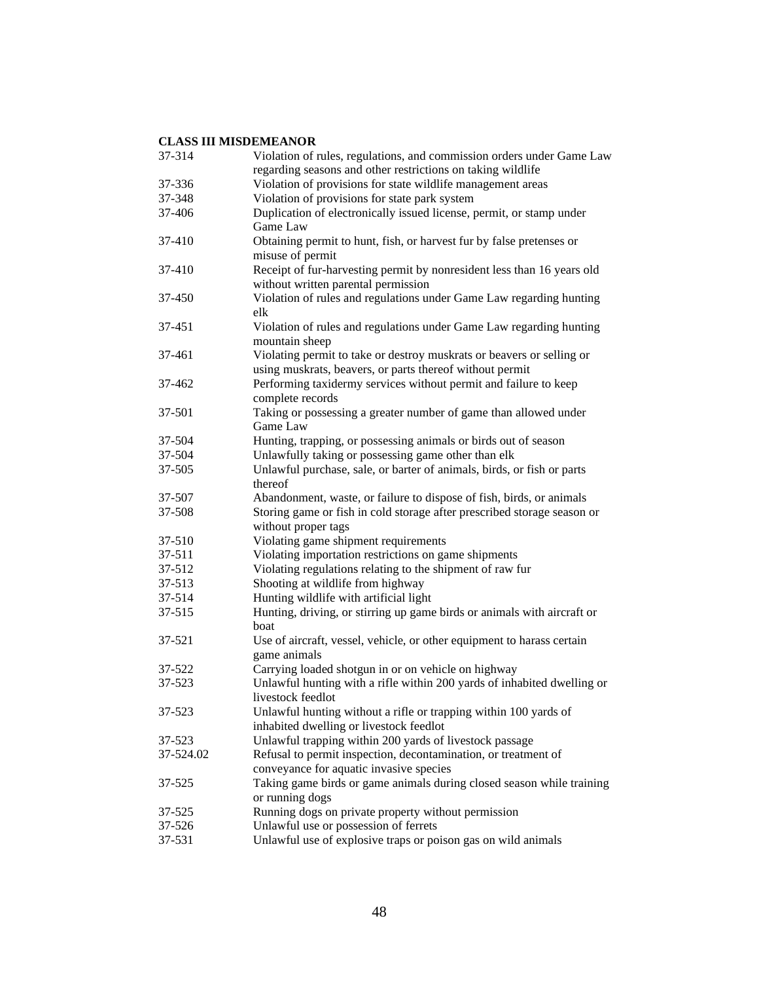| 37-314    | Violation of rules, regulations, and commission orders under Game Law   |
|-----------|-------------------------------------------------------------------------|
|           | regarding seasons and other restrictions on taking wildlife             |
| 37-336    | Violation of provisions for state wildlife management areas             |
| 37-348    | Violation of provisions for state park system                           |
| 37-406    | Duplication of electronically issued license, permit, or stamp under    |
|           | Game Law                                                                |
| 37-410    | Obtaining permit to hunt, fish, or harvest fur by false pretenses or    |
|           | misuse of permit                                                        |
| 37-410    | Receipt of fur-harvesting permit by nonresident less than 16 years old  |
|           | without written parental permission                                     |
| 37-450    | Violation of rules and regulations under Game Law regarding hunting     |
|           | elk                                                                     |
| 37-451    | Violation of rules and regulations under Game Law regarding hunting     |
|           | mountain sheep                                                          |
| 37-461    | Violating permit to take or destroy muskrats or beavers or selling or   |
|           | using muskrats, beavers, or parts thereof without permit                |
| 37-462    | Performing taxidermy services without permit and failure to keep        |
|           | complete records                                                        |
| 37-501    | Taking or possessing a greater number of game than allowed under        |
|           | Game Law                                                                |
| 37-504    | Hunting, trapping, or possessing animals or birds out of season         |
| 37-504    | Unlawfully taking or possessing game other than elk                     |
| 37-505    | Unlawful purchase, sale, or barter of animals, birds, or fish or parts  |
|           | thereof                                                                 |
| 37-507    | Abandonment, waste, or failure to dispose of fish, birds, or animals    |
| 37-508    | Storing game or fish in cold storage after prescribed storage season or |
|           | without proper tags                                                     |
| 37-510    | Violating game shipment requirements                                    |
| 37-511    | Violating importation restrictions on game shipments                    |
| 37-512    | Violating regulations relating to the shipment of raw fur               |
| 37-513    | Shooting at wildlife from highway                                       |
| 37-514    | Hunting wildlife with artificial light                                  |
| 37-515    | Hunting, driving, or stirring up game birds or animals with aircraft or |
|           | boat                                                                    |
| 37-521    | Use of aircraft, vessel, vehicle, or other equipment to harass certain  |
|           | game animals                                                            |
| 37-522    | Carrying loaded shotgun in or on vehicle on highway                     |
| 37-523    | Unlawful hunting with a rifle within 200 yards of inhabited dwelling or |
|           | livestock feedlot                                                       |
| 37-523    | Unlawful hunting without a rifle or trapping within 100 yards of        |
|           | inhabited dwelling or livestock feedlot                                 |
| 37-523    | Unlawful trapping within 200 yards of livestock passage                 |
| 37-524.02 | Refusal to permit inspection, decontamination, or treatment of          |
|           | conveyance for aquatic invasive species                                 |
| 37-525    | Taking game birds or game animals during closed season while training   |
|           | or running dogs                                                         |
| 37-525    | Running dogs on private property without permission                     |
| 37-526    | Unlawful use or possession of ferrets                                   |
| 37-531    | Unlawful use of explosive traps or poison gas on wild animals           |
|           |                                                                         |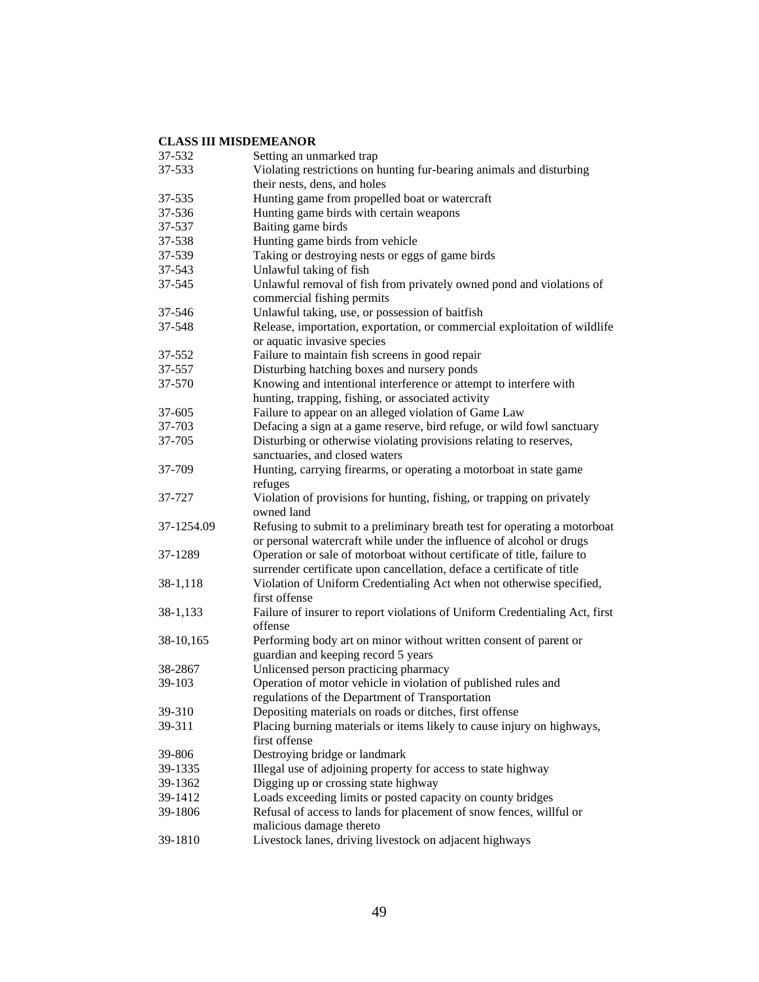| 37-532     | Setting an unmarked trap                                                    |
|------------|-----------------------------------------------------------------------------|
| 37-533     | Violating restrictions on hunting fur-bearing animals and disturbing        |
|            | their nests, dens, and holes                                                |
| 37-535     | Hunting game from propelled boat or watercraft                              |
| 37-536     | Hunting game birds with certain weapons                                     |
| 37-537     | Baiting game birds                                                          |
| 37-538     | Hunting game birds from vehicle                                             |
| 37-539     | Taking or destroying nests or eggs of game birds                            |
| 37-543     | Unlawful taking of fish                                                     |
| 37-545     | Unlawful removal of fish from privately owned pond and violations of        |
|            | commercial fishing permits                                                  |
| 37-546     | Unlawful taking, use, or possession of baitfish                             |
| 37-548     | Release, importation, exportation, or commercial exploitation of wildlife   |
|            | or aquatic invasive species                                                 |
| 37-552     | Failure to maintain fish screens in good repair                             |
| 37-557     | Disturbing hatching boxes and nursery ponds                                 |
| 37-570     | Knowing and intentional interference or attempt to interfere with           |
|            | hunting, trapping, fishing, or associated activity                          |
| 37-605     | Failure to appear on an alleged violation of Game Law                       |
| 37-703     | Defacing a sign at a game reserve, bird refuge, or wild fowl sanctuary      |
| 37-705     | Disturbing or otherwise violating provisions relating to reserves,          |
|            | sanctuaries, and closed waters                                              |
| 37-709     | Hunting, carrying firearms, or operating a motorboat in state game          |
|            | refuges                                                                     |
| 37-727     | Violation of provisions for hunting, fishing, or trapping on privately      |
|            | owned land                                                                  |
| 37-1254.09 | Refusing to submit to a preliminary breath test for operating a motorboat   |
|            | or personal watercraft while under the influence of alcohol or drugs        |
| 37-1289    | Operation or sale of motorboat without certificate of title, failure to     |
|            | surrender certificate upon cancellation, deface a certificate of title      |
| 38-1,118   | Violation of Uniform Credentialing Act when not otherwise specified,        |
|            | first offense                                                               |
| 38-1,133   | Failure of insurer to report violations of Uniform Credentialing Act, first |
|            | offense                                                                     |
| 38-10,165  | Performing body art on minor without written consent of parent or           |
|            | guardian and keeping record 5 years                                         |
| 38-2867    | Unlicensed person practicing pharmacy                                       |
| 39-103     | Operation of motor vehicle in violation of published rules and              |
|            | regulations of the Department of Transportation                             |
| 39-310     | Depositing materials on roads or ditches, first offense                     |
| 39-311     | Placing burning materials or items likely to cause injury on highways,      |
|            | first offense                                                               |
| 39-806     | Destroying bridge or landmark                                               |
| 39-1335    | Illegal use of adjoining property for access to state highway               |
| 39-1362    | Digging up or crossing state highway                                        |
| 39-1412    | Loads exceeding limits or posted capacity on county bridges                 |
| 39-1806    | Refusal of access to lands for placement of snow fences, willful or         |
|            | malicious damage thereto                                                    |
| 39-1810    | Livestock lanes, driving livestock on adjacent highways                     |
|            |                                                                             |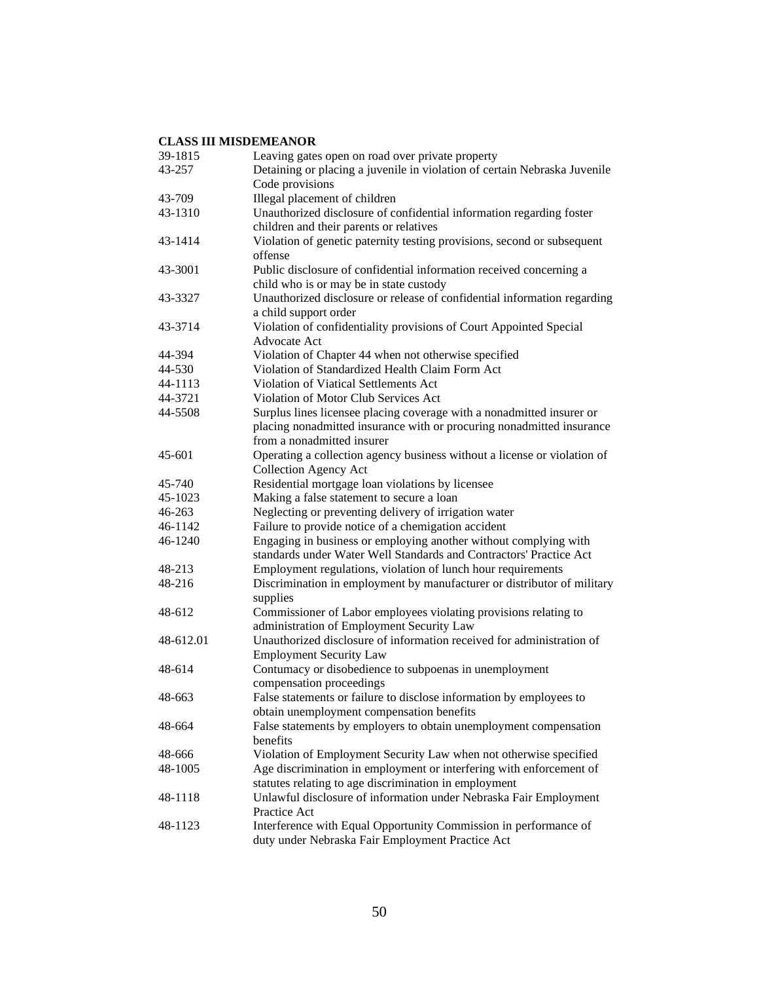| 39-1815    | Leaving gates open on road over private property                          |
|------------|---------------------------------------------------------------------------|
| 43-257     | Detaining or placing a juvenile in violation of certain Nebraska Juvenile |
|            | Code provisions                                                           |
| 43-709     | Illegal placement of children                                             |
| 43-1310    | Unauthorized disclosure of confidential information regarding foster      |
|            | children and their parents or relatives                                   |
| 43-1414    | Violation of genetic paternity testing provisions, second or subsequent   |
|            | offense                                                                   |
| 43-3001    | Public disclosure of confidential information received concerning a       |
|            | child who is or may be in state custody                                   |
| 43-3327    | Unauthorized disclosure or release of confidential information regarding  |
|            | a child support order                                                     |
| 43-3714    | Violation of confidentiality provisions of Court Appointed Special        |
|            | <b>Advocate Act</b>                                                       |
| 44-394     | Violation of Chapter 44 when not otherwise specified                      |
| 44-530     | Violation of Standardized Health Claim Form Act                           |
| 44-1113    | <b>Violation of Viatical Settlements Act</b>                              |
| 44-3721    | Violation of Motor Club Services Act                                      |
| 44-5508    | Surplus lines licensee placing coverage with a nonadmitted insurer or     |
|            | placing nonadmitted insurance with or procuring nonadmitted insurance     |
|            | from a nonadmitted insurer                                                |
| $45 - 601$ | Operating a collection agency business without a license or violation of  |
|            | <b>Collection Agency Act</b>                                              |
| 45-740     | Residential mortgage loan violations by licensee                          |
| 45-1023    | Making a false statement to secure a loan                                 |
| 46-263     | Neglecting or preventing delivery of irrigation water                     |
| 46-1142    | Failure to provide notice of a chemigation accident                       |
| 46-1240    | Engaging in business or employing another without complying with          |
|            | standards under Water Well Standards and Contractors' Practice Act        |
| 48-213     | Employment regulations, violation of lunch hour requirements              |
| 48-216     | Discrimination in employment by manufacturer or distributor of military   |
|            | supplies                                                                  |
| 48-612     | Commissioner of Labor employees violating provisions relating to          |
|            | administration of Employment Security Law                                 |
| 48-612.01  | Unauthorized disclosure of information received for administration of     |
|            | <b>Employment Security Law</b>                                            |
| 48-614     | Contumacy or disobedience to subpoenas in unemployment                    |
|            | compensation proceedings                                                  |
| 48-663     | False statements or failure to disclose information by employees to       |
|            | obtain unemployment compensation benefits                                 |
| 48-664     | False statements by employers to obtain unemployment compensation         |
|            | benefits                                                                  |
| 48-666     | Violation of Employment Security Law when not otherwise specified         |
| 48-1005    | Age discrimination in employment or interfering with enforcement of       |
|            | statutes relating to age discrimination in employment                     |
| 48-1118    | Unlawful disclosure of information under Nebraska Fair Employment         |
|            | Practice Act                                                              |
| 48-1123    | Interference with Equal Opportunity Commission in performance of          |
|            | duty under Nebraska Fair Employment Practice Act                          |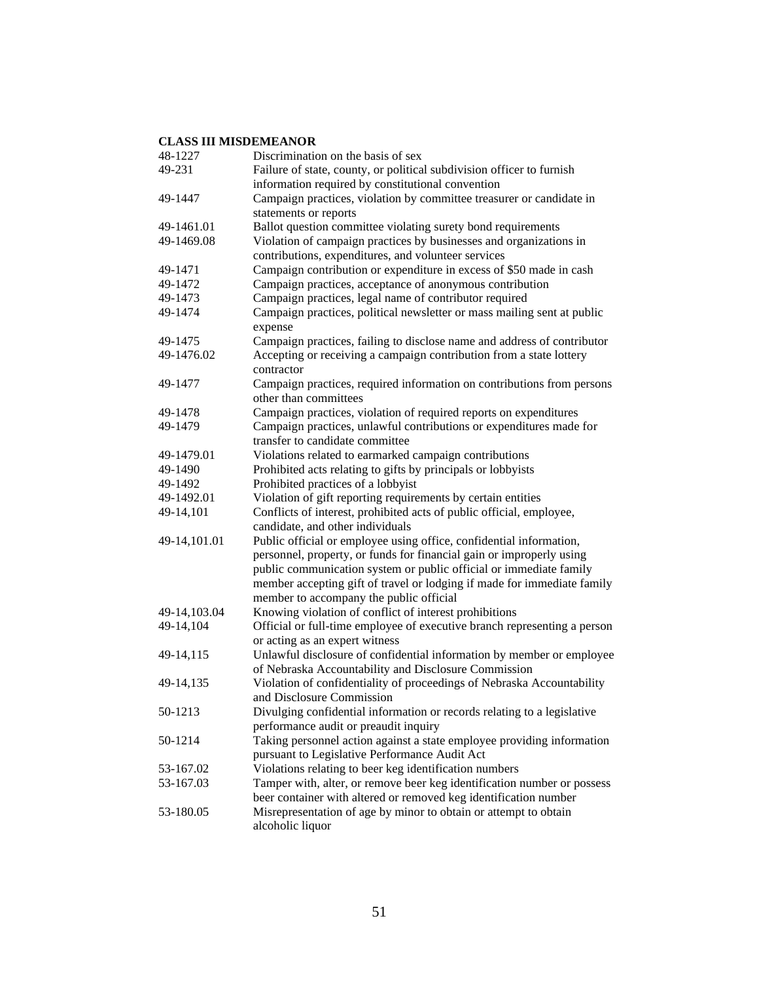| 48-1227      | Discrimination on the basis of sex                                                                         |
|--------------|------------------------------------------------------------------------------------------------------------|
| 49-231       | Failure of state, county, or political subdivision officer to furnish                                      |
|              | information required by constitutional convention                                                          |
| 49-1447      | Campaign practices, violation by committee treasurer or candidate in                                       |
|              | statements or reports                                                                                      |
| 49-1461.01   | Ballot question committee violating surety bond requirements                                               |
| 49-1469.08   | Violation of campaign practices by businesses and organizations in                                         |
|              | contributions, expenditures, and volunteer services                                                        |
| 49-1471      | Campaign contribution or expenditure in excess of \$50 made in cash                                        |
| 49-1472      | Campaign practices, acceptance of anonymous contribution                                                   |
| 49-1473      | Campaign practices, legal name of contributor required                                                     |
| 49-1474      | Campaign practices, political newsletter or mass mailing sent at public<br>expense                         |
| 49-1475      | Campaign practices, failing to disclose name and address of contributor                                    |
| 49-1476.02   | Accepting or receiving a campaign contribution from a state lottery                                        |
|              | contractor                                                                                                 |
| 49-1477      | Campaign practices, required information on contributions from persons                                     |
|              | other than committees                                                                                      |
| 49-1478      | Campaign practices, violation of required reports on expenditures                                          |
| 49-1479      | Campaign practices, unlawful contributions or expenditures made for                                        |
|              | transfer to candidate committee                                                                            |
| 49-1479.01   | Violations related to earmarked campaign contributions                                                     |
| 49-1490      | Prohibited acts relating to gifts by principals or lobbyists                                               |
| 49-1492      | Prohibited practices of a lobbyist                                                                         |
| 49-1492.01   | Violation of gift reporting requirements by certain entities                                               |
| 49-14,101    | Conflicts of interest, prohibited acts of public official, employee,                                       |
|              | candidate, and other individuals                                                                           |
| 49-14,101.01 | Public official or employee using office, confidential information,                                        |
|              | personnel, property, or funds for financial gain or improperly using                                       |
|              | public communication system or public official or immediate family                                         |
|              | member accepting gift of travel or lodging if made for immediate family                                    |
|              | member to accompany the public official                                                                    |
| 49-14,103.04 | Knowing violation of conflict of interest prohibitions                                                     |
| 49-14,104    | Official or full-time employee of executive branch representing a person<br>or acting as an expert witness |
| 49-14,115    | Unlawful disclosure of confidential information by member or employee                                      |
|              | of Nebraska Accountability and Disclosure Commission                                                       |
| 49-14,135    | Violation of confidentiality of proceedings of Nebraska Accountability                                     |
|              | and Disclosure Commission                                                                                  |
| 50-1213      | Divulging confidential information or records relating to a legislative                                    |
|              | performance audit or preaudit inquiry                                                                      |
| 50-1214      | Taking personnel action against a state employee providing information                                     |
|              | pursuant to Legislative Performance Audit Act                                                              |
| 53-167.02    | Violations relating to beer keg identification numbers                                                     |
| 53-167.03    | Tamper with, alter, or remove beer keg identification number or possess                                    |
|              | beer container with altered or removed keg identification number                                           |
| 53-180.05    | Misrepresentation of age by minor to obtain or attempt to obtain                                           |
|              | alcoholic liquor                                                                                           |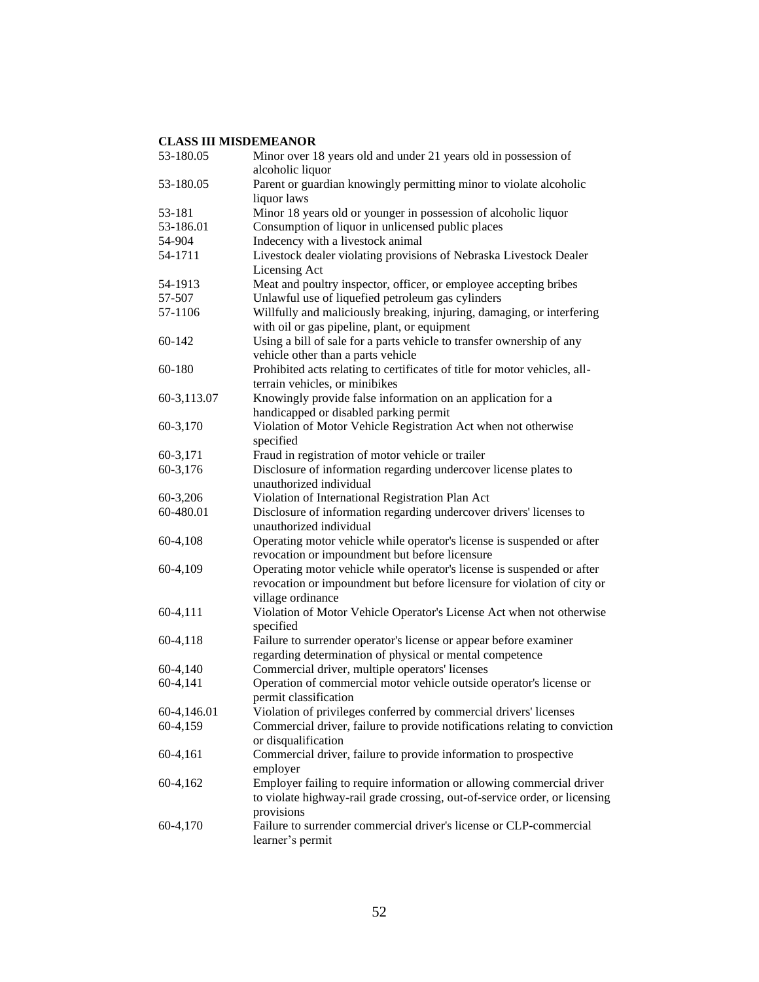| 53-180.05   | Minor over 18 years old and under 21 years old in possession of<br>alcoholic liquor                                                                 |
|-------------|-----------------------------------------------------------------------------------------------------------------------------------------------------|
| 53-180.05   | Parent or guardian knowingly permitting minor to violate alcoholic<br>liquor laws                                                                   |
| 53-181      | Minor 18 years old or younger in possession of alcoholic liquor                                                                                     |
| 53-186.01   | Consumption of liquor in unlicensed public places                                                                                                   |
|             |                                                                                                                                                     |
| 54-904      | Indecency with a livestock animal                                                                                                                   |
| 54-1711     | Livestock dealer violating provisions of Nebraska Livestock Dealer<br>Licensing Act                                                                 |
| 54-1913     | Meat and poultry inspector, officer, or employee accepting bribes                                                                                   |
| 57-507      | Unlawful use of liquefied petroleum gas cylinders                                                                                                   |
| 57-1106     | Willfully and maliciously breaking, injuring, damaging, or interfering<br>with oil or gas pipeline, plant, or equipment                             |
| 60-142      | Using a bill of sale for a parts vehicle to transfer ownership of any<br>vehicle other than a parts vehicle                                         |
| 60-180      | Prohibited acts relating to certificates of title for motor vehicles, all-<br>terrain vehicles, or minibikes                                        |
| 60-3,113.07 |                                                                                                                                                     |
|             | Knowingly provide false information on an application for a                                                                                         |
|             | handicapped or disabled parking permit                                                                                                              |
| 60-3,170    | Violation of Motor Vehicle Registration Act when not otherwise<br>specified                                                                         |
| 60-3,171    | Fraud in registration of motor vehicle or trailer                                                                                                   |
| 60-3,176    | Disclosure of information regarding undercover license plates to<br>unauthorized individual                                                         |
| 60-3,206    | Violation of International Registration Plan Act                                                                                                    |
| 60-480.01   | Disclosure of information regarding undercover drivers' licenses to<br>unauthorized individual                                                      |
| 60-4,108    | Operating motor vehicle while operator's license is suspended or after<br>revocation or impoundment but before licensure                            |
| 60-4,109    | Operating motor vehicle while operator's license is suspended or after                                                                              |
|             | revocation or impoundment but before licensure for violation of city or<br>village ordinance                                                        |
| 60-4,111    | Violation of Motor Vehicle Operator's License Act when not otherwise                                                                                |
|             | specified                                                                                                                                           |
| 60-4,118    | Failure to surrender operator's license or appear before examiner                                                                                   |
|             | regarding determination of physical or mental competence                                                                                            |
| 60-4,140    | Commercial driver, multiple operators' licenses                                                                                                     |
| 60-4,141    | Operation of commercial motor vehicle outside operator's license or<br>permit classification                                                        |
| 60-4,146.01 | Violation of privileges conferred by commercial drivers' licenses                                                                                   |
| 60-4,159    | Commercial driver, failure to provide notifications relating to conviction<br>or disqualification                                                   |
| 60-4,161    | Commercial driver, failure to provide information to prospective<br>employer                                                                        |
| 60-4,162    | Employer failing to require information or allowing commercial driver<br>to violate highway-rail grade crossing, out-of-service order, or licensing |
| 60-4,170    | provisions<br>Failure to surrender commercial driver's license or CLP-commercial<br>learner's permit                                                |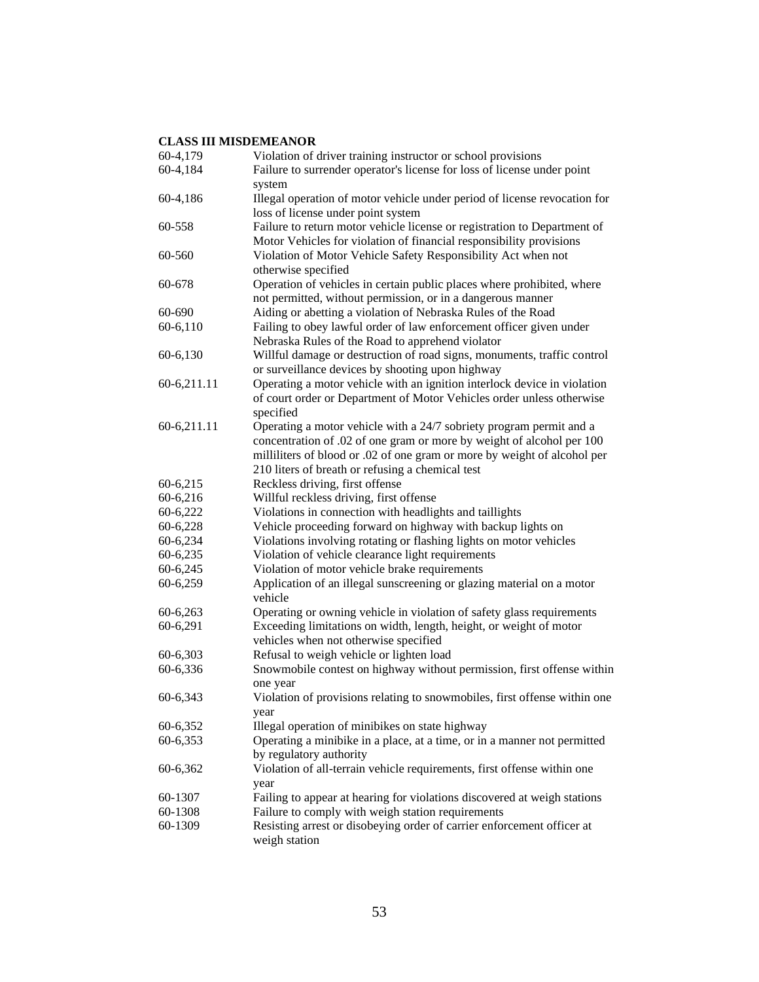| 60-4,179    | Violation of driver training instructor or school provisions              |
|-------------|---------------------------------------------------------------------------|
| 60-4,184    | Failure to surrender operator's license for loss of license under point   |
|             | system                                                                    |
| 60-4,186    | Illegal operation of motor vehicle under period of license revocation for |
|             | loss of license under point system                                        |
| 60-558      | Failure to return motor vehicle license or registration to Department of  |
|             | Motor Vehicles for violation of financial responsibility provisions       |
| 60-560      | Violation of Motor Vehicle Safety Responsibility Act when not             |
|             | otherwise specified                                                       |
| 60-678      | Operation of vehicles in certain public places where prohibited, where    |
|             | not permitted, without permission, or in a dangerous manner               |
| 60-690      | Aiding or abetting a violation of Nebraska Rules of the Road              |
| 60-6,110    | Failing to obey lawful order of law enforcement officer given under       |
|             | Nebraska Rules of the Road to apprehend violator                          |
| 60-6,130    | Willful damage or destruction of road signs, monuments, traffic control   |
|             | or surveillance devices by shooting upon highway                          |
| 60-6,211.11 | Operating a motor vehicle with an ignition interlock device in violation  |
|             | of court order or Department of Motor Vehicles order unless otherwise     |
|             | specified                                                                 |
| 60-6,211.11 | Operating a motor vehicle with a 24/7 sobriety program permit and a       |
|             | concentration of .02 of one gram or more by weight of alcohol per 100     |
|             | milliliters of blood or .02 of one gram or more by weight of alcohol per  |
|             | 210 liters of breath or refusing a chemical test                          |
| 60-6,215    | Reckless driving, first offense                                           |
| 60-6,216    | Willful reckless driving, first offense                                   |
| 60-6,222    | Violations in connection with headlights and taillights                   |
| 60-6,228    | Vehicle proceeding forward on highway with backup lights on               |
| 60-6,234    | Violations involving rotating or flashing lights on motor vehicles        |
| 60-6,235    | Violation of vehicle clearance light requirements                         |
| 60-6,245    | Violation of motor vehicle brake requirements                             |
| 60-6,259    | Application of an illegal sunscreening or glazing material on a motor     |
|             | vehicle                                                                   |
| 60-6,263    | Operating or owning vehicle in violation of safety glass requirements     |
| 60-6,291    | Exceeding limitations on width, length, height, or weight of motor        |
|             | vehicles when not otherwise specified                                     |
| 60-6,303    | Refusal to weigh vehicle or lighten load                                  |
| 60-6,336    | Snowmobile contest on highway without permission, first offense within    |
|             | one year                                                                  |
| 60-6,343    | Violation of provisions relating to snowmobiles, first offense within one |
|             | year                                                                      |
| 60-6,352    | Illegal operation of minibikes on state highway                           |
| 60-6,353    | Operating a minibike in a place, at a time, or in a manner not permitted  |
|             | by regulatory authority                                                   |
| 60-6,362    | Violation of all-terrain vehicle requirements, first offense within one   |
|             | year                                                                      |
| 60-1307     | Failing to appear at hearing for violations discovered at weigh stations  |
| 60-1308     | Failure to comply with weigh station requirements                         |
| 60-1309     | Resisting arrest or disobeying order of carrier enforcement officer at    |
|             | weigh station                                                             |
|             |                                                                           |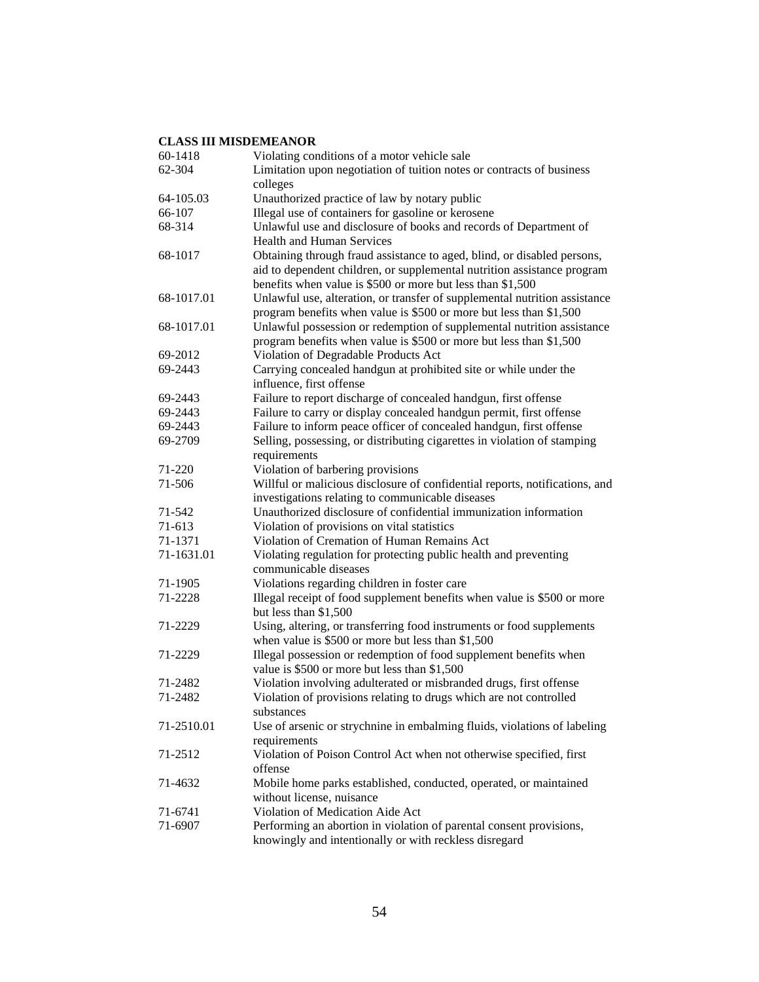| 60-1418    | Violating conditions of a motor vehicle sale                                                                                                                                                                     |
|------------|------------------------------------------------------------------------------------------------------------------------------------------------------------------------------------------------------------------|
| 62-304     | Limitation upon negotiation of tuition notes or contracts of business                                                                                                                                            |
|            | colleges                                                                                                                                                                                                         |
| 64-105.03  | Unauthorized practice of law by notary public                                                                                                                                                                    |
| 66-107     | Illegal use of containers for gasoline or kerosene                                                                                                                                                               |
| 68-314     | Unlawful use and disclosure of books and records of Department of                                                                                                                                                |
|            | <b>Health and Human Services</b>                                                                                                                                                                                 |
| 68-1017    | Obtaining through fraud assistance to aged, blind, or disabled persons,<br>aid to dependent children, or supplemental nutrition assistance program<br>benefits when value is \$500 or more but less than \$1,500 |
| 68-1017.01 | Unlawful use, alteration, or transfer of supplemental nutrition assistance<br>program benefits when value is \$500 or more but less than \$1,500                                                                 |
| 68-1017.01 | Unlawful possession or redemption of supplemental nutrition assistance<br>program benefits when value is \$500 or more but less than \$1,500                                                                     |
| 69-2012    | Violation of Degradable Products Act                                                                                                                                                                             |
| 69-2443    | Carrying concealed handgun at prohibited site or while under the                                                                                                                                                 |
|            | influence, first offense                                                                                                                                                                                         |
| 69-2443    | Failure to report discharge of concealed handgun, first offense                                                                                                                                                  |
| 69-2443    | Failure to carry or display concealed handgun permit, first offense                                                                                                                                              |
| 69-2443    | Failure to inform peace officer of concealed handgun, first offense                                                                                                                                              |
| 69-2709    | Selling, possessing, or distributing cigarettes in violation of stamping<br>requirements                                                                                                                         |
| 71-220     | Violation of barbering provisions                                                                                                                                                                                |
| 71-506     | Willful or malicious disclosure of confidential reports, notifications, and                                                                                                                                      |
|            | investigations relating to communicable diseases                                                                                                                                                                 |
| 71-542     | Unauthorized disclosure of confidential immunization information                                                                                                                                                 |
| 71-613     | Violation of provisions on vital statistics                                                                                                                                                                      |
| 71-1371    | Violation of Cremation of Human Remains Act                                                                                                                                                                      |
| 71-1631.01 | Violating regulation for protecting public health and preventing<br>communicable diseases                                                                                                                        |
| 71-1905    | Violations regarding children in foster care                                                                                                                                                                     |
| 71-2228    | Illegal receipt of food supplement benefits when value is \$500 or more<br>but less than \$1,500                                                                                                                 |
| 71-2229    | Using, altering, or transferring food instruments or food supplements<br>when value is \$500 or more but less than \$1,500                                                                                       |
| 71-2229    | Illegal possession or redemption of food supplement benefits when<br>value is \$500 or more but less than \$1,500                                                                                                |
| 71-2482    | Violation involving adulterated or misbranded drugs, first offense                                                                                                                                               |
| 71-2482    | Violation of provisions relating to drugs which are not controlled<br>substances                                                                                                                                 |
| 71-2510.01 | Use of arsenic or strychnine in embalming fluids, violations of labeling<br>requirements                                                                                                                         |
| 71-2512    | Violation of Poison Control Act when not otherwise specified, first<br>offense                                                                                                                                   |
| 71-4632    | Mobile home parks established, conducted, operated, or maintained<br>without license, nuisance                                                                                                                   |
| 71-6741    | Violation of Medication Aide Act                                                                                                                                                                                 |
| 71-6907    | Performing an abortion in violation of parental consent provisions,                                                                                                                                              |
|            | knowingly and intentionally or with reckless disregard                                                                                                                                                           |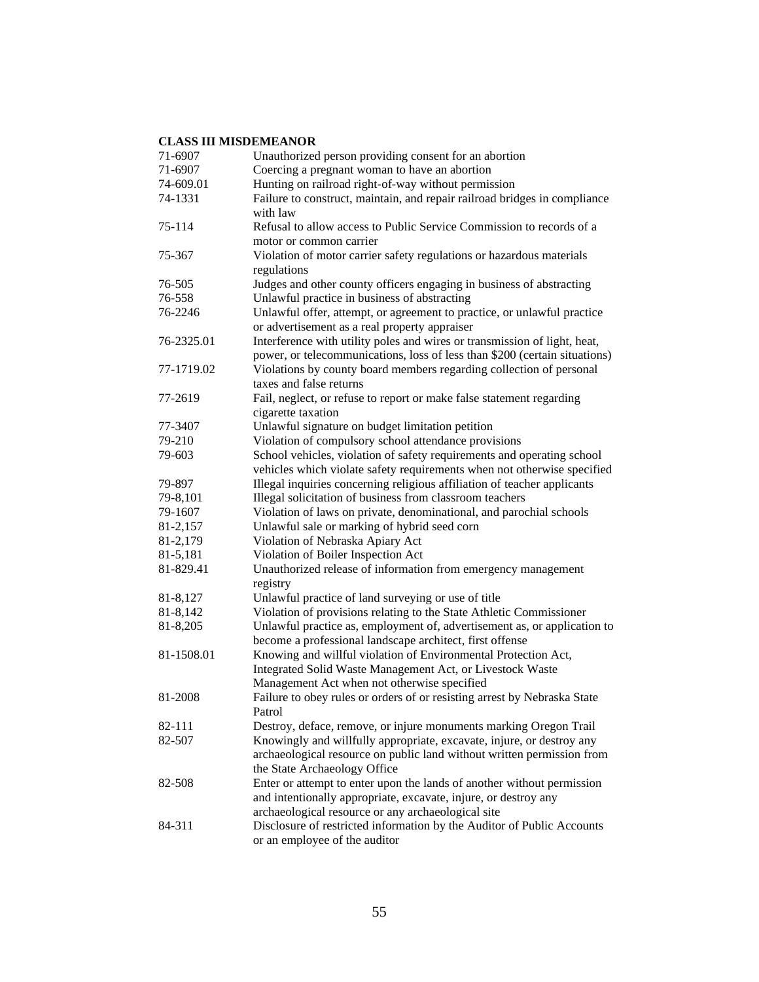| 71-6907    | Unauthorized person providing consent for an abortion                      |
|------------|----------------------------------------------------------------------------|
| 71-6907    | Coercing a pregnant woman to have an abortion                              |
| 74-609.01  | Hunting on railroad right-of-way without permission                        |
| 74-1331    | Failure to construct, maintain, and repair railroad bridges in compliance  |
|            | with law                                                                   |
| 75-114     | Refusal to allow access to Public Service Commission to records of a       |
|            | motor or common carrier                                                    |
| 75-367     | Violation of motor carrier safety regulations or hazardous materials       |
|            | regulations                                                                |
| 76-505     | Judges and other county officers engaging in business of abstracting       |
| 76-558     | Unlawful practice in business of abstracting                               |
| 76-2246    | Unlawful offer, attempt, or agreement to practice, or unlawful practice    |
|            | or advertisement as a real property appraiser                              |
| 76-2325.01 | Interference with utility poles and wires or transmission of light, heat,  |
|            | power, or telecommunications, loss of less than \$200 (certain situations) |
| 77-1719.02 | Violations by county board members regarding collection of personal        |
|            | taxes and false returns                                                    |
| 77-2619    |                                                                            |
|            | Fail, neglect, or refuse to report or make false statement regarding       |
|            | cigarette taxation                                                         |
| 77-3407    | Unlawful signature on budget limitation petition                           |
| 79-210     | Violation of compulsory school attendance provisions                       |
| 79-603     | School vehicles, violation of safety requirements and operating school     |
|            | vehicles which violate safety requirements when not otherwise specified    |
| 79-897     | Illegal inquiries concerning religious affiliation of teacher applicants   |
| 79-8,101   | Illegal solicitation of business from classroom teachers                   |
| 79-1607    | Violation of laws on private, denominational, and parochial schools        |
| 81-2,157   | Unlawful sale or marking of hybrid seed corn                               |
| 81-2,179   | Violation of Nebraska Apiary Act                                           |
| 81-5,181   | Violation of Boiler Inspection Act                                         |
| 81-829.41  | Unauthorized release of information from emergency management              |
|            | registry                                                                   |
| 81-8,127   | Unlawful practice of land surveying or use of title                        |
| 81-8,142   | Violation of provisions relating to the State Athletic Commissioner        |
| 81-8,205   | Unlawful practice as, employment of, advertisement as, or application to   |
|            | become a professional landscape architect, first offense                   |
| 81-1508.01 | Knowing and willful violation of Environmental Protection Act,             |
|            | Integrated Solid Waste Management Act, or Livestock Waste                  |
|            | Management Act when not otherwise specified                                |
| 81-2008    | Failure to obey rules or orders of or resisting arrest by Nebraska State   |
|            | Patrol                                                                     |
| 82-111     | Destroy, deface, remove, or injure monuments marking Oregon Trail          |
| 82-507     | Knowingly and willfully appropriate, excavate, injure, or destroy any      |
|            | archaeological resource on public land without written permission from     |
|            | the State Archaeology Office                                               |
| 82-508     | Enter or attempt to enter upon the lands of another without permission     |
|            | and intentionally appropriate, excavate, injure, or destroy any            |
|            | archaeological resource or any archaeological site                         |
| 84-311     | Disclosure of restricted information by the Auditor of Public Accounts     |
|            | or an employee of the auditor                                              |
|            |                                                                            |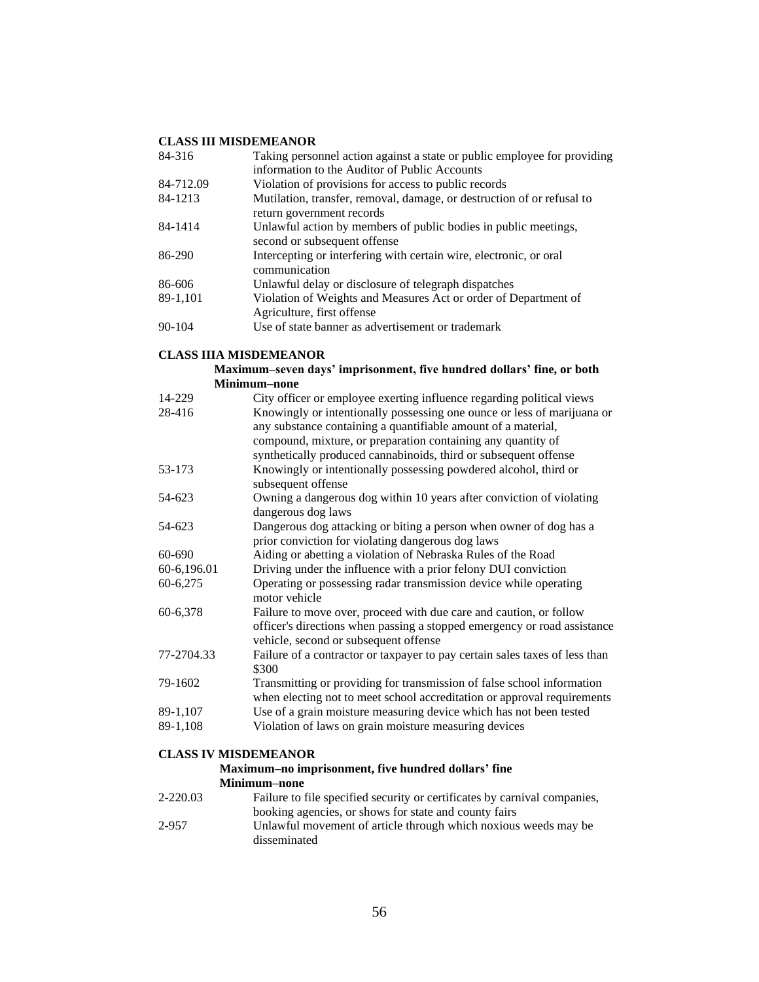| 84-316     | Taking personnel action against a state or public employee for providing                            |
|------------|-----------------------------------------------------------------------------------------------------|
|            | information to the Auditor of Public Accounts                                                       |
| 84-712.09  | Violation of provisions for access to public records                                                |
| 84-1213    | Mutilation, transfer, removal, damage, or destruction of or refusal to<br>return government records |
| 84-1414    | Unlawful action by members of public bodies in public meetings,<br>second or subsequent offense     |
| 86-290     | Intercepting or interfering with certain wire, electronic, or oral<br>communication                 |
| 86-606     | Unlawful delay or disclosure of telegraph dispatches                                                |
| 89-1,101   | Violation of Weights and Measures Act or order of Department of<br>Agriculture, first offense       |
| $90 - 104$ | Use of state banner as advertisement or trademark                                                   |

#### **CLASS IIIA MISDEMEANOR**

#### **Maximum–seven days' imprisonment, five hundred dollars' fine, or both Minimum–none**

| 14-229      | City officer or employee exerting influence regarding political views                                                                                                                   |
|-------------|-----------------------------------------------------------------------------------------------------------------------------------------------------------------------------------------|
| 28-416      | Knowingly or intentionally possessing one ounce or less of marijuana or<br>any substance containing a quantifiable amount of a material,                                                |
|             | compound, mixture, or preparation containing any quantity of                                                                                                                            |
|             | synthetically produced cannabinoids, third or subsequent offense                                                                                                                        |
| 53-173      | Knowingly or intentionally possessing powdered alcohol, third or<br>subsequent offense                                                                                                  |
| 54-623      | Owning a dangerous dog within 10 years after conviction of violating<br>dangerous dog laws                                                                                              |
| 54-623      | Dangerous dog attacking or biting a person when owner of dog has a<br>prior conviction for violating dangerous dog laws                                                                 |
| 60-690      | Aiding or abetting a violation of Nebraska Rules of the Road                                                                                                                            |
| 60-6,196.01 | Driving under the influence with a prior felony DUI conviction                                                                                                                          |
| 60-6,275    | Operating or possessing radar transmission device while operating<br>motor vehicle                                                                                                      |
| 60-6,378    | Failure to move over, proceed with due care and caution, or follow<br>officer's directions when passing a stopped emergency or road assistance<br>vehicle, second or subsequent offense |
| 77-2704.33  | Failure of a contractor or taxpayer to pay certain sales taxes of less than<br>\$300                                                                                                    |
| 79-1602     | Transmitting or providing for transmission of false school information<br>when electing not to meet school accreditation or approval requirements                                       |
| 89-1,107    | Use of a grain moisture measuring device which has not been tested                                                                                                                      |
| 89-1,108    | Violation of laws on grain moisture measuring devices                                                                                                                                   |

#### **CLASS IV MISDEMEANOR**

## **Maximum–no imprisonment, five hundred dollars' fine Minimum–none**

| 2-220.03 | Failure to file specified security or certificates by carnival companies.       |
|----------|---------------------------------------------------------------------------------|
|          | booking agencies, or shows for state and county fairs                           |
| 2-957    | Unlawful movement of article through which noxious weeds may be<br>disseminated |
|          |                                                                                 |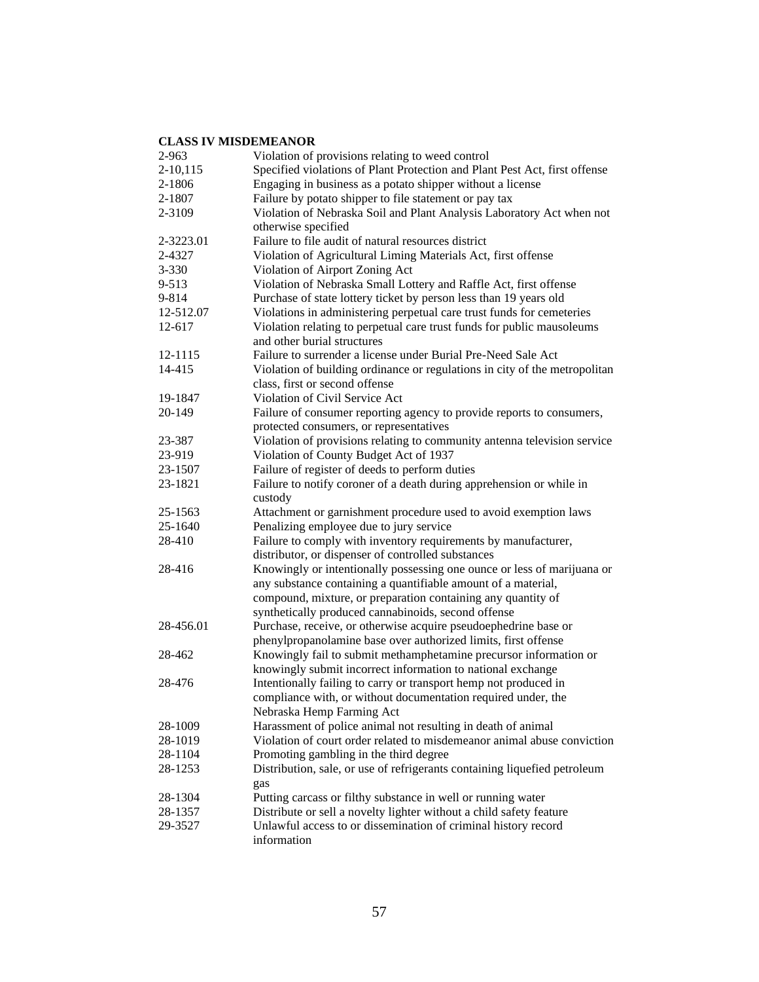| 2-963      | Violation of provisions relating to weed control                           |
|------------|----------------------------------------------------------------------------|
| $2-10,115$ | Specified violations of Plant Protection and Plant Pest Act, first offense |
| 2-1806     | Engaging in business as a potato shipper without a license                 |
| 2-1807     | Failure by potato shipper to file statement or pay tax                     |
| 2-3109     | Violation of Nebraska Soil and Plant Analysis Laboratory Act when not      |
|            | otherwise specified                                                        |
| 2-3223.01  | Failure to file audit of natural resources district                        |
| 2-4327     | Violation of Agricultural Liming Materials Act, first offense              |
| $3 - 330$  | Violation of Airport Zoning Act                                            |
| 9-513      | Violation of Nebraska Small Lottery and Raffle Act, first offense          |
| 9-814      | Purchase of state lottery ticket by person less than 19 years old          |
| 12-512.07  | Violations in administering perpetual care trust funds for cemeteries      |
| 12-617     | Violation relating to perpetual care trust funds for public mausoleums     |
|            | and other burial structures                                                |
| 12-1115    | Failure to surrender a license under Burial Pre-Need Sale Act              |
| 14-415     | Violation of building ordinance or regulations in city of the metropolitan |
|            | class, first or second offense                                             |
| 19-1847    | Violation of Civil Service Act                                             |
| 20-149     | Failure of consumer reporting agency to provide reports to consumers,      |
|            | protected consumers, or representatives                                    |
| 23-387     | Violation of provisions relating to community antenna television service   |
| 23-919     | Violation of County Budget Act of 1937                                     |
| 23-1507    | Failure of register of deeds to perform duties                             |
| 23-1821    | Failure to notify coroner of a death during apprehension or while in       |
|            | custody                                                                    |
| 25-1563    | Attachment or garnishment procedure used to avoid exemption laws           |
| 25-1640    | Penalizing employee due to jury service                                    |
| 28-410     | Failure to comply with inventory requirements by manufacturer,             |
|            | distributor, or dispenser of controlled substances                         |
| 28-416     | Knowingly or intentionally possessing one ounce or less of marijuana or    |
|            | any substance containing a quantifiable amount of a material,              |
|            | compound, mixture, or preparation containing any quantity of               |
|            | synthetically produced cannabinoids, second offense                        |
| 28-456.01  | Purchase, receive, or otherwise acquire pseudoephedrine base or            |
|            | phenylpropanolamine base over authorized limits, first offense             |
| 28-462     | Knowingly fail to submit methamphetamine precursor information or          |
|            | knowingly submit incorrect information to national exchange                |
| 28-476     | Intentionally failing to carry or transport hemp not produced in           |
|            | compliance with, or without documentation required under, the              |
|            | Nebraska Hemp Farming Act                                                  |
| 28-1009    | Harassment of police animal not resulting in death of animal               |
| 28-1019    | Violation of court order related to misdemeanor animal abuse conviction    |
| 28-1104    | Promoting gambling in the third degree                                     |
| 28-1253    | Distribution, sale, or use of refrigerants containing liquefied petroleum  |
|            | gas                                                                        |
| 28-1304    | Putting carcass or filthy substance in well or running water               |
| 28-1357    | Distribute or sell a novelty lighter without a child safety feature        |
| 29-3527    | Unlawful access to or dissemination of criminal history record             |
|            | information                                                                |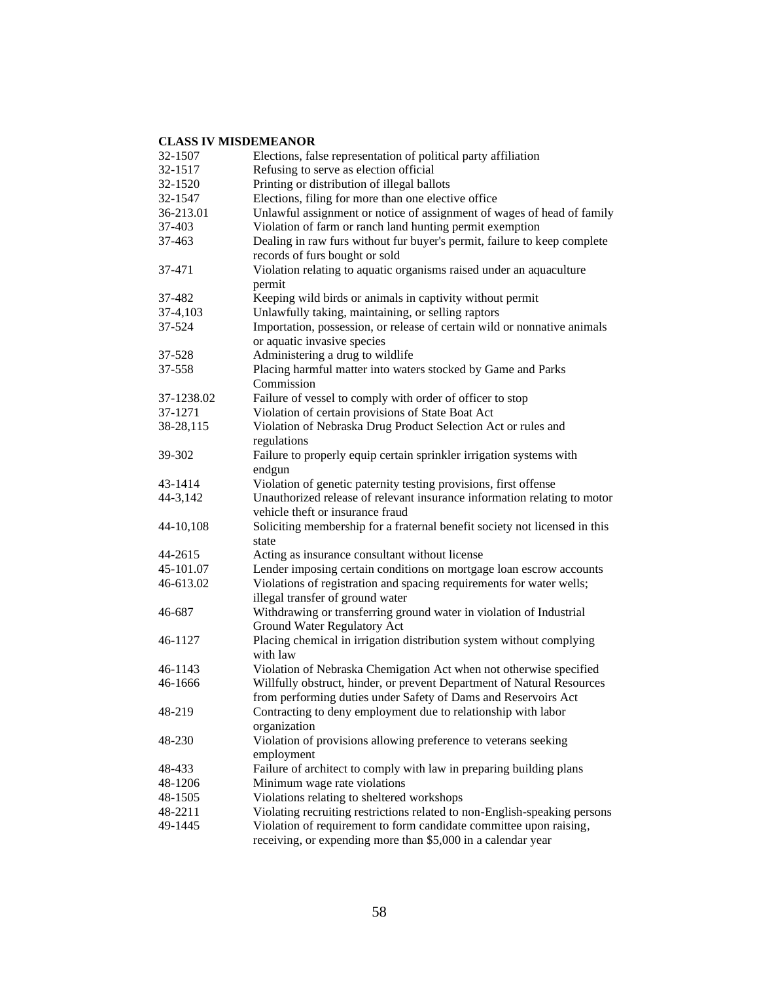| 32-1507    | Elections, false representation of political party affiliation                                                                           |
|------------|------------------------------------------------------------------------------------------------------------------------------------------|
| 32-1517    | Refusing to serve as election official                                                                                                   |
| 32-1520    | Printing or distribution of illegal ballots                                                                                              |
| 32-1547    | Elections, filing for more than one elective office                                                                                      |
| 36-213.01  | Unlawful assignment or notice of assignment of wages of head of family                                                                   |
| 37-403     | Violation of farm or ranch land hunting permit exemption                                                                                 |
| 37-463     | Dealing in raw furs without fur buyer's permit, failure to keep complete<br>records of furs bought or sold                               |
| 37-471     | Violation relating to aquatic organisms raised under an aquaculture<br>permit                                                            |
| 37-482     | Keeping wild birds or animals in captivity without permit                                                                                |
| 37-4,103   | Unlawfully taking, maintaining, or selling raptors                                                                                       |
| 37-524     | Importation, possession, or release of certain wild or nonnative animals<br>or aquatic invasive species                                  |
| 37-528     | Administering a drug to wildlife                                                                                                         |
| 37-558     | Placing harmful matter into waters stocked by Game and Parks<br>Commission                                                               |
| 37-1238.02 | Failure of vessel to comply with order of officer to stop                                                                                |
| 37-1271    | Violation of certain provisions of State Boat Act                                                                                        |
| 38-28,115  | Violation of Nebraska Drug Product Selection Act or rules and<br>regulations                                                             |
| 39-302     | Failure to properly equip certain sprinkler irrigation systems with<br>endgun                                                            |
| 43-1414    | Violation of genetic paternity testing provisions, first offense                                                                         |
| 44-3,142   | Unauthorized release of relevant insurance information relating to motor<br>vehicle theft or insurance fraud                             |
| 44-10,108  | Soliciting membership for a fraternal benefit society not licensed in this<br>state                                                      |
| 44-2615    | Acting as insurance consultant without license                                                                                           |
| 45-101.07  | Lender imposing certain conditions on mortgage loan escrow accounts                                                                      |
| 46-613.02  | Violations of registration and spacing requirements for water wells;<br>illegal transfer of ground water                                 |
| 46-687     | Withdrawing or transferring ground water in violation of Industrial<br><b>Ground Water Regulatory Act</b>                                |
| 46-1127    | Placing chemical in irrigation distribution system without complying<br>with law                                                         |
| 46-1143    | Violation of Nebraska Chemigation Act when not otherwise specified                                                                       |
| 46-1666    | Willfully obstruct, hinder, or prevent Department of Natural Resources<br>from performing duties under Safety of Dams and Reservoirs Act |
| 48-219     | Contracting to deny employment due to relationship with labor<br>organization                                                            |
| 48-230     | Violation of provisions allowing preference to veterans seeking<br>employment                                                            |
| 48-433     | Failure of architect to comply with law in preparing building plans                                                                      |
| 48-1206    | Minimum wage rate violations                                                                                                             |
| 48-1505    | Violations relating to sheltered workshops                                                                                               |
| 48-2211    | Violating recruiting restrictions related to non-English-speaking persons                                                                |
| 49-1445    | Violation of requirement to form candidate committee upon raising,<br>receiving, or expending more than \$5,000 in a calendar year       |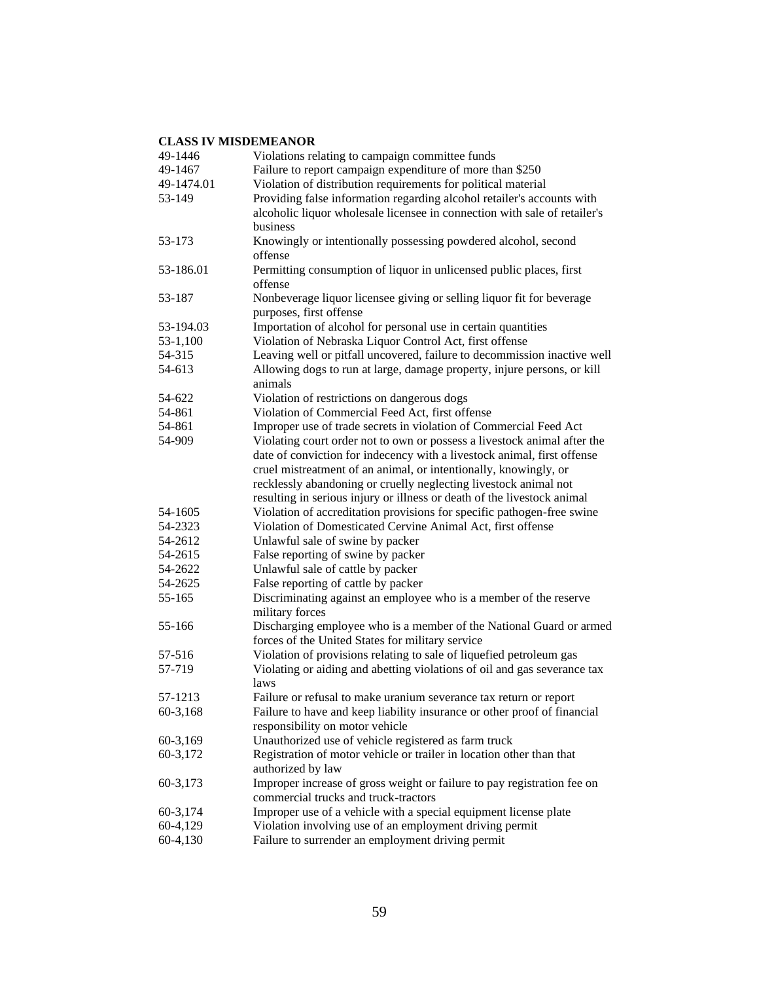| 49-1446    | Violations relating to campaign committee funds                                                             |
|------------|-------------------------------------------------------------------------------------------------------------|
| 49-1467    | Failure to report campaign expenditure of more than \$250                                                   |
| 49-1474.01 | Violation of distribution requirements for political material                                               |
| 53-149     | Providing false information regarding alcohol retailer's accounts with                                      |
|            | alcoholic liquor wholesale licensee in connection with sale of retailer's                                   |
|            | business                                                                                                    |
| 53-173     | Knowingly or intentionally possessing powdered alcohol, second                                              |
|            | offense                                                                                                     |
| 53-186.01  | Permitting consumption of liquor in unlicensed public places, first                                         |
|            | offense                                                                                                     |
| 53-187     | Nonbeverage liquor licensee giving or selling liquor fit for beverage                                       |
|            | purposes, first offense                                                                                     |
| 53-194.03  | Importation of alcohol for personal use in certain quantities                                               |
| $53-1,100$ | Violation of Nebraska Liquor Control Act, first offense                                                     |
| 54-315     | Leaving well or pitfall uncovered, failure to decommission inactive well                                    |
| 54-613     | Allowing dogs to run at large, damage property, injure persons, or kill                                     |
|            | animals                                                                                                     |
| 54-622     | Violation of restrictions on dangerous dogs                                                                 |
| 54-861     | Violation of Commercial Feed Act, first offense                                                             |
| 54-861     | Improper use of trade secrets in violation of Commercial Feed Act                                           |
| 54-909     | Violating court order not to own or possess a livestock animal after the                                    |
|            | date of conviction for indecency with a livestock animal, first offense                                     |
|            | cruel mistreatment of an animal, or intentionally, knowingly, or                                            |
|            | recklessly abandoning or cruelly neglecting livestock animal not                                            |
|            | resulting in serious injury or illness or death of the livestock animal                                     |
| 54-1605    | Violation of accreditation provisions for specific pathogen-free swine                                      |
| 54-2323    | Violation of Domesticated Cervine Animal Act, first offense                                                 |
| 54-2612    | Unlawful sale of swine by packer                                                                            |
| 54-2615    | False reporting of swine by packer                                                                          |
| 54-2622    | Unlawful sale of cattle by packer                                                                           |
| 54-2625    | False reporting of cattle by packer                                                                         |
| 55-165     | Discriminating against an employee who is a member of the reserve                                           |
|            | military forces                                                                                             |
| 55-166     | Discharging employee who is a member of the National Guard or armed                                         |
|            | forces of the United States for military service                                                            |
| 57-516     | Violation of provisions relating to sale of liquefied petroleum gas                                         |
| 57-719     | Violating or aiding and abetting violations of oil and gas severance tax                                    |
|            | laws                                                                                                        |
| 57-1213    | Failure or refusal to make uranium severance tax return or report                                           |
| 60-3,168   | Failure to have and keep liability insurance or other proof of financial<br>responsibility on motor vehicle |
| 60-3,169   | Unauthorized use of vehicle registered as farm truck                                                        |
| 60-3,172   | Registration of motor vehicle or trailer in location other than that                                        |
|            | authorized by law                                                                                           |
| 60-3,173   | Improper increase of gross weight or failure to pay registration fee on                                     |
|            | commercial trucks and truck-tractors                                                                        |
| 60-3,174   | Improper use of a vehicle with a special equipment license plate                                            |
| 60-4,129   | Violation involving use of an employment driving permit                                                     |
| 60-4,130   | Failure to surrender an employment driving permit                                                           |
|            |                                                                                                             |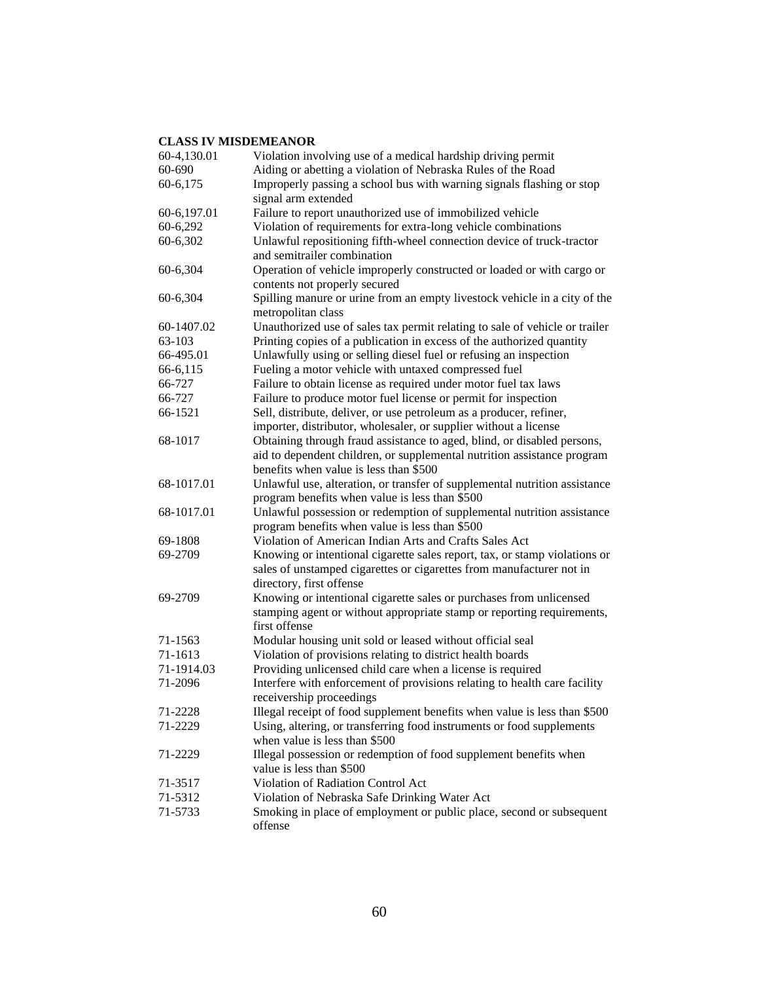| 60-4,130.01        | Violation involving use of a medical hardship driving permit                                                                                                                   |
|--------------------|--------------------------------------------------------------------------------------------------------------------------------------------------------------------------------|
| 60-690             | Aiding or abetting a violation of Nebraska Rules of the Road                                                                                                                   |
| 60-6,175           | Improperly passing a school bus with warning signals flashing or stop<br>signal arm extended                                                                                   |
| 60-6,197.01        | Failure to report unauthorized use of immobilized vehicle                                                                                                                      |
| 60-6,292           | Violation of requirements for extra-long vehicle combinations                                                                                                                  |
| 60-6,302           | Unlawful repositioning fifth-wheel connection device of truck-tractor                                                                                                          |
|                    | and semitrailer combination                                                                                                                                                    |
| 60-6,304           | Operation of vehicle improperly constructed or loaded or with cargo or<br>contents not properly secured                                                                        |
| 60-6,304           | Spilling manure or urine from an empty livestock vehicle in a city of the<br>metropolitan class                                                                                |
| 60-1407.02         | Unauthorized use of sales tax permit relating to sale of vehicle or trailer                                                                                                    |
| 63-103             | Printing copies of a publication in excess of the authorized quantity                                                                                                          |
| 66-495.01          | Unlawfully using or selling diesel fuel or refusing an inspection                                                                                                              |
| 66-6,115           | Fueling a motor vehicle with untaxed compressed fuel                                                                                                                           |
| 66-727             | Failure to obtain license as required under motor fuel tax laws                                                                                                                |
| 66-727             | Failure to produce motor fuel license or permit for inspection                                                                                                                 |
| 66-1521            | Sell, distribute, deliver, or use petroleum as a producer, refiner,                                                                                                            |
|                    | importer, distributor, wholesaler, or supplier without a license                                                                                                               |
| 68-1017            | Obtaining through fraud assistance to aged, blind, or disabled persons,                                                                                                        |
|                    | aid to dependent children, or supplemental nutrition assistance program                                                                                                        |
|                    | benefits when value is less than \$500                                                                                                                                         |
| 68-1017.01         | Unlawful use, alteration, or transfer of supplemental nutrition assistance                                                                                                     |
|                    | program benefits when value is less than \$500                                                                                                                                 |
| 68-1017.01         | Unlawful possession or redemption of supplemental nutrition assistance                                                                                                         |
|                    | program benefits when value is less than \$500                                                                                                                                 |
|                    | Violation of American Indian Arts and Crafts Sales Act                                                                                                                         |
| 69-1808<br>69-2709 |                                                                                                                                                                                |
|                    | Knowing or intentional cigarette sales report, tax, or stamp violations or<br>sales of unstamped cigarettes or cigarettes from manufacturer not in<br>directory, first offense |
| 69-2709            | Knowing or intentional cigarette sales or purchases from unlicensed                                                                                                            |
|                    | stamping agent or without appropriate stamp or reporting requirements,<br>first offense                                                                                        |
| 71-1563            | Modular housing unit sold or leased without official seal                                                                                                                      |
| 71-1613            | Violation of provisions relating to district health boards                                                                                                                     |
| 71-1914.03         | Providing unlicensed child care when a license is required                                                                                                                     |
| 71-2096            | Interfere with enforcement of provisions relating to health care facility                                                                                                      |
|                    | receivership proceedings                                                                                                                                                       |
| 71-2228            | Illegal receipt of food supplement benefits when value is less than \$500                                                                                                      |
| 71-2229            | Using, altering, or transferring food instruments or food supplements                                                                                                          |
|                    | when value is less than \$500                                                                                                                                                  |
| 71-2229            | Illegal possession or redemption of food supplement benefits when                                                                                                              |
|                    | value is less than \$500                                                                                                                                                       |
| 71-3517            | Violation of Radiation Control Act                                                                                                                                             |
| 71-5312            | Violation of Nebraska Safe Drinking Water Act                                                                                                                                  |
| 71-5733            | Smoking in place of employment or public place, second or subsequent                                                                                                           |
|                    | offense                                                                                                                                                                        |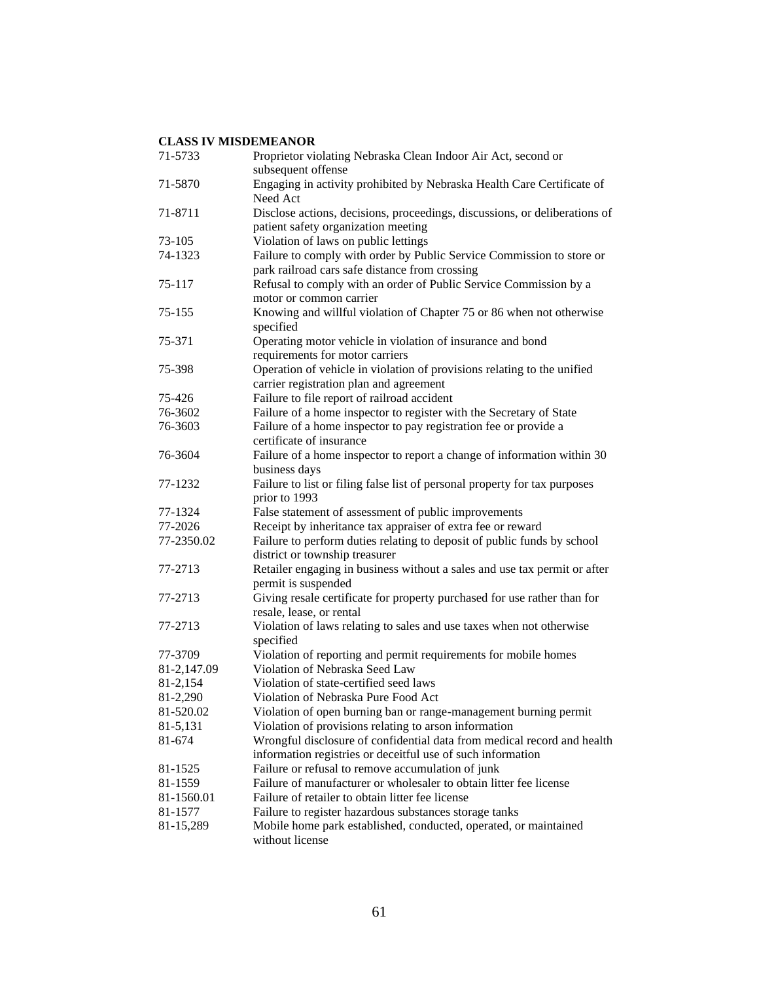| 71-5733     | Proprietor violating Nebraska Clean Indoor Air Act, second or<br>subsequent offense |
|-------------|-------------------------------------------------------------------------------------|
| 71-5870     | Engaging in activity prohibited by Nebraska Health Care Certificate of<br>Need Act  |
| 71-8711     | Disclose actions, decisions, proceedings, discussions, or deliberations of          |
|             | patient safety organization meeting                                                 |
| 73-105      | Violation of laws on public lettings                                                |
| 74-1323     | Failure to comply with order by Public Service Commission to store or               |
|             | park railroad cars safe distance from crossing                                      |
| 75-117      | Refusal to comply with an order of Public Service Commission by a                   |
|             | motor or common carrier                                                             |
| 75-155      | Knowing and willful violation of Chapter 75 or 86 when not otherwise                |
|             | specified                                                                           |
| 75-371      | Operating motor vehicle in violation of insurance and bond                          |
|             | requirements for motor carriers                                                     |
| 75-398      | Operation of vehicle in violation of provisions relating to the unified             |
|             | carrier registration plan and agreement                                             |
| 75-426      | Failure to file report of railroad accident                                         |
| 76-3602     | Failure of a home inspector to register with the Secretary of State                 |
| 76-3603     | Failure of a home inspector to pay registration fee or provide a                    |
|             | certificate of insurance                                                            |
| 76-3604     | Failure of a home inspector to report a change of information within 30             |
|             | business days                                                                       |
| 77-1232     | Failure to list or filing false list of personal property for tax purposes          |
|             | prior to 1993                                                                       |
| 77-1324     | False statement of assessment of public improvements                                |
| 77-2026     | Receipt by inheritance tax appraiser of extra fee or reward                         |
| 77-2350.02  | Failure to perform duties relating to deposit of public funds by school             |
|             | district or township treasurer                                                      |
| 77-2713     | Retailer engaging in business without a sales and use tax permit or after           |
|             | permit is suspended                                                                 |
| 77-2713     | Giving resale certificate for property purchased for use rather than for            |
|             | resale, lease, or rental                                                            |
| 77-2713     | Violation of laws relating to sales and use taxes when not otherwise                |
|             | specified                                                                           |
| 77-3709     | Violation of reporting and permit requirements for mobile homes                     |
| 81-2,147.09 | Violation of Nebraska Seed Law                                                      |
| 81-2,154    | Violation of state-certified seed laws                                              |
| 81-2,290    | Violation of Nebraska Pure Food Act                                                 |
| 81-520.02   | Violation of open burning ban or range-management burning permit                    |
| 81-5,131    | Violation of provisions relating to arson information                               |
| 81-674      | Wrongful disclosure of confidential data from medical record and health             |
|             | information registries or deceitful use of such information                         |
| 81-1525     | Failure or refusal to remove accumulation of junk                                   |
| 81-1559     | Failure of manufacturer or wholesaler to obtain litter fee license                  |
| 81-1560.01  | Failure of retailer to obtain litter fee license                                    |
| 81-1577     | Failure to register hazardous substances storage tanks                              |
| 81-15,289   | Mobile home park established, conducted, operated, or maintained                    |
|             | without license                                                                     |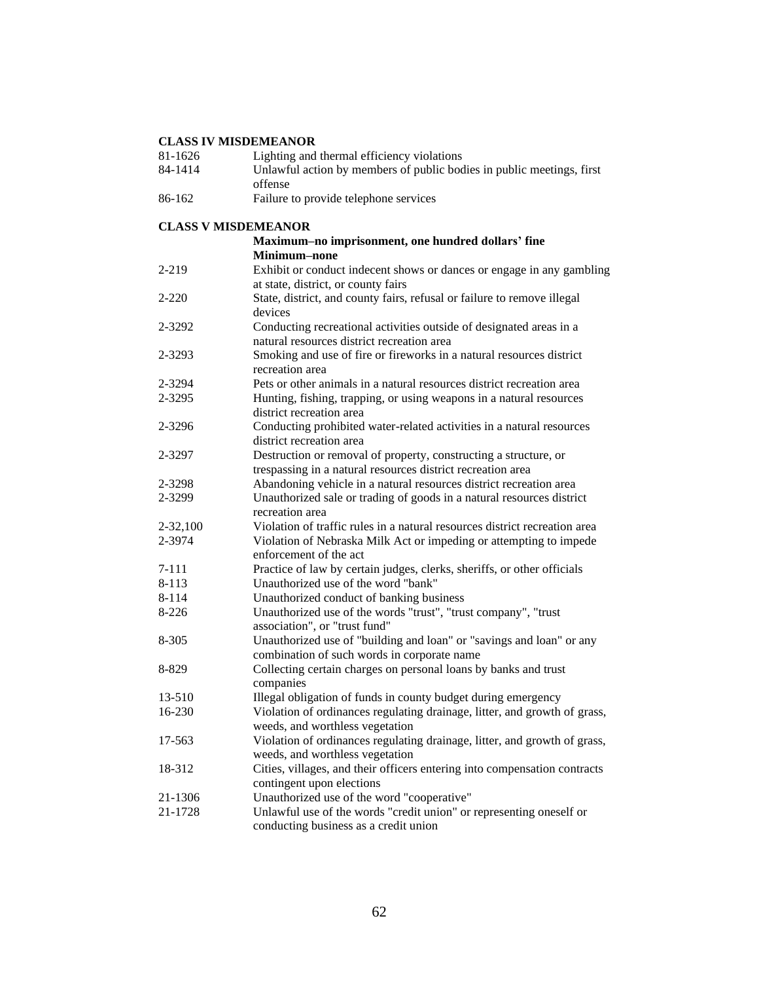| 81-1626                    | Lighting and thermal efficiency violations                                                                   |
|----------------------------|--------------------------------------------------------------------------------------------------------------|
| 84-1414                    | Unlawful action by members of public bodies in public meetings, first                                        |
|                            | offense                                                                                                      |
| 86-162                     | Failure to provide telephone services                                                                        |
| <b>CLASS V MISDEMEANOR</b> |                                                                                                              |
|                            | Maximum-no imprisonment, one hundred dollars' fine                                                           |
|                            | <b>Minimum-none</b>                                                                                          |
| 2-219                      | Exhibit or conduct indecent shows or dances or engage in any gambling<br>at state, district, or county fairs |
| $2 - 220$                  | State, district, and county fairs, refusal or failure to remove illegal                                      |
|                            | devices                                                                                                      |
| 2-3292                     | Conducting recreational activities outside of designated areas in a                                          |
|                            | natural resources district recreation area                                                                   |
| 2-3293                     | Smoking and use of fire or fireworks in a natural resources district                                         |
|                            | recreation area                                                                                              |
| 2-3294                     | Pets or other animals in a natural resources district recreation area                                        |
| 2-3295                     | Hunting, fishing, trapping, or using weapons in a natural resources                                          |
|                            | district recreation area                                                                                     |
| 2-3296                     | Conducting prohibited water-related activities in a natural resources                                        |
|                            | district recreation area                                                                                     |
| 2-3297                     | Destruction or removal of property, constructing a structure, or                                             |
|                            | trespassing in a natural resources district recreation area                                                  |
| 2-3298                     | Abandoning vehicle in a natural resources district recreation area                                           |
| 2-3299                     | Unauthorized sale or trading of goods in a natural resources district<br>recreation area                     |
| $2 - 32,100$               | Violation of traffic rules in a natural resources district recreation area                                   |
| 2-3974                     | Violation of Nebraska Milk Act or impeding or attempting to impede                                           |
|                            | enforcement of the act                                                                                       |
| 7-111                      | Practice of law by certain judges, clerks, sheriffs, or other officials                                      |
| 8-113                      | Unauthorized use of the word "bank"                                                                          |
| 8-114                      | Unauthorized conduct of banking business                                                                     |
| $8 - 226$                  | Unauthorized use of the words "trust", "trust company", "trust                                               |
|                            | association", or "trust fund"                                                                                |
| 8-305                      | Unauthorized use of "building and loan" or "savings and loan" or any                                         |
|                            | combination of such words in corporate name                                                                  |
| 8-829                      | Collecting certain charges on personal loans by banks and trust<br>companies                                 |
| 13-510                     | Illegal obligation of funds in county budget during emergency                                                |
| 16-230                     | Violation of ordinances regulating drainage, litter, and growth of grass,                                    |
|                            | weeds, and worthless vegetation                                                                              |
| 17-563                     | Violation of ordinances regulating drainage, litter, and growth of grass,                                    |
|                            | weeds, and worthless vegetation                                                                              |
| 18-312                     | Cities, villages, and their officers entering into compensation contracts                                    |
|                            | contingent upon elections                                                                                    |
| 21-1306                    | Unauthorized use of the word "cooperative"                                                                   |
| 21-1728                    | Unlawful use of the words "credit union" or representing oneself or                                          |
|                            | conducting business as a credit union                                                                        |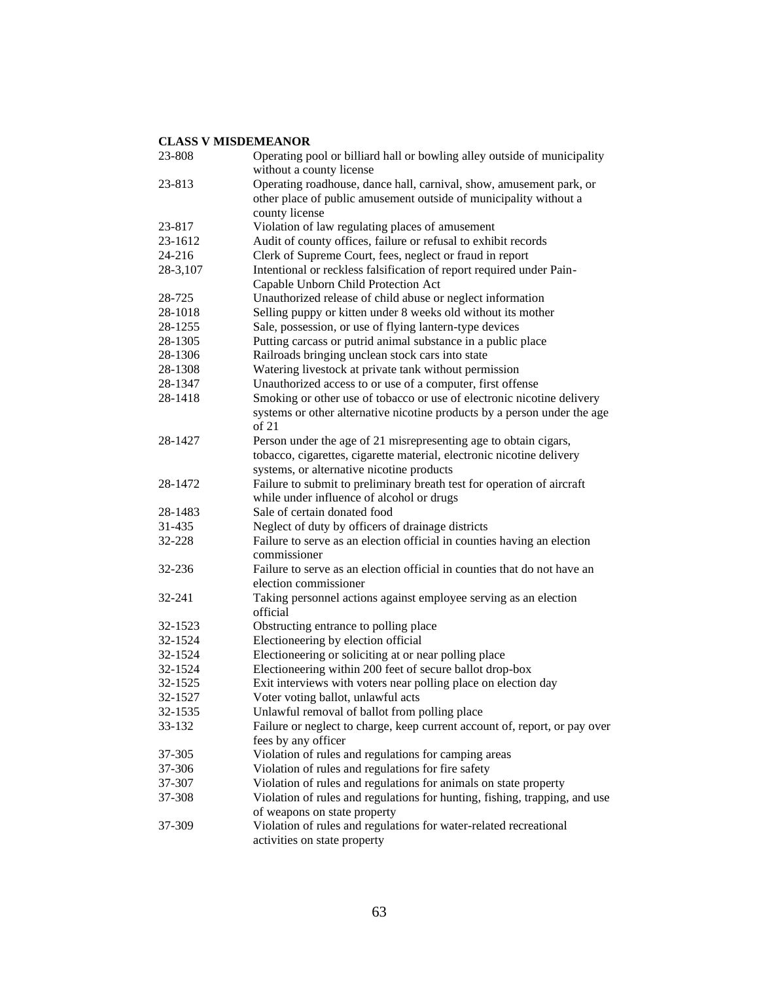| 23-808   | Operating pool or billiard hall or bowling alley outside of municipality<br>without a county license |
|----------|------------------------------------------------------------------------------------------------------|
| 23-813   | Operating roadhouse, dance hall, carnival, show, amusement park, or                                  |
|          | other place of public amusement outside of municipality without a                                    |
|          | county license                                                                                       |
| 23-817   | Violation of law regulating places of amusement                                                      |
| 23-1612  | Audit of county offices, failure or refusal to exhibit records                                       |
| 24-216   | Clerk of Supreme Court, fees, neglect or fraud in report                                             |
| 28-3,107 | Intentional or reckless falsification of report required under Pain-                                 |
|          | Capable Unborn Child Protection Act                                                                  |
| 28-725   | Unauthorized release of child abuse or neglect information                                           |
| 28-1018  | Selling puppy or kitten under 8 weeks old without its mother                                         |
| 28-1255  | Sale, possession, or use of flying lantern-type devices                                              |
| 28-1305  | Putting carcass or putrid animal substance in a public place                                         |
| 28-1306  | Railroads bringing unclean stock cars into state                                                     |
| 28-1308  | Watering livestock at private tank without permission                                                |
| 28-1347  | Unauthorized access to or use of a computer, first offense                                           |
| 28-1418  | Smoking or other use of tobacco or use of electronic nicotine delivery                               |
|          | systems or other alternative nicotine products by a person under the age<br>of 21                    |
| 28-1427  | Person under the age of 21 misrepresenting age to obtain cigars,                                     |
|          | tobacco, cigarettes, cigarette material, electronic nicotine delivery                                |
|          | systems, or alternative nicotine products                                                            |
| 28-1472  | Failure to submit to preliminary breath test for operation of aircraft                               |
|          | while under influence of alcohol or drugs                                                            |
| 28-1483  | Sale of certain donated food                                                                         |
| 31-435   | Neglect of duty by officers of drainage districts                                                    |
| 32-228   | Failure to serve as an election official in counties having an election                              |
|          | commissioner                                                                                         |
| 32-236   | Failure to serve as an election official in counties that do not have an                             |
|          | election commissioner                                                                                |
| 32-241   | Taking personnel actions against employee serving as an election                                     |
|          | official                                                                                             |
| 32-1523  | Obstructing entrance to polling place                                                                |
| 32-1524  | Electioneering by election official                                                                  |
| 32-1524  | Electioneering or soliciting at or near polling place                                                |
| 32-1524  | Electioneering within 200 feet of secure ballot drop-box                                             |
| 32-1525  | Exit interviews with voters near polling place on election day                                       |
| 32-1527  | Voter voting ballot, unlawful acts                                                                   |
| 32-1535  | Unlawful removal of ballot from polling place                                                        |
| 33-132   | Failure or neglect to charge, keep current account of, report, or pay over                           |
|          | fees by any officer                                                                                  |
| 37-305   | Violation of rules and regulations for camping areas                                                 |
| 37-306   | Violation of rules and regulations for fire safety                                                   |
| 37-307   | Violation of rules and regulations for animals on state property                                     |
| 37-308   | Violation of rules and regulations for hunting, fishing, trapping, and use                           |
|          | of weapons on state property                                                                         |
| 37-309   | Violation of rules and regulations for water-related recreational                                    |
|          | activities on state property                                                                         |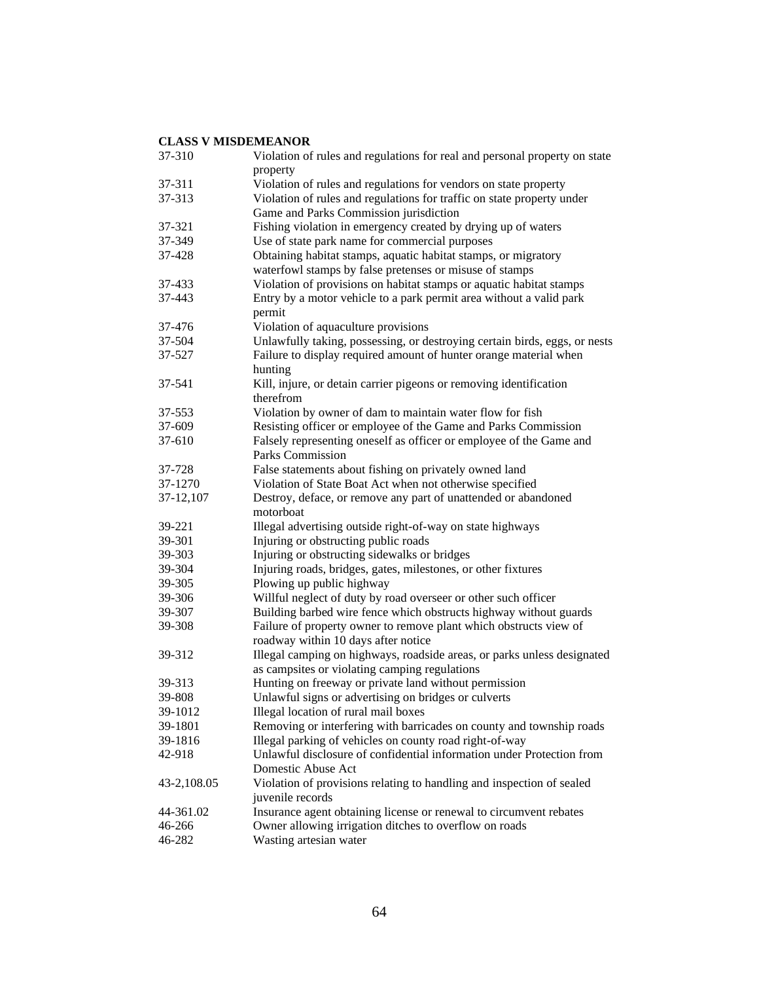| 37-310      | Violation of rules and regulations for real and personal property on state |
|-------------|----------------------------------------------------------------------------|
|             | property                                                                   |
| 37-311      | Violation of rules and regulations for vendors on state property           |
| 37-313      | Violation of rules and regulations for traffic on state property under     |
|             | Game and Parks Commission jurisdiction                                     |
| 37-321      | Fishing violation in emergency created by drying up of waters              |
| 37-349      | Use of state park name for commercial purposes                             |
| 37-428      | Obtaining habitat stamps, aquatic habitat stamps, or migratory             |
|             | waterfowl stamps by false pretenses or misuse of stamps                    |
| 37-433      | Violation of provisions on habitat stamps or aquatic habitat stamps        |
| 37-443      | Entry by a motor vehicle to a park permit area without a valid park        |
|             | permit                                                                     |
| 37-476      | Violation of aquaculture provisions                                        |
| 37-504      | Unlawfully taking, possessing, or destroying certain birds, eggs, or nests |
| 37-527      | Failure to display required amount of hunter orange material when          |
|             | hunting                                                                    |
| 37-541      | Kill, injure, or detain carrier pigeons or removing identification         |
|             | therefrom                                                                  |
| 37-553      | Violation by owner of dam to maintain water flow for fish                  |
| 37-609      | Resisting officer or employee of the Game and Parks Commission             |
| 37-610      | Falsely representing oneself as officer or employee of the Game and        |
|             | <b>Parks Commission</b>                                                    |
| 37-728      | False statements about fishing on privately owned land                     |
| 37-1270     | Violation of State Boat Act when not otherwise specified                   |
| 37-12,107   | Destroy, deface, or remove any part of unattended or abandoned             |
|             | motorboat                                                                  |
| 39-221      | Illegal advertising outside right-of-way on state highways                 |
| 39-301      | Injuring or obstructing public roads                                       |
| 39-303      | Injuring or obstructing sidewalks or bridges                               |
| 39-304      | Injuring roads, bridges, gates, milestones, or other fixtures              |
| 39-305      | Plowing up public highway                                                  |
| 39-306      | Willful neglect of duty by road overseer or other such officer             |
| 39-307      | Building barbed wire fence which obstructs highway without guards          |
| 39-308      | Failure of property owner to remove plant which obstructs view of          |
|             | roadway within 10 days after notice                                        |
| 39-312      | Illegal camping on highways, roadside areas, or parks unless designated    |
|             | as campsites or violating camping regulations                              |
| 39-313      | Hunting on freeway or private land without permission                      |
| 39-808      | Unlawful signs or advertising on bridges or culverts                       |
| 39-1012     | Illegal location of rural mail boxes                                       |
| 39-1801     | Removing or interfering with barricades on county and township roads       |
| 39-1816     | Illegal parking of vehicles on county road right-of-way                    |
| 42-918      | Unlawful disclosure of confidential information under Protection from      |
|             | Domestic Abuse Act                                                         |
| 43-2,108.05 | Violation of provisions relating to handling and inspection of sealed      |
|             | juvenile records                                                           |
| 44-361.02   | Insurance agent obtaining license or renewal to circumvent rebates         |
| 46-266      | Owner allowing irrigation ditches to overflow on roads                     |
| 46-282      | Wasting artesian water                                                     |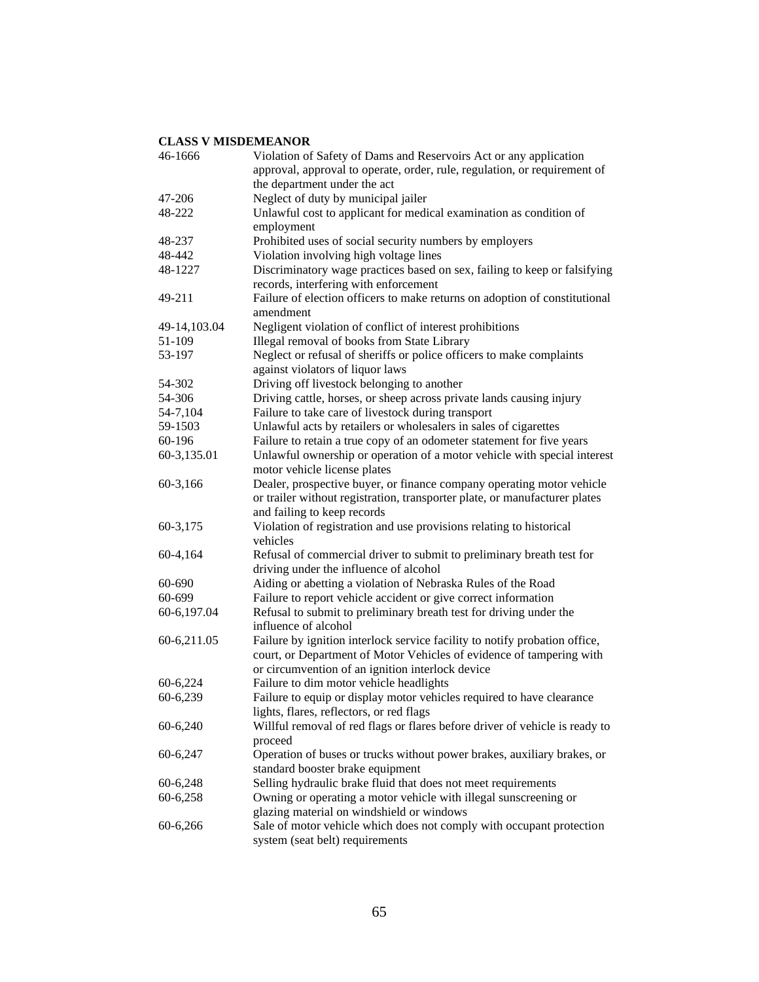| 46-1666      | Violation of Safety of Dams and Reservoirs Act or any application           |
|--------------|-----------------------------------------------------------------------------|
|              | approval, approval to operate, order, rule, regulation, or requirement of   |
|              | the department under the act                                                |
| 47-206       | Neglect of duty by municipal jailer                                         |
| 48-222       | Unlawful cost to applicant for medical examination as condition of          |
|              | employment                                                                  |
| 48-237       | Prohibited uses of social security numbers by employers                     |
| 48-442       | Violation involving high voltage lines                                      |
| 48-1227      | Discriminatory wage practices based on sex, failing to keep or falsifying   |
|              | records, interfering with enforcement                                       |
| 49-211       | Failure of election officers to make returns on adoption of constitutional  |
|              | amendment                                                                   |
| 49-14,103.04 | Negligent violation of conflict of interest prohibitions                    |
| 51-109       | Illegal removal of books from State Library                                 |
| 53-197       | Neglect or refusal of sheriffs or police officers to make complaints        |
|              | against violators of liquor laws                                            |
| 54-302       | Driving off livestock belonging to another                                  |
| 54-306       | Driving cattle, horses, or sheep across private lands causing injury        |
| 54-7,104     | Failure to take care of livestock during transport                          |
| 59-1503      | Unlawful acts by retailers or wholesalers in sales of cigarettes            |
| 60-196       | Failure to retain a true copy of an odometer statement for five years       |
| 60-3,135.01  | Unlawful ownership or operation of a motor vehicle with special interest    |
|              | motor vehicle license plates                                                |
| 60-3,166     | Dealer, prospective buyer, or finance company operating motor vehicle       |
|              | or trailer without registration, transporter plate, or manufacturer plates  |
|              | and failing to keep records                                                 |
| 60-3,175     | Violation of registration and use provisions relating to historical         |
|              | vehicles                                                                    |
| 60-4,164     | Refusal of commercial driver to submit to preliminary breath test for       |
|              | driving under the influence of alcohol                                      |
| 60-690       | Aiding or abetting a violation of Nebraska Rules of the Road                |
| 60-699       | Failure to report vehicle accident or give correct information              |
| 60-6,197.04  | Refusal to submit to preliminary breath test for driving under the          |
|              | influence of alcohol                                                        |
| 60-6,211.05  | Failure by ignition interlock service facility to notify probation office,  |
|              | court, or Department of Motor Vehicles of evidence of tampering with        |
|              | or circumvention of an ignition interlock device                            |
| 60-6,224     | Failure to dim motor vehicle headlights                                     |
| 60-6,239     | Failure to equip or display motor vehicles required to have clearance       |
|              | lights, flares, reflectors, or red flags                                    |
| $60-6,240$   | Willful removal of red flags or flares before driver of vehicle is ready to |
|              | proceed                                                                     |
| 60-6,247     | Operation of buses or trucks without power brakes, auxiliary brakes, or     |
|              | standard booster brake equipment                                            |
| 60-6,248     | Selling hydraulic brake fluid that does not meet requirements               |
| 60-6,258     | Owning or operating a motor vehicle with illegal sunscreening or            |
|              | glazing material on windshield or windows                                   |
| 60-6,266     | Sale of motor vehicle which does not comply with occupant protection        |
|              | system (seat belt) requirements                                             |
|              |                                                                             |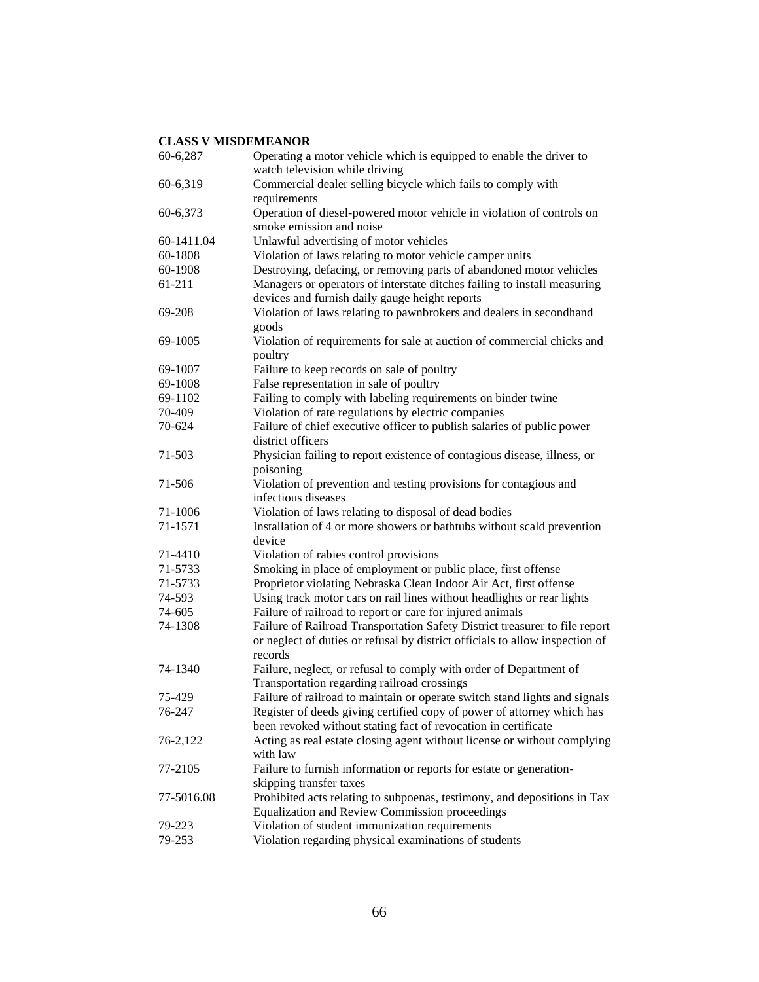| 60-6,287   | Operating a motor vehicle which is equipped to enable the driver to<br>watch television while driving |
|------------|-------------------------------------------------------------------------------------------------------|
| 60-6,319   | Commercial dealer selling bicycle which fails to comply with                                          |
|            | requirements                                                                                          |
| 60-6,373   | Operation of diesel-powered motor vehicle in violation of controls on                                 |
|            | smoke emission and noise                                                                              |
| 60-1411.04 | Unlawful advertising of motor vehicles                                                                |
| 60-1808    | Violation of laws relating to motor vehicle camper units                                              |
| 60-1908    | Destroying, defacing, or removing parts of abandoned motor vehicles                                   |
| 61-211     | Managers or operators of interstate ditches failing to install measuring                              |
|            | devices and furnish daily gauge height reports                                                        |
| 69-208     | Violation of laws relating to pawnbrokers and dealers in secondhand                                   |
| 69-1005    | goods<br>Violation of requirements for sale at auction of commercial chicks and                       |
|            | poultry                                                                                               |
| 69-1007    | Failure to keep records on sale of poultry                                                            |
| 69-1008    | False representation in sale of poultry                                                               |
| 69-1102    | Failing to comply with labeling requirements on binder twine                                          |
| 70-409     | Violation of rate regulations by electric companies                                                   |
| 70-624     | Failure of chief executive officer to publish salaries of public power                                |
|            | district officers                                                                                     |
| 71-503     | Physician failing to report existence of contagious disease, illness, or                              |
|            | poisoning                                                                                             |
| 71-506     | Violation of prevention and testing provisions for contagious and                                     |
|            | infectious diseases                                                                                   |
| 71-1006    | Violation of laws relating to disposal of dead bodies                                                 |
| 71-1571    | Installation of 4 or more showers or bathtubs without scald prevention                                |
|            | device                                                                                                |
| 71-4410    | Violation of rabies control provisions                                                                |
| 71-5733    | Smoking in place of employment or public place, first offense                                         |
| 71-5733    | Proprietor violating Nebraska Clean Indoor Air Act, first offense                                     |
| 74-593     | Using track motor cars on rail lines without headlights or rear lights                                |
| 74-605     | Failure of railroad to report or care for injured animals                                             |
| 74-1308    | Failure of Railroad Transportation Safety District treasurer to file report                           |
|            | or neglect of duties or refusal by district officials to allow inspection of<br>records               |
| 74-1340    | Failure, neglect, or refusal to comply with order of Department of                                    |
|            | Transportation regarding railroad crossings                                                           |
| 75-429     | Failure of railroad to maintain or operate switch stand lights and signals                            |
| 76-247     | Register of deeds giving certified copy of power of attorney which has                                |
|            | been revoked without stating fact of revocation in certificate                                        |
| 76-2,122   | Acting as real estate closing agent without license or without complying<br>with law                  |
| 77-2105    | Failure to furnish information or reports for estate or generation-                                   |
|            | skipping transfer taxes                                                                               |
| 77-5016.08 | Prohibited acts relating to subpoenas, testimony, and depositions in Tax                              |
|            | Equalization and Review Commission proceedings                                                        |
| 79-223     | Violation of student immunization requirements                                                        |
| 79-253     | Violation regarding physical examinations of students                                                 |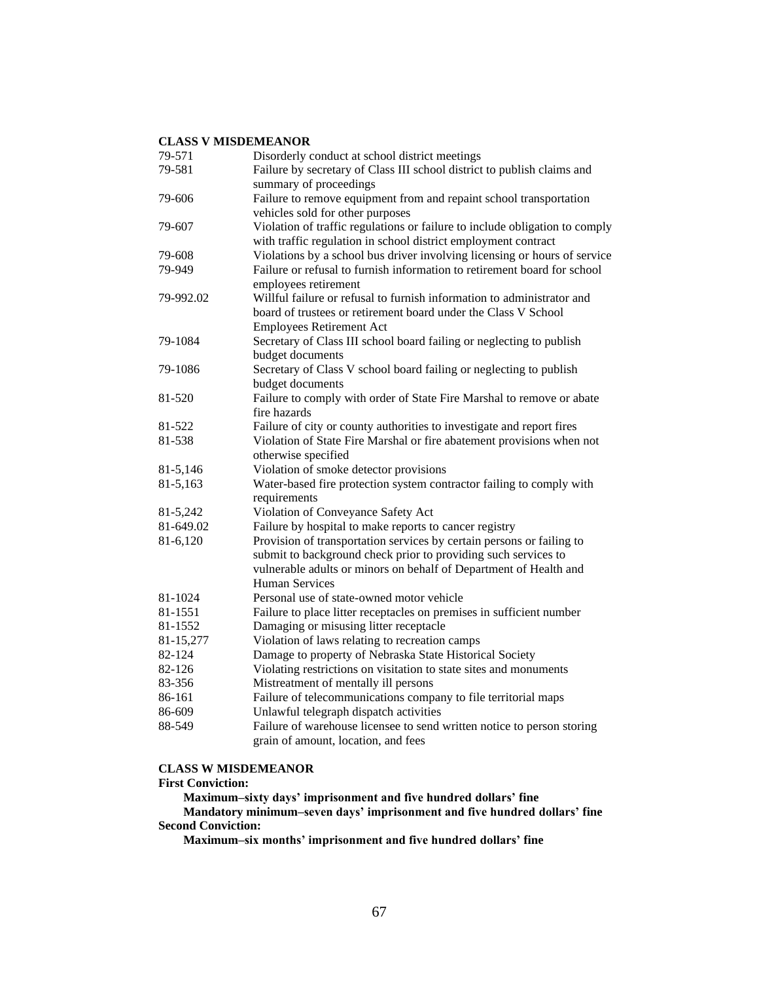| 79-571    | Disorderly conduct at school district meetings                                                   |
|-----------|--------------------------------------------------------------------------------------------------|
| 79-581    | Failure by secretary of Class III school district to publish claims and                          |
|           | summary of proceedings                                                                           |
| 79-606    | Failure to remove equipment from and repaint school transportation                               |
|           | vehicles sold for other purposes                                                                 |
| 79-607    | Violation of traffic regulations or failure to include obligation to comply                      |
|           | with traffic regulation in school district employment contract                                   |
| 79-608    | Violations by a school bus driver involving licensing or hours of service                        |
| 79-949    | Failure or refusal to furnish information to retirement board for school<br>employees retirement |
| 79-992.02 | Willful failure or refusal to furnish information to administrator and                           |
|           | board of trustees or retirement board under the Class V School                                   |
|           | <b>Employees Retirement Act</b>                                                                  |
| 79-1084   | Secretary of Class III school board failing or neglecting to publish                             |
|           | budget documents                                                                                 |
| 79-1086   | Secretary of Class V school board failing or neglecting to publish                               |
|           | budget documents                                                                                 |
| 81-520    | Failure to comply with order of State Fire Marshal to remove or abate                            |
|           | fire hazards                                                                                     |
| 81-522    | Failure of city or county authorities to investigate and report fires                            |
| 81-538    | Violation of State Fire Marshal or fire abatement provisions when not                            |
|           | otherwise specified                                                                              |
| 81-5,146  | Violation of smoke detector provisions                                                           |
| 81-5,163  | Water-based fire protection system contractor failing to comply with                             |
|           | requirements                                                                                     |
| 81-5,242  | Violation of Conveyance Safety Act                                                               |
| 81-649.02 | Failure by hospital to make reports to cancer registry                                           |
| 81-6,120  | Provision of transportation services by certain persons or failing to                            |
|           | submit to background check prior to providing such services to                                   |
|           | vulnerable adults or minors on behalf of Department of Health and                                |
|           | Human Services                                                                                   |
| 81-1024   | Personal use of state-owned motor vehicle                                                        |
| 81-1551   | Failure to place litter receptacles on premises in sufficient number                             |
| 81-1552   | Damaging or misusing litter receptacle                                                           |
| 81-15,277 | Violation of laws relating to recreation camps                                                   |
| 82-124    | Damage to property of Nebraska State Historical Society                                          |
| 82-126    | Violating restrictions on visitation to state sites and monuments                                |
| 83-356    | Mistreatment of mentally ill persons                                                             |
| 86-161    | Failure of telecommunications company to file territorial maps                                   |
| 86-609    | Unlawful telegraph dispatch activities                                                           |
| 88-549    | Failure of warehouse licensee to send written notice to person storing                           |
|           | grain of amount, location, and fees                                                              |

#### **CLASS W MISDEMEANOR**

#### **First Conviction:**

 **Maximum–sixty days' imprisonment and five hundred dollars' fine Mandatory minimum–seven days' imprisonment and five hundred dollars' fine Second Conviction:**

 **Maximum–six months' imprisonment and five hundred dollars' fine**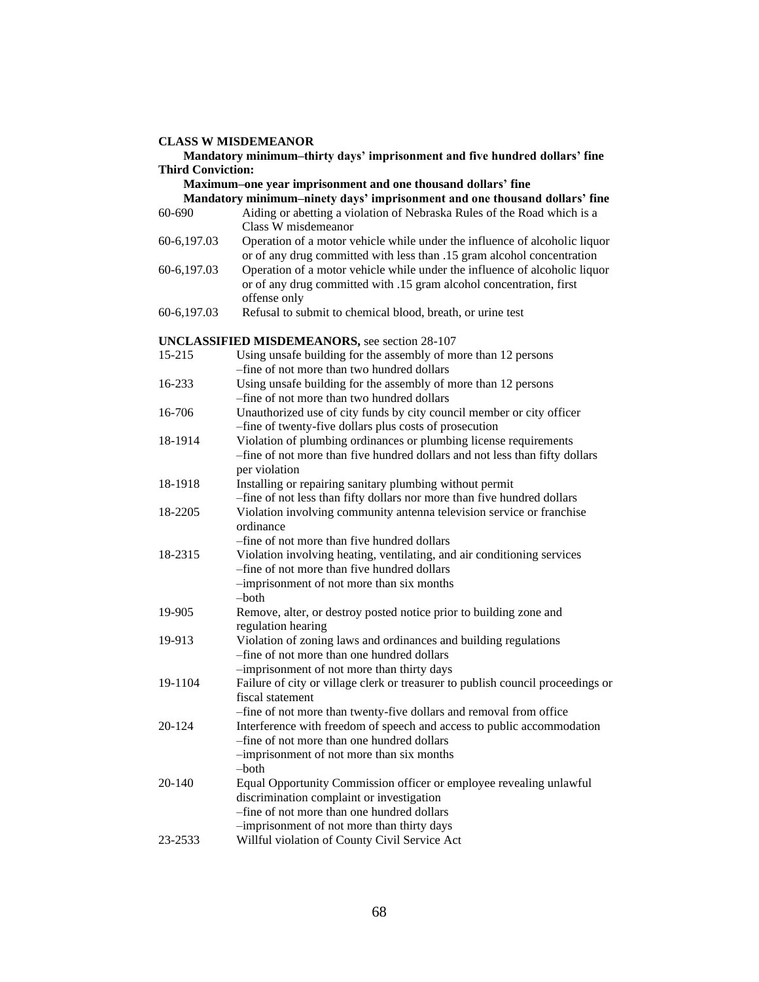#### **Mandatory minimum–thirty days' imprisonment and five hundred dollars' fine Third Conviction:**

 **Maximum–one year imprisonment and one thousand dollars' fine**

# **Mandatory minimum–ninety days' imprisonment and one thousand dollars' fine**

- 60-690 Aiding or abetting a violation of Nebraska Rules of the Road which is a Class W misdemeanor
- 60-6,197.03 Operation of a motor vehicle while under the influence of alcoholic liquor or of any drug committed with less than .15 gram alcohol concentration
- 60-6,197.03 Operation of a motor vehicle while under the influence of alcoholic liquor or of any drug committed with .15 gram alcohol concentration, first offense only
- 60-6,197.03 Refusal to submit to chemical blood, breath, or urine test

#### **UNCLASSIFIED MISDEMEANORS,** see section 28-107

| 15-215     | <b>WEDD ENTERNAL TO FINIT DUE DUCKTON ED</b><br>Using unsafe building for the assembly of more than 12 persons                                                    |
|------------|-------------------------------------------------------------------------------------------------------------------------------------------------------------------|
|            | -fine of not more than two hundred dollars                                                                                                                        |
| 16-233     | Using unsafe building for the assembly of more than 12 persons                                                                                                    |
|            | -fine of not more than two hundred dollars                                                                                                                        |
| 16-706     | Unauthorized use of city funds by city council member or city officer<br>-fine of twenty-five dollars plus costs of prosecution                                   |
| 18-1914    | Violation of plumbing ordinances or plumbing license requirements<br>-fine of not more than five hundred dollars and not less than fifty dollars<br>per violation |
| 18-1918    | Installing or repairing sanitary plumbing without permit<br>-fine of not less than fifty dollars nor more than five hundred dollars                               |
| 18-2205    | Violation involving community antenna television service or franchise<br>ordinance                                                                                |
|            | -fine of not more than five hundred dollars                                                                                                                       |
| 18-2315    | Violation involving heating, ventilating, and air conditioning services<br>-fine of not more than five hundred dollars                                            |
|            | -imprisonment of not more than six months<br>$-$ both                                                                                                             |
| 19-905     | Remove, alter, or destroy posted notice prior to building zone and<br>regulation hearing                                                                          |
| 19-913     | Violation of zoning laws and ordinances and building regulations<br>-fine of not more than one hundred dollars<br>-imprisonment of not more than thirty days      |
| 19-1104    | Failure of city or village clerk or treasurer to publish council proceedings or<br>fiscal statement                                                               |
|            | -fine of not more than twenty-five dollars and removal from office                                                                                                |
| 20-124     | Interference with freedom of speech and access to public accommodation<br>-fine of not more than one hundred dollars                                              |
|            | -imprisonment of not more than six months<br>$-$ both                                                                                                             |
| $20 - 140$ | Equal Opportunity Commission officer or employee revealing unlawful                                                                                               |
|            | discrimination complaint or investigation                                                                                                                         |
|            | -fine of not more than one hundred dollars                                                                                                                        |
|            | -imprisonment of not more than thirty days                                                                                                                        |
| 23-2533    | Willful violation of County Civil Service Act                                                                                                                     |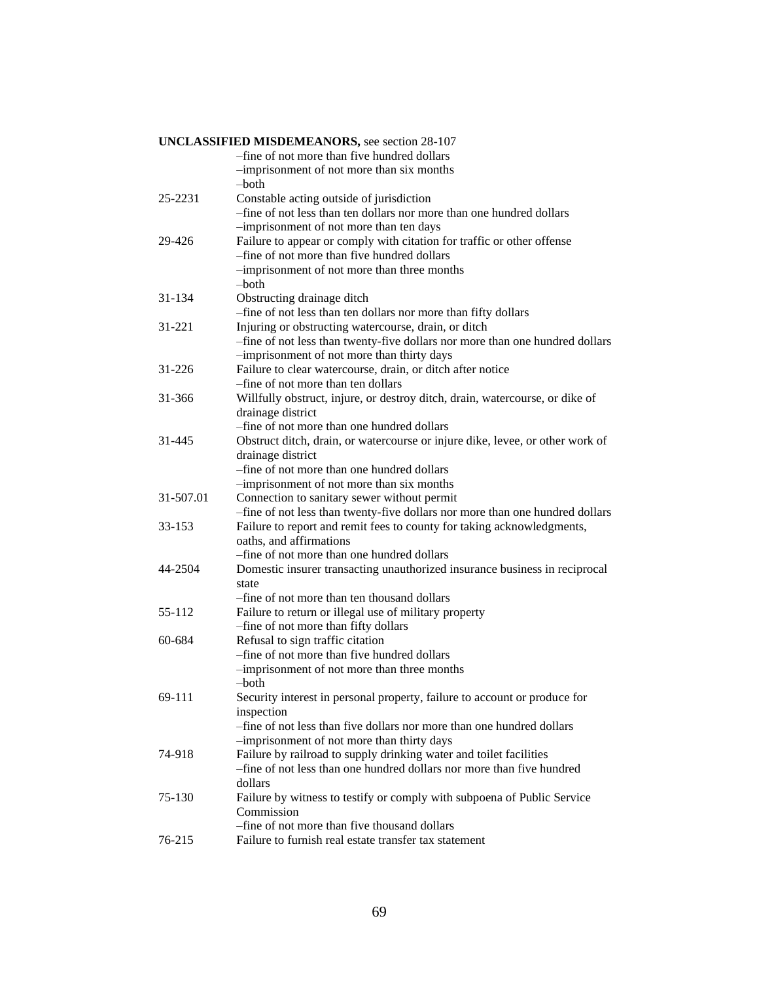| <b>UNCLASSIFIED MISDEMEANORS, see section 28-107</b> |                                                                               |
|------------------------------------------------------|-------------------------------------------------------------------------------|
|                                                      | -fine of not more than five hundred dollars                                   |
|                                                      | -imprisonment of not more than six months                                     |
|                                                      | –both                                                                         |
| 25-2231                                              | Constable acting outside of jurisdiction                                      |
|                                                      | -fine of not less than ten dollars nor more than one hundred dollars          |
|                                                      | -imprisonment of not more than ten days                                       |
| 29-426                                               | Failure to appear or comply with citation for traffic or other offense        |
|                                                      | -fine of not more than five hundred dollars                                   |
|                                                      | -imprisonment of not more than three months                                   |
|                                                      | –both                                                                         |
| 31-134                                               | Obstructing drainage ditch                                                    |
|                                                      | -fine of not less than ten dollars nor more than fifty dollars                |
| 31-221                                               | Injuring or obstructing watercourse, drain, or ditch                          |
|                                                      | -fine of not less than twenty-five dollars nor more than one hundred dollars  |
|                                                      | -imprisonment of not more than thirty days                                    |
| 31-226                                               | Failure to clear watercourse, drain, or ditch after notice                    |
|                                                      | -fine of not more than ten dollars                                            |
| 31-366                                               | Willfully obstruct, injure, or destroy ditch, drain, watercourse, or dike of  |
|                                                      | drainage district                                                             |
|                                                      | -fine of not more than one hundred dollars                                    |
| 31-445                                               | Obstruct ditch, drain, or watercourse or injure dike, levee, or other work of |
|                                                      | drainage district                                                             |
|                                                      | -fine of not more than one hundred dollars                                    |
|                                                      | -imprisonment of not more than six months                                     |
| 31-507.01                                            | Connection to sanitary sewer without permit                                   |
|                                                      | -fine of not less than twenty-five dollars nor more than one hundred dollars  |
| 33-153                                               | Failure to report and remit fees to county for taking acknowledgments,        |
|                                                      | oaths, and affirmations                                                       |
|                                                      | -fine of not more than one hundred dollars                                    |
| 44-2504                                              | Domestic insurer transacting unauthorized insurance business in reciprocal    |
|                                                      | state                                                                         |
|                                                      | -fine of not more than ten thousand dollars                                   |
| 55-112                                               | Failure to return or illegal use of military property                         |
|                                                      | -fine of not more than fifty dollars                                          |
| 60-684                                               | Refusal to sign traffic citation                                              |
|                                                      | -fine of not more than five hundred dollars                                   |
|                                                      | -imprisonment of not more than three months                                   |
|                                                      | -both                                                                         |
| 69-111                                               | Security interest in personal property, failure to account or produce for     |
|                                                      | inspection                                                                    |
|                                                      | -fine of not less than five dollars nor more than one hundred dollars         |
|                                                      | -imprisonment of not more than thirty days                                    |
| 74-918                                               | Failure by railroad to supply drinking water and toilet facilities            |
|                                                      | -fine of not less than one hundred dollars nor more than five hundred         |
|                                                      | dollars                                                                       |
| 75-130                                               | Failure by witness to testify or comply with subpoena of Public Service       |
|                                                      | Commission                                                                    |
|                                                      | -fine of not more than five thousand dollars                                  |
| 76-215                                               | Failure to furnish real estate transfer tax statement                         |